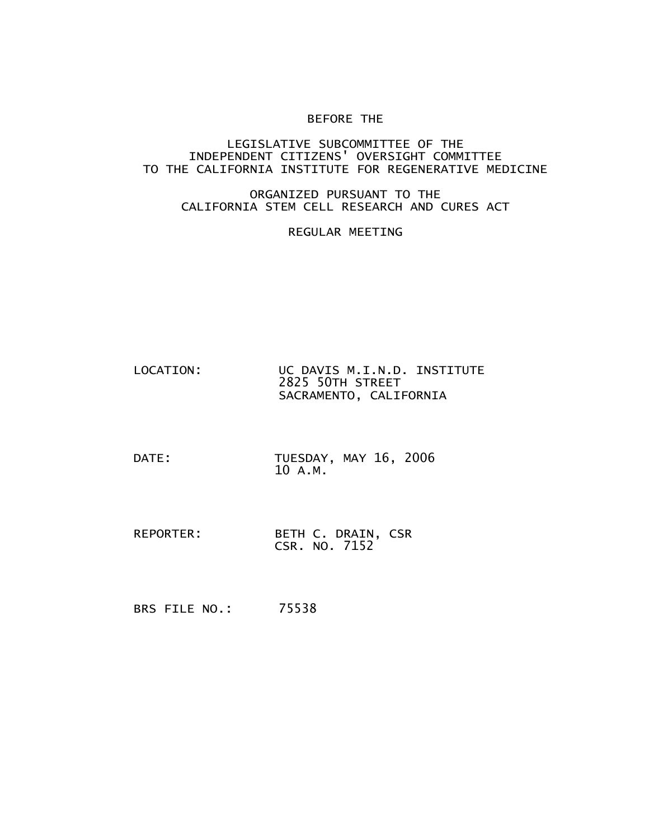## BEFORE THE

## LEGISLATIVE SUBCOMMITTEE OF THE INDEPENDENT CITIZENS' OVERSIGHT COMMITTEE TO THE CALIFORNIA INSTITUTE FOR REGENERATIVE MEDICINE

## ORGANIZED PURSUANT TO THE CALIFORNIA STEM CELL RESEARCH AND CURES ACT

## REGULAR MEETING

- LOCATION: UC DAVIS M.I.N.D. INSTITUTE 2825 50TH STREET SACRAMENTO, CALIFORNIA
- DATE: TUESDAY, MAY 16, 2006 10 A.M.
- REPORTER: BETH C. DRAIN, CSR CSR. NO. 7152
- BRS FILE NO.: 75538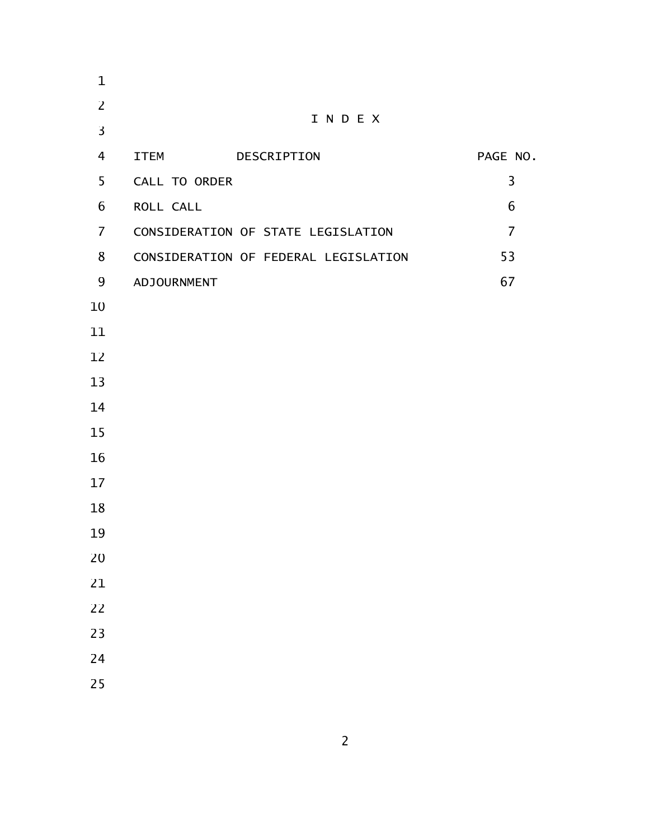| $\mathbf{1}$   |                      |                                      |                |
|----------------|----------------------|--------------------------------------|----------------|
| $\overline{2}$ |                      |                                      |                |
| $\overline{3}$ |                      | INDEX                                |                |
| 4              | <b>ITEM</b>          | DESCRIPTION                          | PAGE NO.       |
| 5              | <b>CALL TO ORDER</b> |                                      | 3              |
| 6              | ROLL CALL            |                                      | 6              |
| $\overline{7}$ |                      | CONSIDERATION OF STATE LEGISLATION   | $\overline{7}$ |
| 8              |                      | CONSIDERATION OF FEDERAL LEGISLATION | 53             |
| 9              | ADJOURNMENT          |                                      | 67             |
| 10             |                      |                                      |                |
| 11             |                      |                                      |                |
| 12             |                      |                                      |                |
| 13             |                      |                                      |                |
| 14             |                      |                                      |                |
| 15             |                      |                                      |                |
| 16             |                      |                                      |                |
| 17             |                      |                                      |                |
| 18             |                      |                                      |                |
| 19             |                      |                                      |                |
| 20             |                      |                                      |                |
| 21             |                      |                                      |                |
| 22             |                      |                                      |                |
| 23             |                      |                                      |                |
| 24             |                      |                                      |                |
| 25             |                      |                                      |                |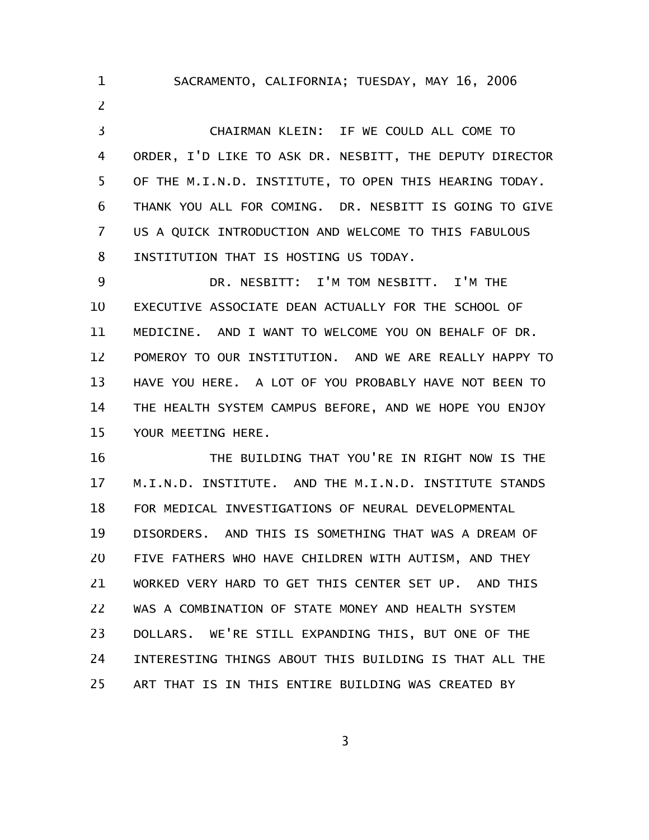CHAIRMAN KLEIN: IF WE COULD ALL COME TO ORDER, I'D LIKE TO ASK DR. NESBITT, THE DEPUTY DIRECTOR OF THE M.I.N.D. INSTITUTE, TO OPEN THIS HEARING TODAY. THANK YOU ALL FOR COMING. DR. NESBITT IS GOING TO GIVE US A QUICK INTRODUCTION AND WELCOME TO THIS FABULOUS INSTITUTION THAT IS HOSTING US TODAY. 2 3 4 5 6 7 8

1

SACRAMENTO, CALIFORNIA; TUESDAY, MAY 16, 2006

DR. NESBITT: I'M TOM NESBITT. I'M THE EXECUTIVE ASSOCIATE DEAN ACTUALLY FOR THE SCHOOL OF MEDICINE. AND I WANT TO WELCOME YOU ON BEHALF OF DR. POMEROY TO OUR INSTITUTION. AND WE ARE REALLY HAPPY TO HAVE YOU HERE. A LOT OF YOU PROBABLY HAVE NOT BEEN TO THE HEALTH SYSTEM CAMPUS BEFORE, AND WE HOPE YOU ENJOY YOUR MEETING HERE. 9 10 11 12 13 14 15

THE BUILDING THAT YOU'RE IN RIGHT NOW IS THE M.I.N.D. INSTITUTE. AND THE M.I.N.D. INSTITUTE STANDS FOR MEDICAL INVESTIGATIONS OF NEURAL DEVELOPMENTAL DISORDERS. AND THIS IS SOMETHING THAT WAS A DREAM OF FIVE FATHERS WHO HAVE CHILDREN WITH AUTISM, AND THEY WORKED VERY HARD TO GET THIS CENTER SET UP. AND THIS WAS A COMBINATION OF STATE MONEY AND HEALTH SYSTEM DOLLARS. WE'RE STILL EXPANDING THIS, BUT ONE OF THE INTERESTING THINGS ABOUT THIS BUILDING IS THAT ALL THE ART THAT IS IN THIS ENTIRE BUILDING WAS CREATED BY 16 17 18 19 20 21 22 23 24 25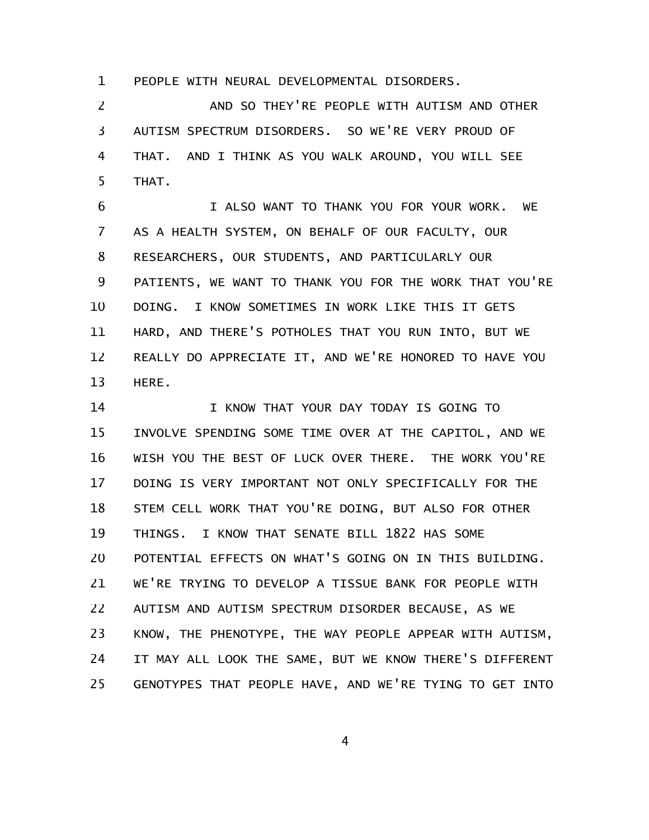PEOPLE WITH NEURAL DEVELOPMENTAL DISORDERS. 1

AND SO THEY'RE PEOPLE WITH AUTISM AND OTHER AUTISM SPECTRUM DISORDERS. SO WE'RE VERY PROUD OF THAT. AND I THINK AS YOU WALK AROUND, YOU WILL SEE THAT. 2 3 4 5

I ALSO WANT TO THANK YOU FOR YOUR WORK. WE AS A HEALTH SYSTEM, ON BEHALF OF OUR FACULTY, OUR RESEARCHERS, OUR STUDENTS, AND PARTICULARLY OUR PATIENTS, WE WANT TO THANK YOU FOR THE WORK THAT YOU'RE DOING. I KNOW SOMETIMES IN WORK LIKE THIS IT GETS HARD, AND THERE'S POTHOLES THAT YOU RUN INTO, BUT WE REALLY DO APPRECIATE IT, AND WE'RE HONORED TO HAVE YOU HERE. 6 7 8 9 10 11 12 13

I KNOW THAT YOUR DAY TODAY IS GOING TO INVOLVE SPENDING SOME TIME OVER AT THE CAPITOL, AND WE WISH YOU THE BEST OF LUCK OVER THERE. THE WORK YOU'RE DOING IS VERY IMPORTANT NOT ONLY SPECIFICALLY FOR THE STEM CELL WORK THAT YOU'RE DOING, BUT ALSO FOR OTHER THINGS. I KNOW THAT SENATE BILL 1822 HAS SOME POTENTIAL EFFECTS ON WHAT'S GOING ON IN THIS BUILDING. WE'RE TRYING TO DEVELOP A TISSUE BANK FOR PEOPLE WITH AUTISM AND AUTISM SPECTRUM DISORDER BECAUSE, AS WE KNOW, THE PHENOTYPE, THE WAY PEOPLE APPEAR WITH AUTISM, IT MAY ALL LOOK THE SAME, BUT WE KNOW THERE'S DIFFERENT GENOTYPES THAT PEOPLE HAVE, AND WE'RE TYING TO GET INTO 14 15 16 17 18 19 20 21 22 23 24 25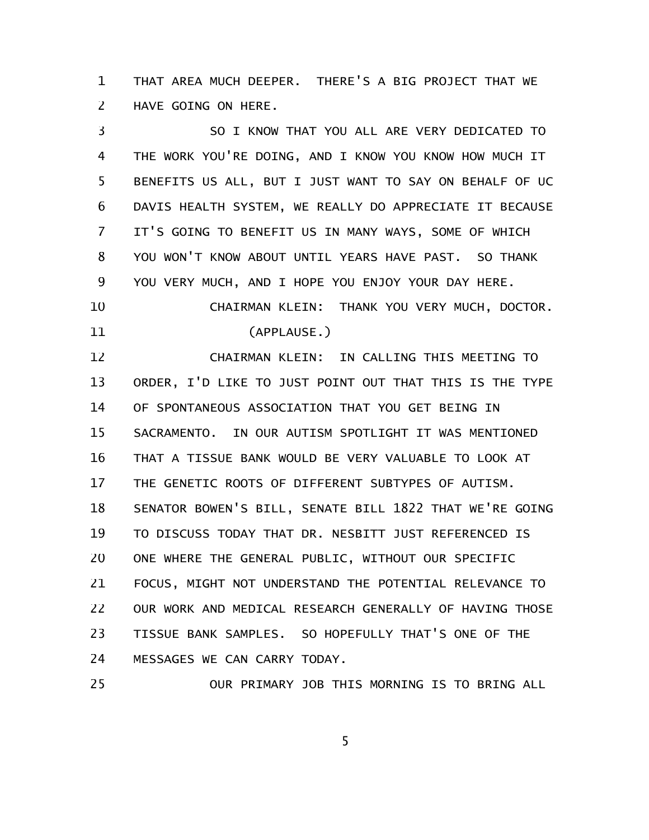THAT AREA MUCH DEEPER. THERE'S A BIG PROJECT THAT WE HAVE GOING ON HERE. 1 2

SO I KNOW THAT YOU ALL ARE VERY DEDICATED TO THE WORK YOU'RE DOING, AND I KNOW YOU KNOW HOW MUCH IT BENEFITS US ALL, BUT I JUST WANT TO SAY ON BEHALF OF UC DAVIS HEALTH SYSTEM, WE REALLY DO APPRECIATE IT BECAUSE IT'S GOING TO BENEFIT US IN MANY WAYS, SOME OF WHICH YOU WON'T KNOW ABOUT UNTIL YEARS HAVE PAST. SO THANK YOU VERY MUCH, AND I HOPE YOU ENJOY YOUR DAY HERE. CHAIRMAN KLEIN: THANK YOU VERY MUCH, DOCTOR. (APPLAUSE.) CHAIRMAN KLEIN: IN CALLING THIS MEETING TO ORDER, I'D LIKE TO JUST POINT OUT THAT THIS IS THE TYPE OF SPONTANEOUS ASSOCIATION THAT YOU GET BEING IN SACRAMENTO. IN OUR AUTISM SPOTLIGHT IT WAS MENTIONED THAT A TISSUE BANK WOULD BE VERY VALUABLE TO LOOK AT THE GENETIC ROOTS OF DIFFERENT SUBTYPES OF AUTISM. SENATOR BOWEN'S BILL, SENATE BILL 1822 THAT WE'RE GOING TO DISCUSS TODAY THAT DR. NESBITT JUST REFERENCED IS ONE WHERE THE GENERAL PUBLIC, WITHOUT OUR SPECIFIC FOCUS, MIGHT NOT UNDERSTAND THE POTENTIAL RELEVANCE TO OUR WORK AND MEDICAL RESEARCH GENERALLY OF HAVING THOSE TISSUE BANK SAMPLES. SO HOPEFULLY THAT'S ONE OF THE MESSAGES WE CAN CARRY TODAY. 3 4 5 6 7 8 9 10 11 12 13 14 15 16 17 18 19 20 21 22 23 24

5

25

OUR PRIMARY JOB THIS MORNING IS TO BRING ALL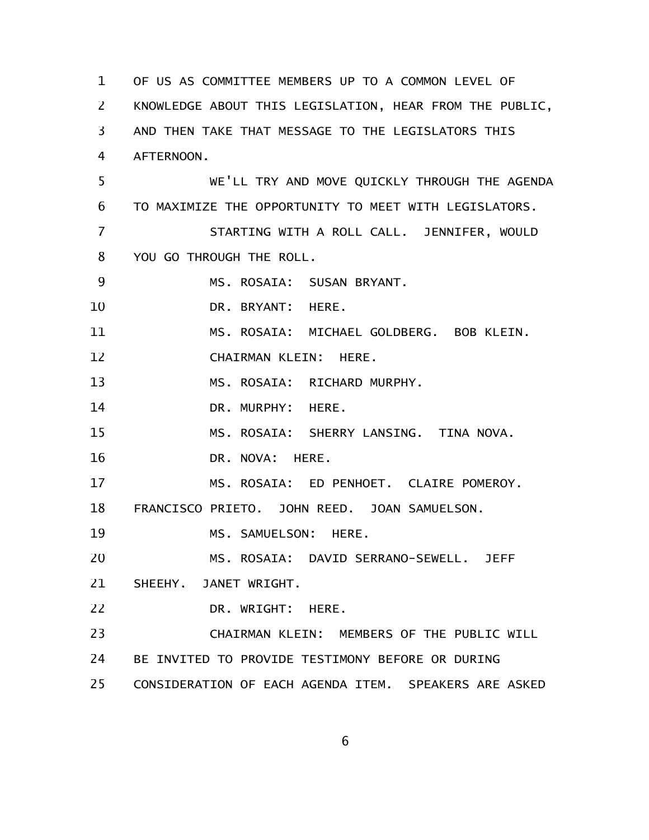OF US AS COMMITTEE MEMBERS UP TO A COMMON LEVEL OF KNOWLEDGE ABOUT THIS LEGISLATION, HEAR FROM THE PUBLIC, AND THEN TAKE THAT MESSAGE TO THE LEGISLATORS THIS AFTERNOON. WE'LL TRY AND MOVE QUICKLY THROUGH THE AGENDA TO MAXIMIZE THE OPPORTUNITY TO MEET WITH LEGISLATORS. STARTING WITH A ROLL CALL. JENNIFER, WOULD YOU GO THROUGH THE ROLL. MS. ROSAIA: SUSAN BRYANT. DR. BRYANT: HERE. MS. ROSAIA: MICHAEL GOLDBERG. BOB KLEIN. CHAIRMAN KLEIN: HERE. MS. ROSAIA: RICHARD MURPHY. DR. MURPHY: HERE. MS. ROSAIA: SHERRY LANSING. TINA NOVA. DR. NOVA: HERE. MS. ROSAIA: ED PENHOET. CLAIRE POMEROY. FRANCISCO PRIETO. JOHN REED. JOAN SAMUELSON. MS. SAMUELSON: HERE. MS. ROSAIA: DAVID SERRANO-SEWELL. JEFF SHEEHY. JANET WRIGHT. DR. WRIGHT: HERE. CHAIRMAN KLEIN: MEMBERS OF THE PUBLIC WILL BE INVITED TO PROVIDE TESTIMONY BEFORE OR DURING CONSIDERATION OF EACH AGENDA ITEM. SPEAKERS ARE ASKED 1 2 3 4 5 6 7 8 9 10 11 12 13 14 15 16 17 18 19 20 21 22 23 24 25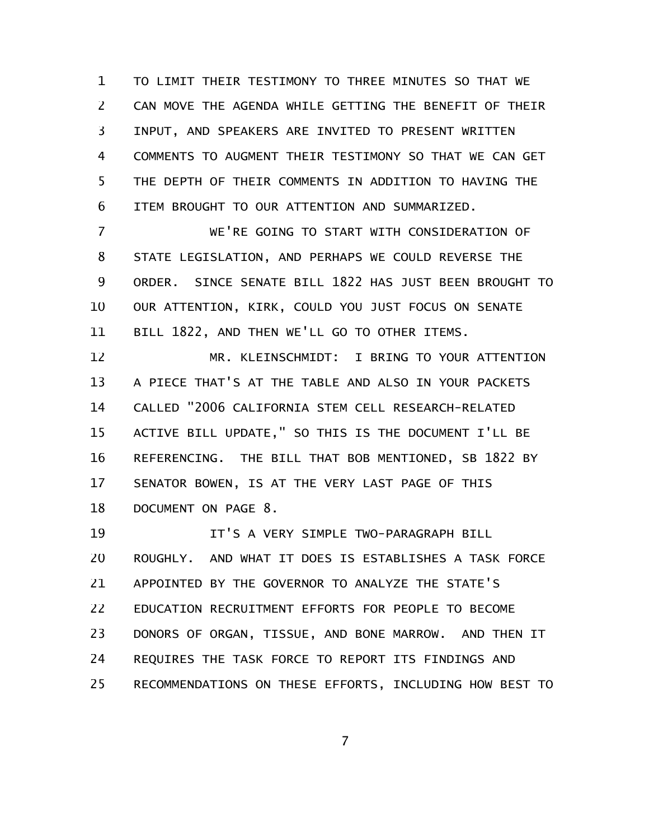TO LIMIT THEIR TESTIMONY TO THREE MINUTES SO THAT WE CAN MOVE THE AGENDA WHILE GETTING THE BENEFIT OF THEIR INPUT, AND SPEAKERS ARE INVITED TO PRESENT WRITTEN COMMENTS TO AUGMENT THEIR TESTIMONY SO THAT WE CAN GET THE DEPTH OF THEIR COMMENTS IN ADDITION TO HAVING THE ITEM BROUGHT TO OUR ATTENTION AND SUMMARIZED. 1 2 3 4 5 6

WE'RE GOING TO START WITH CONSIDERATION OF STATE LEGISLATION, AND PERHAPS WE COULD REVERSE THE ORDER. SINCE SENATE BILL 1822 HAS JUST BEEN BROUGHT TO OUR ATTENTION, KIRK, COULD YOU JUST FOCUS ON SENATE BILL 1822, AND THEN WE'LL GO TO OTHER ITEMS. 7 8 9 10 11

MR. KLEINSCHMIDT: I BRING TO YOUR ATTENTION A PIECE THAT'S AT THE TABLE AND ALSO IN YOUR PACKETS CALLED "2006 CALIFORNIA STEM CELL RESEARCH-RELATED ACTIVE BILL UPDATE," SO THIS IS THE DOCUMENT I'LL BE REFERENCING. THE BILL THAT BOB MENTIONED, SB 1822 BY SENATOR BOWEN, IS AT THE VERY LAST PAGE OF THIS DOCUMENT ON PAGE 8. 12 13 14 15 16 17 18

IT'S A VERY SIMPLE TWO-PARAGRAPH BILL ROUGHLY. AND WHAT IT DOES IS ESTABLISHES A TASK FORCE APPOINTED BY THE GOVERNOR TO ANALYZE THE STATE'S EDUCATION RECRUITMENT EFFORTS FOR PEOPLE TO BECOME DONORS OF ORGAN, TISSUE, AND BONE MARROW. AND THEN IT REQUIRES THE TASK FORCE TO REPORT ITS FINDINGS AND RECOMMENDATIONS ON THESE EFFORTS, INCLUDING HOW BEST TO 19 20 21 22 23 24 25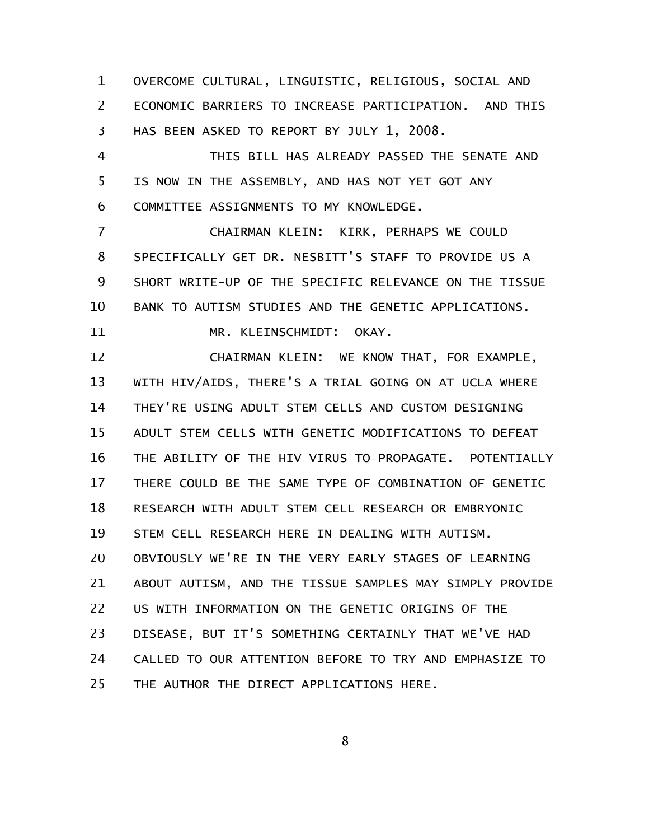OVERCOME CULTURAL, LINGUISTIC, RELIGIOUS, SOCIAL AND ECONOMIC BARRIERS TO INCREASE PARTICIPATION. AND THIS HAS BEEN ASKED TO REPORT BY JULY 1, 2008. 1 2 3

THIS BILL HAS ALREADY PASSED THE SENATE AND IS NOW IN THE ASSEMBLY, AND HAS NOT YET GOT ANY COMMITTEE ASSIGNMENTS TO MY KNOWLEDGE. 4 5 6

CHAIRMAN KLEIN: KIRK, PERHAPS WE COULD SPECIFICALLY GET DR. NESBITT'S STAFF TO PROVIDE US A SHORT WRITE-UP OF THE SPECIFIC RELEVANCE ON THE TISSUE BANK TO AUTISM STUDIES AND THE GENETIC APPLICATIONS. 7 8 9 10

11

MR. KLEINSCHMIDT: OKAY.

CHAIRMAN KLEIN: WE KNOW THAT, FOR EXAMPLE, WITH HIV/AIDS, THERE'S A TRIAL GOING ON AT UCLA WHERE THEY'RE USING ADULT STEM CELLS AND CUSTOM DESIGNING ADULT STEM CELLS WITH GENETIC MODIFICATIONS TO DEFEAT THE ABILITY OF THE HIV VIRUS TO PROPAGATE. POTENTIALLY THERE COULD BE THE SAME TYPE OF COMBINATION OF GENETIC RESEARCH WITH ADULT STEM CELL RESEARCH OR EMBRYONIC STEM CELL RESEARCH HERE IN DEALING WITH AUTISM. OBVIOUSLY WE'RE IN THE VERY EARLY STAGES OF LEARNING ABOUT AUTISM, AND THE TISSUE SAMPLES MAY SIMPLY PROVIDE US WITH INFORMATION ON THE GENETIC ORIGINS OF THE DISEASE, BUT IT'S SOMETHING CERTAINLY THAT WE'VE HAD CALLED TO OUR ATTENTION BEFORE TO TRY AND EMPHASIZE TO THE AUTHOR THE DIRECT APPLICATIONS HERE. 12 13 14 15 16 17 18 19 20 21 22 23 24 25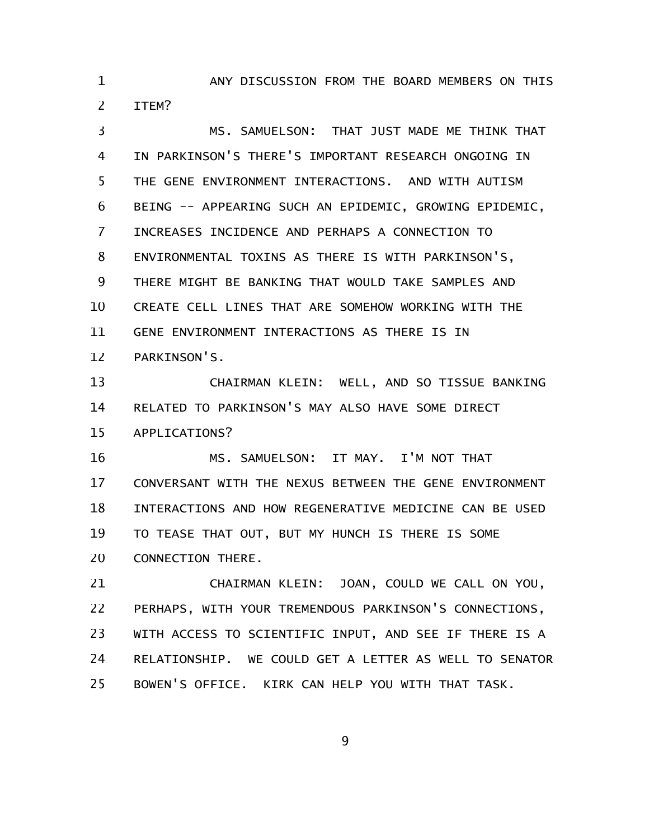ANY DISCUSSION FROM THE BOARD MEMBERS ON THIS ITEM? 1 2

MS. SAMUELSON: THAT JUST MADE ME THINK THAT IN PARKINSON'S THERE'S IMPORTANT RESEARCH ONGOING IN THE GENE ENVIRONMENT INTERACTIONS. AND WITH AUTISM BEING -- APPEARING SUCH AN EPIDEMIC, GROWING EPIDEMIC, INCREASES INCIDENCE AND PERHAPS A CONNECTION TO ENVIRONMENTAL TOXINS AS THERE IS WITH PARKINSON'S, THERE MIGHT BE BANKING THAT WOULD TAKE SAMPLES AND CREATE CELL LINES THAT ARE SOMEHOW WORKING WITH THE GENE ENVIRONMENT INTERACTIONS AS THERE IS IN PARKINSON'S. 3 4 5 6 7 8 9 10 11 12

CHAIRMAN KLEIN: WELL, AND SO TISSUE BANKING RELATED TO PARKINSON'S MAY ALSO HAVE SOME DIRECT APPLICATIONS? 13 14 15

MS. SAMUELSON: IT MAY. I'M NOT THAT CONVERSANT WITH THE NEXUS BETWEEN THE GENE ENVIRONMENT INTERACTIONS AND HOW REGENERATIVE MEDICINE CAN BE USED TO TEASE THAT OUT, BUT MY HUNCH IS THERE IS SOME CONNECTION THERE. 16 17 18 19 20

CHAIRMAN KLEIN: JOAN, COULD WE CALL ON YOU, PERHAPS, WITH YOUR TREMENDOUS PARKINSON'S CONNECTIONS, WITH ACCESS TO SCIENTIFIC INPUT, AND SEE IF THERE IS A RELATIONSHIP. WE COULD GET A LETTER AS WELL TO SENATOR BOWEN'S OFFICE. KIRK CAN HELP YOU WITH THAT TASK. 21 22 23 24 25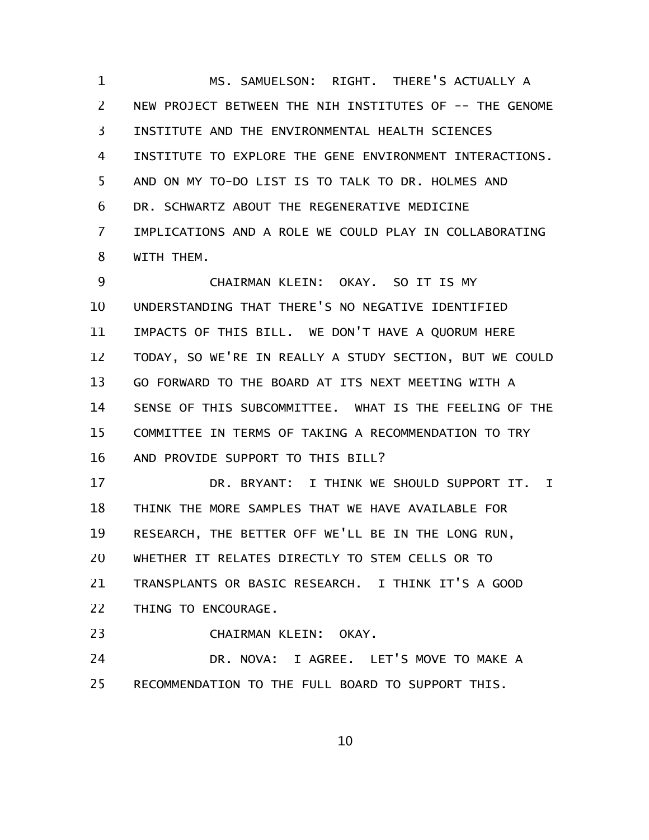MS. SAMUELSON: RIGHT. THERE'S ACTUALLY A NEW PROJECT BETWEEN THE NIH INSTITUTES OF -- THE GENOME INSTITUTE AND THE ENVIRONMENTAL HEALTH SCIENCES INSTITUTE TO EXPLORE THE GENE ENVIRONMENT INTERACTIONS. AND ON MY TO-DO LIST IS TO TALK TO DR. HOLMES AND DR. SCHWARTZ ABOUT THE REGENERATIVE MEDICINE IMPLICATIONS AND A ROLE WE COULD PLAY IN COLLABORATING WITH THEM. 1 2 3 4 5 6 7 8

CHAIRMAN KLEIN: OKAY. SO IT IS MY UNDERSTANDING THAT THERE'S NO NEGATIVE IDENTIFIED IMPACTS OF THIS BILL. WE DON'T HAVE A QUORUM HERE TODAY, SO WE'RE IN REALLY A STUDY SECTION, BUT WE COULD GO FORWARD TO THE BOARD AT ITS NEXT MEETING WITH A SENSE OF THIS SUBCOMMITTEE. WHAT IS THE FEELING OF THE COMMITTEE IN TERMS OF TAKING A RECOMMENDATION TO TRY AND PROVIDE SUPPORT TO THIS BILL? 9 10 11 12 13 14 15 16

DR. BRYANT: I THINK WE SHOULD SUPPORT IT. I THINK THE MORE SAMPLES THAT WE HAVE AVAILABLE FOR RESEARCH, THE BETTER OFF WE'LL BE IN THE LONG RUN, WHETHER IT RELATES DIRECTLY TO STEM CELLS OR TO TRANSPLANTS OR BASIC RESEARCH. I THINK IT'S A GOOD THING TO ENCOURAGE. 17 18 19 20 21 22

CHAIRMAN KLEIN: OKAY. 23

DR. NOVA: I AGREE. LET'S MOVE TO MAKE A RECOMMENDATION TO THE FULL BOARD TO SUPPORT THIS. 24 25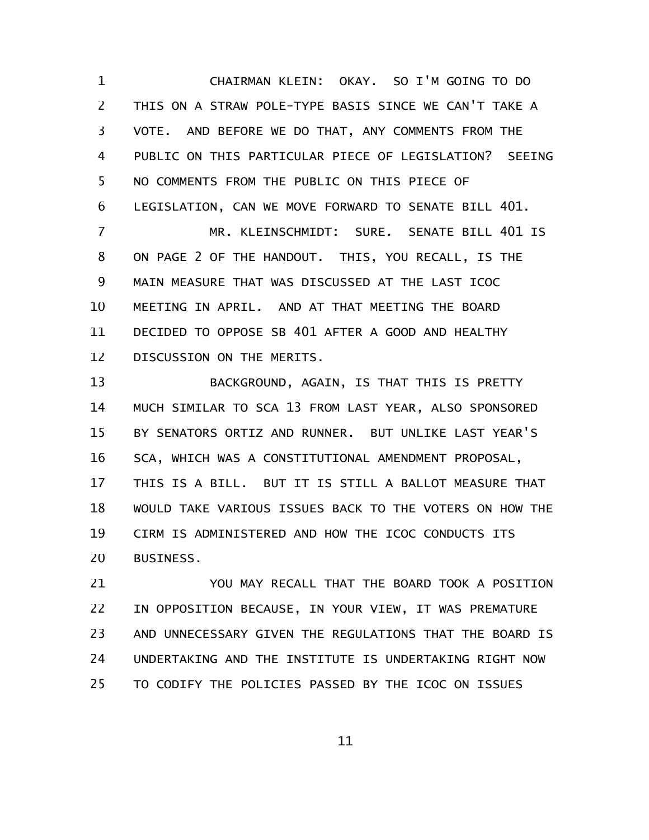CHAIRMAN KLEIN: OKAY. SO I'M GOING TO DO THIS ON A STRAW POLE-TYPE BASIS SINCE WE CAN'T TAKE A VOTE. AND BEFORE WE DO THAT, ANY COMMENTS FROM THE PUBLIC ON THIS PARTICULAR PIECE OF LEGISLATION? SEEING NO COMMENTS FROM THE PUBLIC ON THIS PIECE OF LEGISLATION, CAN WE MOVE FORWARD TO SENATE BILL 401. MR. KLEINSCHMIDT: SURE. SENATE BILL 401 IS ON PAGE 2 OF THE HANDOUT. THIS, YOU RECALL, IS THE 1 2 3 4 5 6 7 8

MAIN MEASURE THAT WAS DISCUSSED AT THE LAST ICOC MEETING IN APRIL. AND AT THAT MEETING THE BOARD DECIDED TO OPPOSE SB 401 AFTER A GOOD AND HEALTHY DISCUSSION ON THE MERITS. 9 10 11 12

BACKGROUND, AGAIN, IS THAT THIS IS PRETTY MUCH SIMILAR TO SCA 13 FROM LAST YEAR, ALSO SPONSORED BY SENATORS ORTIZ AND RUNNER. BUT UNLIKE LAST YEAR'S SCA, WHICH WAS A CONSTITUTIONAL AMENDMENT PROPOSAL, THIS IS A BILL. BUT IT IS STILL A BALLOT MEASURE THAT WOULD TAKE VARIOUS ISSUES BACK TO THE VOTERS ON HOW THE CIRM IS ADMINISTERED AND HOW THE ICOC CONDUCTS ITS BUSINESS. 13 14 15 16 17 18 19 20

YOU MAY RECALL THAT THE BOARD TOOK A POSITION IN OPPOSITION BECAUSE, IN YOUR VIEW, IT WAS PREMATURE AND UNNECESSARY GIVEN THE REGULATIONS THAT THE BOARD IS UNDERTAKING AND THE INSTITUTE IS UNDERTAKING RIGHT NOW TO CODIFY THE POLICIES PASSED BY THE ICOC ON ISSUES 21 22 23 24 25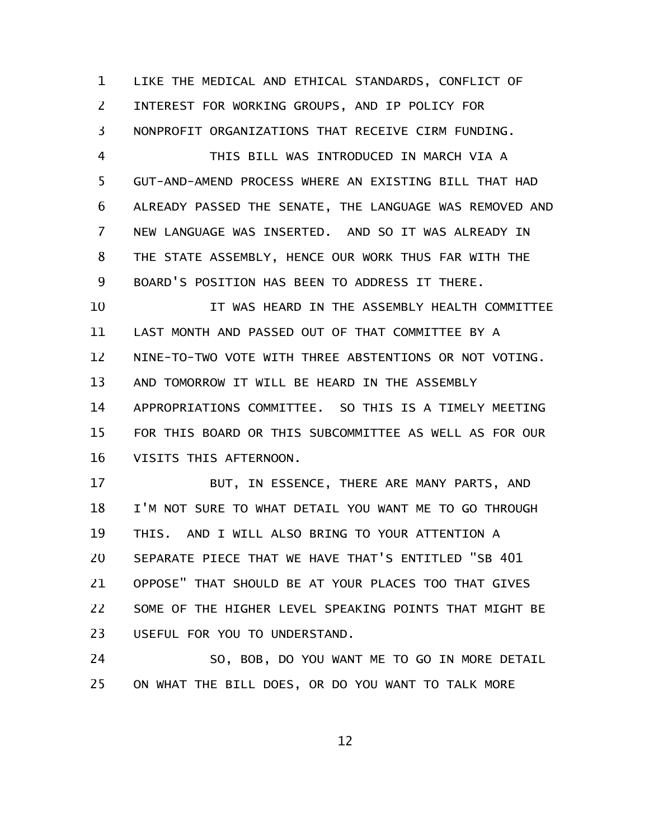LIKE THE MEDICAL AND ETHICAL STANDARDS, CONFLICT OF INTEREST FOR WORKING GROUPS, AND IP POLICY FOR NONPROFIT ORGANIZATIONS THAT RECEIVE CIRM FUNDING. 1 2 3

THIS BILL WAS INTRODUCED IN MARCH VIA A GUT-AND-AMEND PROCESS WHERE AN EXISTING BILL THAT HAD ALREADY PASSED THE SENATE, THE LANGUAGE WAS REMOVED AND NEW LANGUAGE WAS INSERTED. AND SO IT WAS ALREADY IN THE STATE ASSEMBLY, HENCE OUR WORK THUS FAR WITH THE BOARD'S POSITION HAS BEEN TO ADDRESS IT THERE. 4 5 6 7 8 9

IT WAS HEARD IN THE ASSEMBLY HEALTH COMMITTEE LAST MONTH AND PASSED OUT OF THAT COMMITTEE BY A NINE-TO-TWO VOTE WITH THREE ABSTENTIONS OR NOT VOTING. AND TOMORROW IT WILL BE HEARD IN THE ASSEMBLY APPROPRIATIONS COMMITTEE. SO THIS IS A TIMELY MEETING FOR THIS BOARD OR THIS SUBCOMMITTEE AS WELL AS FOR OUR VISITS THIS AFTERNOON. 10 11 12 13 14 15 16

BUT, IN ESSENCE, THERE ARE MANY PARTS, AND I'M NOT SURE TO WHAT DETAIL YOU WANT ME TO GO THROUGH THIS. AND I WILL ALSO BRING TO YOUR ATTENTION A SEPARATE PIECE THAT WE HAVE THAT'S ENTITLED "SB 401 OPPOSE" THAT SHOULD BE AT YOUR PLACES TOO THAT GIVES SOME OF THE HIGHER LEVEL SPEAKING POINTS THAT MIGHT BE USEFUL FOR YOU TO UNDERSTAND. 17 18 19 20 21 22 23

SO, BOB, DO YOU WANT ME TO GO IN MORE DETAIL ON WHAT THE BILL DOES, OR DO YOU WANT TO TALK MORE 24 25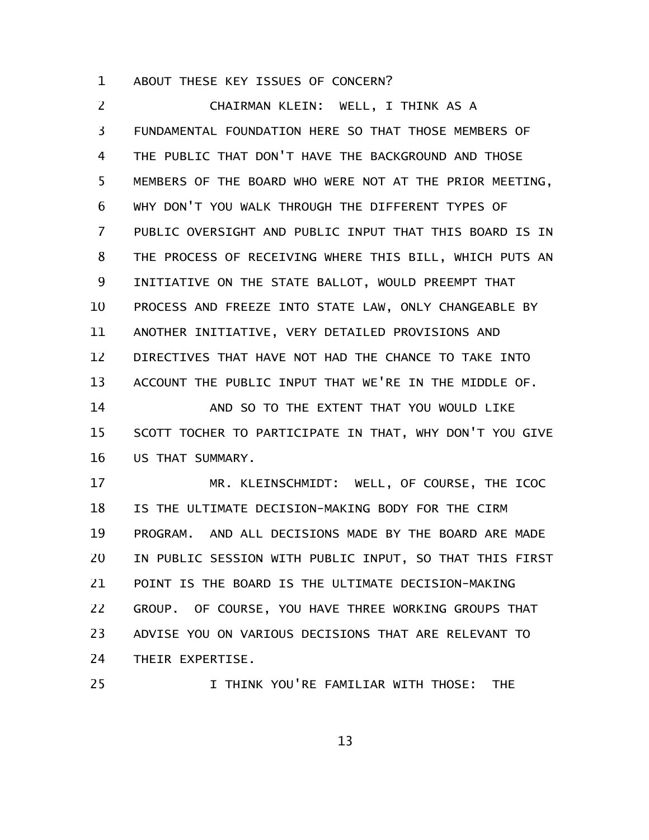ABOUT THESE KEY ISSUES OF CONCERN? 1

CHAIRMAN KLEIN: WELL, I THINK AS A FUNDAMENTAL FOUNDATION HERE SO THAT THOSE MEMBERS OF THE PUBLIC THAT DON'T HAVE THE BACKGROUND AND THOSE MEMBERS OF THE BOARD WHO WERE NOT AT THE PRIOR MEETING, WHY DON'T YOU WALK THROUGH THE DIFFERENT TYPES OF PUBLIC OVERSIGHT AND PUBLIC INPUT THAT THIS BOARD IS IN THE PROCESS OF RECEIVING WHERE THIS BILL, WHICH PUTS AN INITIATIVE ON THE STATE BALLOT, WOULD PREEMPT THAT PROCESS AND FREEZE INTO STATE LAW, ONLY CHANGEABLE BY ANOTHER INITIATIVE, VERY DETAILED PROVISIONS AND DIRECTIVES THAT HAVE NOT HAD THE CHANCE TO TAKE INTO ACCOUNT THE PUBLIC INPUT THAT WE'RE IN THE MIDDLE OF. AND SO TO THE EXTENT THAT YOU WOULD LIKE SCOTT TOCHER TO PARTICIPATE IN THAT, WHY DON'T YOU GIVE US THAT SUMMARY. 2 3 4 5 6 7 8 9 10 11 12 13 14 15 16

MR. KLEINSCHMIDT: WELL, OF COURSE, THE ICOC IS THE ULTIMATE DECISION-MAKING BODY FOR THE CIRM PROGRAM. AND ALL DECISIONS MADE BY THE BOARD ARE MADE IN PUBLIC SESSION WITH PUBLIC INPUT, SO THAT THIS FIRST POINT IS THE BOARD IS THE ULTIMATE DECISION-MAKING GROUP. OF COURSE, YOU HAVE THREE WORKING GROUPS THAT ADVISE YOU ON VARIOUS DECISIONS THAT ARE RELEVANT TO THEIR EXPERTISE. 17 18 19 20 21 22 23 24

25

I THINK YOU'RE FAMILIAR WITH THOSE: THE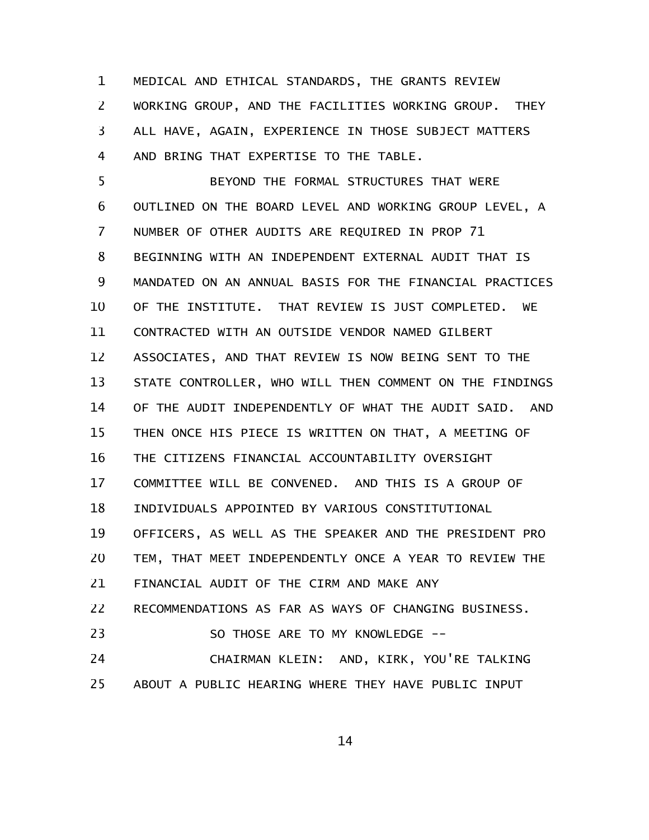MEDICAL AND ETHICAL STANDARDS, THE GRANTS REVIEW WORKING GROUP, AND THE FACILITIES WORKING GROUP. THEY ALL HAVE, AGAIN, EXPERIENCE IN THOSE SUBJECT MATTERS AND BRING THAT EXPERTISE TO THE TABLE. 1 2 3 4

BEYOND THE FORMAL STRUCTURES THAT WERE OUTLINED ON THE BOARD LEVEL AND WORKING GROUP LEVEL, A NUMBER OF OTHER AUDITS ARE REQUIRED IN PROP 71 BEGINNING WITH AN INDEPENDENT EXTERNAL AUDIT THAT IS MANDATED ON AN ANNUAL BASIS FOR THE FINANCIAL PRACTICES OF THE INSTITUTE. THAT REVIEW IS JUST COMPLETED. WE CONTRACTED WITH AN OUTSIDE VENDOR NAMED GILBERT ASSOCIATES, AND THAT REVIEW IS NOW BEING SENT TO THE STATE CONTROLLER, WHO WILL THEN COMMENT ON THE FINDINGS OF THE AUDIT INDEPENDENTLY OF WHAT THE AUDIT SAID. AND THEN ONCE HIS PIECE IS WRITTEN ON THAT, A MEETING OF THE CITIZENS FINANCIAL ACCOUNTABILITY OVERSIGHT COMMITTEE WILL BE CONVENED. AND THIS IS A GROUP OF INDIVIDUALS APPOINTED BY VARIOUS CONSTITUTIONAL OFFICERS, AS WELL AS THE SPEAKER AND THE PRESIDENT PRO TEM, THAT MEET INDEPENDENTLY ONCE A YEAR TO REVIEW THE FINANCIAL AUDIT OF THE CIRM AND MAKE ANY RECOMMENDATIONS AS FAR AS WAYS OF CHANGING BUSINESS. SO THOSE ARE TO MY KNOWLEDGE -- CHAIRMAN KLEIN: AND, KIRK, YOU'RE TALKING ABOUT A PUBLIC HEARING WHERE THEY HAVE PUBLIC INPUT 5 6 7 8 9 10 11 12 13 14 15 16 17 18 19 20 21 22 23 24 25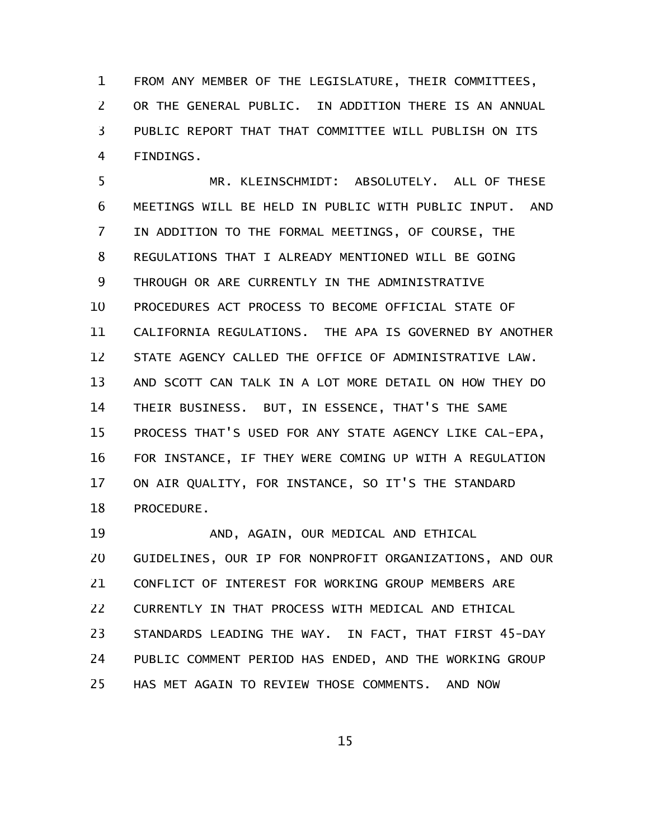FROM ANY MEMBER OF THE LEGISLATURE, THEIR COMMITTEES, OR THE GENERAL PUBLIC. IN ADDITION THERE IS AN ANNUAL PUBLIC REPORT THAT THAT COMMITTEE WILL PUBLISH ON ITS FINDINGS. 1 2 3 4

MR. KLEINSCHMIDT: ABSOLUTELY. ALL OF THESE MEETINGS WILL BE HELD IN PUBLIC WITH PUBLIC INPUT. AND IN ADDITION TO THE FORMAL MEETINGS, OF COURSE, THE REGULATIONS THAT I ALREADY MENTIONED WILL BE GOING THROUGH OR ARE CURRENTLY IN THE ADMINISTRATIVE PROCEDURES ACT PROCESS TO BECOME OFFICIAL STATE OF CALIFORNIA REGULATIONS. THE APA IS GOVERNED BY ANOTHER STATE AGENCY CALLED THE OFFICE OF ADMINISTRATIVE LAW. AND SCOTT CAN TALK IN A LOT MORE DETAIL ON HOW THEY DO THEIR BUSINESS. BUT, IN ESSENCE, THAT'S THE SAME PROCESS THAT'S USED FOR ANY STATE AGENCY LIKE CAL-EPA, FOR INSTANCE, IF THEY WERE COMING UP WITH A REGULATION ON AIR QUALITY, FOR INSTANCE, SO IT'S THE STANDARD PROCEDURE. 5 6 7 8 9 10 11 12 13 14 15 16 17 18

AND, AGAIN, OUR MEDICAL AND ETHICAL GUIDELINES, OUR IP FOR NONPROFIT ORGANIZATIONS, AND OUR CONFLICT OF INTEREST FOR WORKING GROUP MEMBERS ARE CURRENTLY IN THAT PROCESS WITH MEDICAL AND ETHICAL STANDARDS LEADING THE WAY. IN FACT, THAT FIRST 45-DAY PUBLIC COMMENT PERIOD HAS ENDED, AND THE WORKING GROUP HAS MET AGAIN TO REVIEW THOSE COMMENTS. AND NOW 19 20 21 22 23 24 25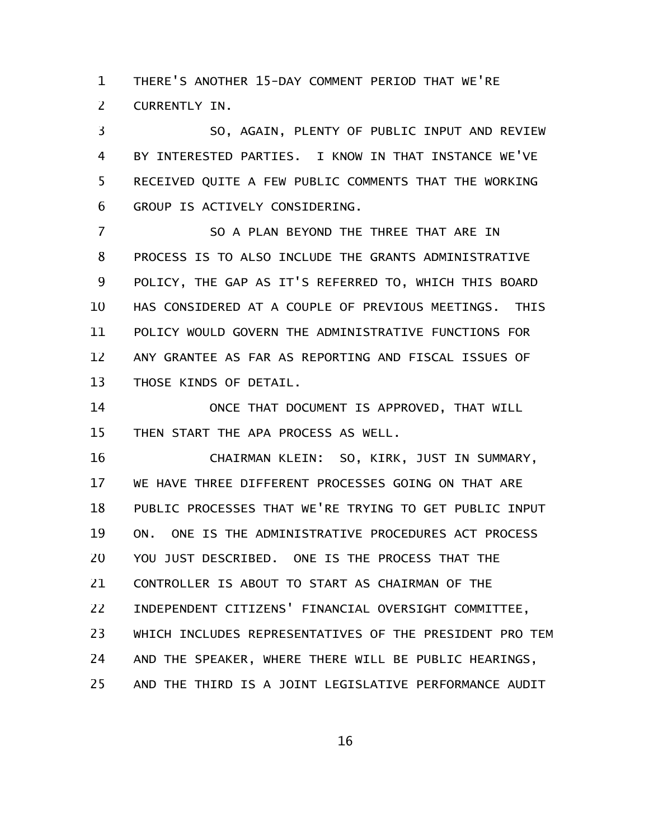THERE'S ANOTHER 15-DAY COMMENT PERIOD THAT WE'RE CURRENTLY IN. 1 2

SO, AGAIN, PLENTY OF PUBLIC INPUT AND REVIEW BY INTERESTED PARTIES. I KNOW IN THAT INSTANCE WE'VE RECEIVED QUITE A FEW PUBLIC COMMENTS THAT THE WORKING GROUP IS ACTIVELY CONSIDERING. 3 4 5 6

SO A PLAN BEYOND THE THREE THAT ARE IN PROCESS IS TO ALSO INCLUDE THE GRANTS ADMINISTRATIVE POLICY, THE GAP AS IT'S REFERRED TO, WHICH THIS BOARD HAS CONSIDERED AT A COUPLE OF PREVIOUS MEETINGS. THIS POLICY WOULD GOVERN THE ADMINISTRATIVE FUNCTIONS FOR ANY GRANTEE AS FAR AS REPORTING AND FISCAL ISSUES OF THOSE KINDS OF DETAIL. 7 8 9 10 11 12 13

ONCE THAT DOCUMENT IS APPROVED, THAT WILL THEN START THE APA PROCESS AS WELL. 14 15

CHAIRMAN KLEIN: SO, KIRK, JUST IN SUMMARY, WE HAVE THREE DIFFERENT PROCESSES GOING ON THAT ARE PUBLIC PROCESSES THAT WE'RE TRYING TO GET PUBLIC INPUT ON. ONE IS THE ADMINISTRATIVE PROCEDURES ACT PROCESS YOU JUST DESCRIBED. ONE IS THE PROCESS THAT THE CONTROLLER IS ABOUT TO START AS CHAIRMAN OF THE INDEPENDENT CITIZENS' FINANCIAL OVERSIGHT COMMITTEE, WHICH INCLUDES REPRESENTATIVES OF THE PRESIDENT PRO TEM AND THE SPEAKER, WHERE THERE WILL BE PUBLIC HEARINGS, AND THE THIRD IS A JOINT LEGISLATIVE PERFORMANCE AUDIT 16 17 18 19 20 21 22 23 24 25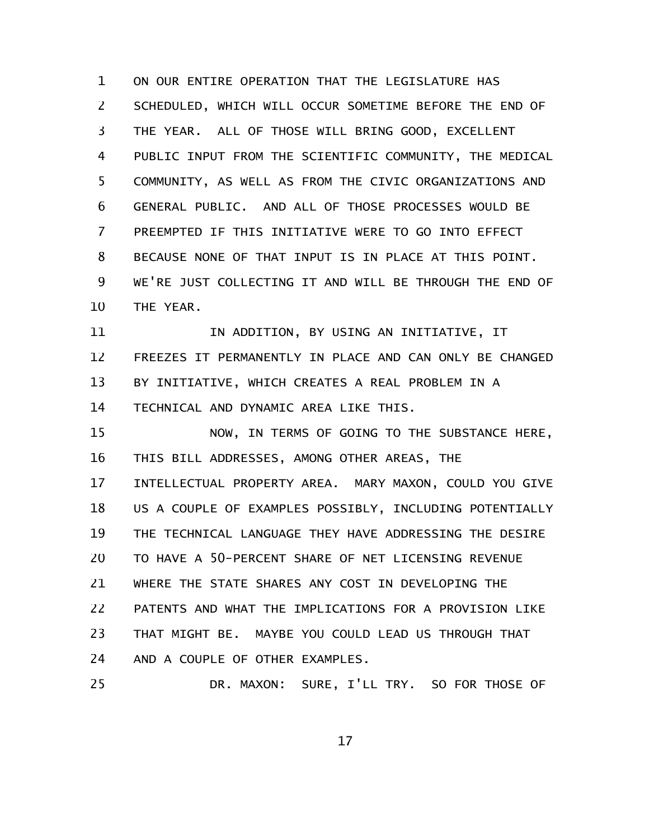ON OUR ENTIRE OPERATION THAT THE LEGISLATURE HAS SCHEDULED, WHICH WILL OCCUR SOMETIME BEFORE THE END OF THE YEAR. ALL OF THOSE WILL BRING GOOD, EXCELLENT PUBLIC INPUT FROM THE SCIENTIFIC COMMUNITY, THE MEDICAL COMMUNITY, AS WELL AS FROM THE CIVIC ORGANIZATIONS AND GENERAL PUBLIC. AND ALL OF THOSE PROCESSES WOULD BE PREEMPTED IF THIS INITIATIVE WERE TO GO INTO EFFECT BECAUSE NONE OF THAT INPUT IS IN PLACE AT THIS POINT. WE'RE JUST COLLECTING IT AND WILL BE THROUGH THE END OF THE YEAR. 1 2 3 4 5 6 7 8 9 10

IN ADDITION, BY USING AN INITIATIVE, IT FREEZES IT PERMANENTLY IN PLACE AND CAN ONLY BE CHANGED BY INITIATIVE, WHICH CREATES A REAL PROBLEM IN A TECHNICAL AND DYNAMIC AREA LIKE THIS. 11 12 13 14

NOW, IN TERMS OF GOING TO THE SUBSTANCE HERE, THIS BILL ADDRESSES, AMONG OTHER AREAS, THE INTELLECTUAL PROPERTY AREA. MARY MAXON, COULD YOU GIVE US A COUPLE OF EXAMPLES POSSIBLY, INCLUDING POTENTIALLY THE TECHNICAL LANGUAGE THEY HAVE ADDRESSING THE DESIRE TO HAVE A 50-PERCENT SHARE OF NET LICENSING REVENUE WHERE THE STATE SHARES ANY COST IN DEVELOPING THE PATENTS AND WHAT THE IMPLICATIONS FOR A PROVISION LIKE THAT MIGHT BE. MAYBE YOU COULD LEAD US THROUGH THAT AND A COUPLE OF OTHER EXAMPLES. 15 16 17 18 19 20 21 22 23 24

DR. MAXON: SURE, I'LL TRY. SO FOR THOSE OF 25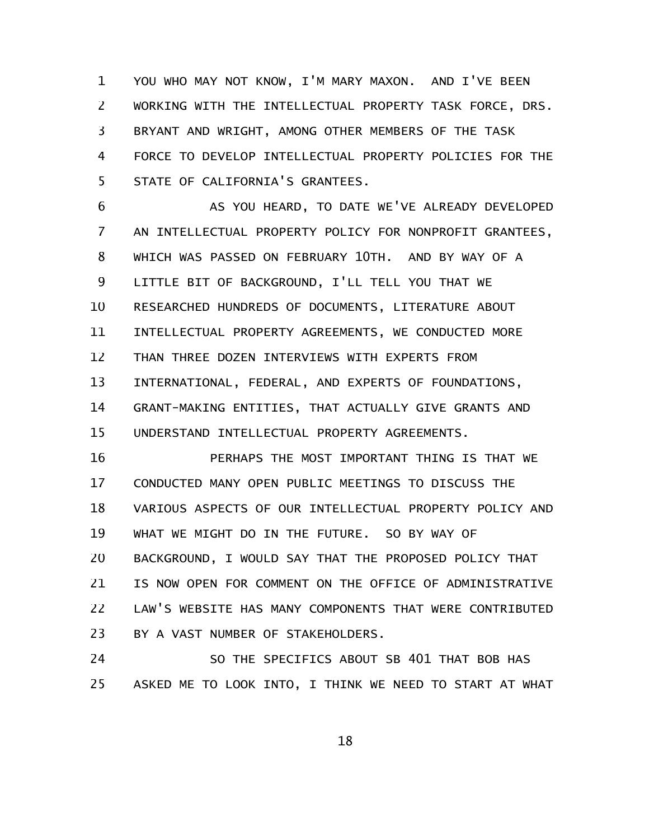YOU WHO MAY NOT KNOW, I'M MARY MAXON. AND I'VE BEEN WORKING WITH THE INTELLECTUAL PROPERTY TASK FORCE, DRS. BRYANT AND WRIGHT, AMONG OTHER MEMBERS OF THE TASK FORCE TO DEVELOP INTELLECTUAL PROPERTY POLICIES FOR THE STATE OF CALIFORNIA'S GRANTEES. 1 2 3 4 5

AS YOU HEARD, TO DATE WE'VE ALREADY DEVELOPED AN INTELLECTUAL PROPERTY POLICY FOR NONPROFIT GRANTEES, WHICH WAS PASSED ON FEBRUARY 10TH. AND BY WAY OF A LITTLE BIT OF BACKGROUND, I'LL TELL YOU THAT WE RESEARCHED HUNDREDS OF DOCUMENTS, LITERATURE ABOUT INTELLECTUAL PROPERTY AGREEMENTS, WE CONDUCTED MORE THAN THREE DOZEN INTERVIEWS WITH EXPERTS FROM INTERNATIONAL, FEDERAL, AND EXPERTS OF FOUNDATIONS, GRANT-MAKING ENTITIES, THAT ACTUALLY GIVE GRANTS AND UNDERSTAND INTELLECTUAL PROPERTY AGREEMENTS. 6 7 8 9 10 11 12 13 14 15

PERHAPS THE MOST IMPORTANT THING IS THAT WE CONDUCTED MANY OPEN PUBLIC MEETINGS TO DISCUSS THE VARIOUS ASPECTS OF OUR INTELLECTUAL PROPERTY POLICY AND WHAT WE MIGHT DO IN THE FUTURE. SO BY WAY OF BACKGROUND, I WOULD SAY THAT THE PROPOSED POLICY THAT IS NOW OPEN FOR COMMENT ON THE OFFICE OF ADMINISTRATIVE LAW'S WEBSITE HAS MANY COMPONENTS THAT WERE CONTRIBUTED BY A VAST NUMBER OF STAKEHOLDERS. 16 17 18 19 20 21 22 23

SO THE SPECIFICS ABOUT SB 401 THAT BOB HAS ASKED ME TO LOOK INTO, I THINK WE NEED TO START AT WHAT 24 25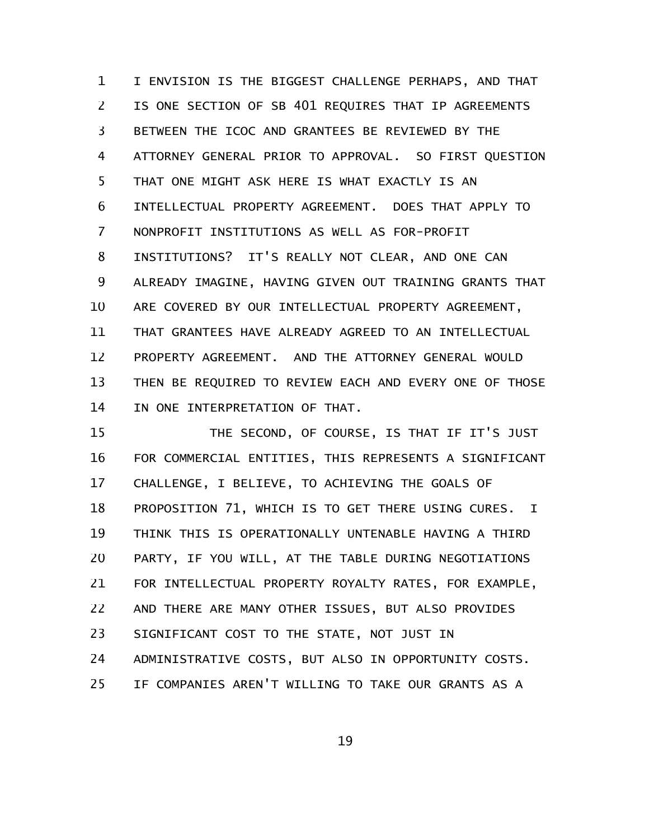I ENVISION IS THE BIGGEST CHALLENGE PERHAPS, AND THAT IS ONE SECTION OF SB 401 REQUIRES THAT IP AGREEMENTS BETWEEN THE ICOC AND GRANTEES BE REVIEWED BY THE ATTORNEY GENERAL PRIOR TO APPROVAL. SO FIRST QUESTION THAT ONE MIGHT ASK HERE IS WHAT EXACTLY IS AN INTELLECTUAL PROPERTY AGREEMENT. DOES THAT APPLY TO NONPROFIT INSTITUTIONS AS WELL AS FOR-PROFIT INSTITUTIONS? IT'S REALLY NOT CLEAR, AND ONE CAN ALREADY IMAGINE, HAVING GIVEN OUT TRAINING GRANTS THAT ARE COVERED BY OUR INTELLECTUAL PROPERTY AGREEMENT, THAT GRANTEES HAVE ALREADY AGREED TO AN INTELLECTUAL PROPERTY AGREEMENT. AND THE ATTORNEY GENERAL WOULD THEN BE REQUIRED TO REVIEW EACH AND EVERY ONE OF THOSE IN ONE INTERPRETATION OF THAT. 1 2 3 4 5 6 7 8 9 10 11 12 13 14

THE SECOND, OF COURSE, IS THAT IF IT'S JUST FOR COMMERCIAL ENTITIES, THIS REPRESENTS A SIGNIFICANT CHALLENGE, I BELIEVE, TO ACHIEVING THE GOALS OF PROPOSITION 71, WHICH IS TO GET THERE USING CURES. I THINK THIS IS OPERATIONALLY UNTENABLE HAVING A THIRD PARTY, IF YOU WILL, AT THE TABLE DURING NEGOTIATIONS FOR INTELLECTUAL PROPERTY ROYALTY RATES, FOR EXAMPLE, AND THERE ARE MANY OTHER ISSUES, BUT ALSO PROVIDES SIGNIFICANT COST TO THE STATE, NOT JUST IN ADMINISTRATIVE COSTS, BUT ALSO IN OPPORTUNITY COSTS. IF COMPANIES AREN'T WILLING TO TAKE OUR GRANTS AS A 15 16 17 18 19 20 21 22 23 24 25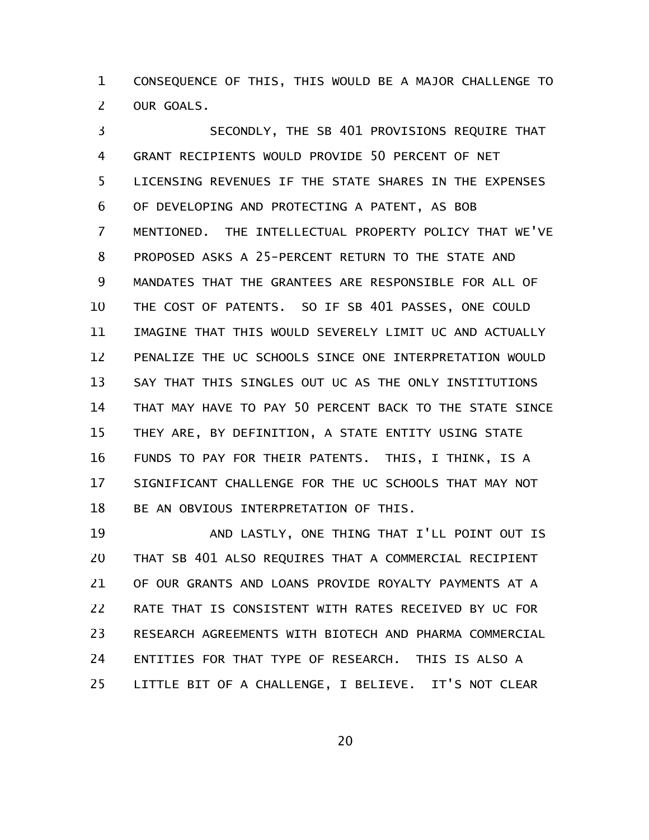CONSEQUENCE OF THIS, THIS WOULD BE A MAJOR CHALLENGE TO OUR GOALS. 1 2

SECONDLY, THE SB 401 PROVISIONS REQUIRE THAT GRANT RECIPIENTS WOULD PROVIDE 50 PERCENT OF NET LICENSING REVENUES IF THE STATE SHARES IN THE EXPENSES OF DEVELOPING AND PROTECTING A PATENT, AS BOB MENTIONED. THE INTELLECTUAL PROPERTY POLICY THAT WE'VE PROPOSED ASKS A 25-PERCENT RETURN TO THE STATE AND MANDATES THAT THE GRANTEES ARE RESPONSIBLE FOR ALL OF THE COST OF PATENTS. SO IF SB 401 PASSES, ONE COULD IMAGINE THAT THIS WOULD SEVERELY LIMIT UC AND ACTUALLY PENALIZE THE UC SCHOOLS SINCE ONE INTERPRETATION WOULD SAY THAT THIS SINGLES OUT UC AS THE ONLY INSTITUTIONS THAT MAY HAVE TO PAY 50 PERCENT BACK TO THE STATE SINCE THEY ARE, BY DEFINITION, A STATE ENTITY USING STATE FUNDS TO PAY FOR THEIR PATENTS. THIS, I THINK, IS A SIGNIFICANT CHALLENGE FOR THE UC SCHOOLS THAT MAY NOT BE AN OBVIOUS INTERPRETATION OF THIS. 3 4 5 6 7 8 9 10 11 12 13 14 15 16 17 18

AND LASTLY, ONE THING THAT I'LL POINT OUT IS THAT SB 401 ALSO REQUIRES THAT A COMMERCIAL RECIPIENT OF OUR GRANTS AND LOANS PROVIDE ROYALTY PAYMENTS AT A RATE THAT IS CONSISTENT WITH RATES RECEIVED BY UC FOR RESEARCH AGREEMENTS WITH BIOTECH AND PHARMA COMMERCIAL ENTITIES FOR THAT TYPE OF RESEARCH. THIS IS ALSO A LITTLE BIT OF A CHALLENGE, I BELIEVE. IT'S NOT CLEAR 19 20 21 22 23 24 25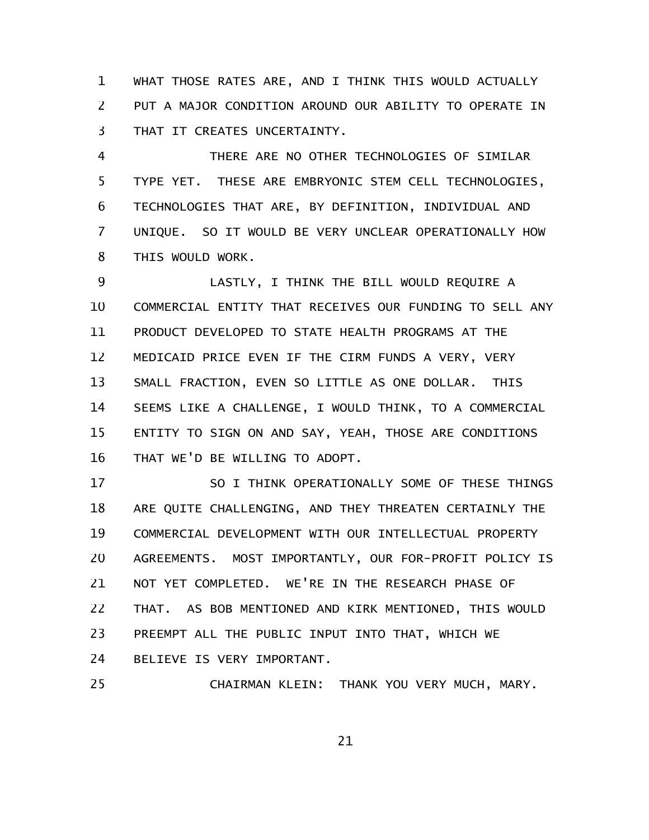WHAT THOSE RATES ARE, AND I THINK THIS WOULD ACTUALLY PUT A MAJOR CONDITION AROUND OUR ABILITY TO OPERATE IN THAT IT CREATES UNCERTAINTY. 1 2 3

THERE ARE NO OTHER TECHNOLOGIES OF SIMILAR TYPE YET. THESE ARE EMBRYONIC STEM CELL TECHNOLOGIES, TECHNOLOGIES THAT ARE, BY DEFINITION, INDIVIDUAL AND UNIQUE. SO IT WOULD BE VERY UNCLEAR OPERATIONALLY HOW THIS WOULD WORK. 4 5 6 7 8

LASTLY, I THINK THE BILL WOULD REQUIRE A COMMERCIAL ENTITY THAT RECEIVES OUR FUNDING TO SELL ANY PRODUCT DEVELOPED TO STATE HEALTH PROGRAMS AT THE MEDICAID PRICE EVEN IF THE CIRM FUNDS A VERY, VERY SMALL FRACTION, EVEN SO LITTLE AS ONE DOLLAR. THIS SEEMS LIKE A CHALLENGE, I WOULD THINK, TO A COMMERCIAL ENTITY TO SIGN ON AND SAY, YEAH, THOSE ARE CONDITIONS THAT WE'D BE WILLING TO ADOPT. 9 10 11 12 13 14 15 16

SO I THINK OPERATIONALLY SOME OF THESE THINGS ARE QUITE CHALLENGING, AND THEY THREATEN CERTAINLY THE COMMERCIAL DEVELOPMENT WITH OUR INTELLECTUAL PROPERTY AGREEMENTS. MOST IMPORTANTLY, OUR FOR-PROFIT POLICY IS NOT YET COMPLETED. WE'RE IN THE RESEARCH PHASE OF THAT. AS BOB MENTIONED AND KIRK MENTIONED, THIS WOULD PREEMPT ALL THE PUBLIC INPUT INTO THAT, WHICH WE BELIEVE IS VERY IMPORTANT. 17 18 19 20 21 22 23 24

CHAIRMAN KLEIN: THANK YOU VERY MUCH, MARY. 25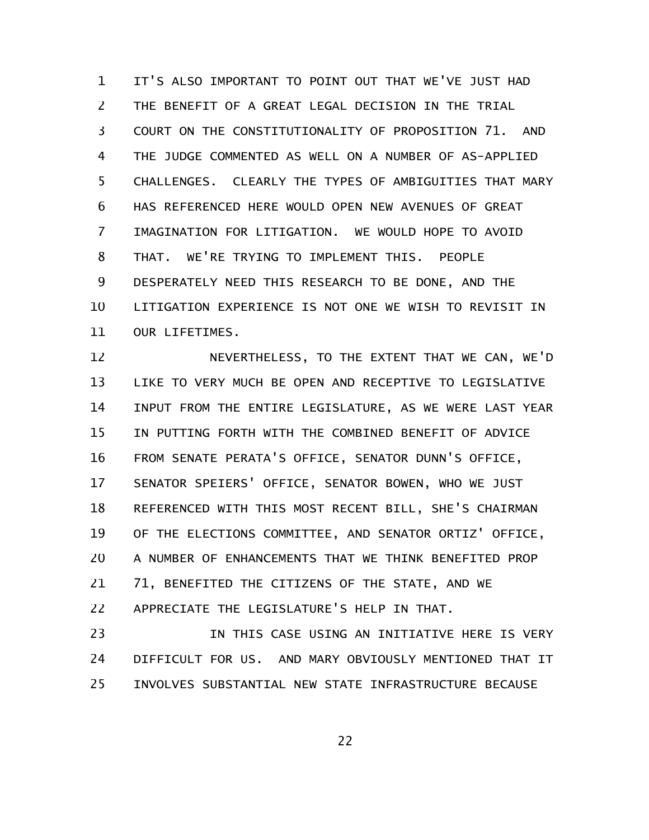IT'S ALSO IMPORTANT TO POINT OUT THAT WE'VE JUST HAD THE BENEFIT OF A GREAT LEGAL DECISION IN THE TRIAL COURT ON THE CONSTITUTIONALITY OF PROPOSITION 71. AND THE JUDGE COMMENTED AS WELL ON A NUMBER OF AS-APPLIED CHALLENGES. CLEARLY THE TYPES OF AMBIGUITIES THAT MARY HAS REFERENCED HERE WOULD OPEN NEW AVENUES OF GREAT IMAGINATION FOR LITIGATION. WE WOULD HOPE TO AVOID THAT. WE'RE TRYING TO IMPLEMENT THIS. PEOPLE DESPERATELY NEED THIS RESEARCH TO BE DONE, AND THE LITIGATION EXPERIENCE IS NOT ONE WE WISH TO REVISIT IN OUR LIFETIMES. 1 2 3 4 5 6 7 8 9 10 11

NEVERTHELESS, TO THE EXTENT THAT WE CAN, WE'D LIKE TO VERY MUCH BE OPEN AND RECEPTIVE TO LEGISLATIVE INPUT FROM THE ENTIRE LEGISLATURE, AS WE WERE LAST YEAR IN PUTTING FORTH WITH THE COMBINED BENEFIT OF ADVICE FROM SENATE PERATA'S OFFICE, SENATOR DUNN'S OFFICE, SENATOR SPEIERS' OFFICE, SENATOR BOWEN, WHO WE JUST REFERENCED WITH THIS MOST RECENT BILL, SHE'S CHAIRMAN OF THE ELECTIONS COMMITTEE, AND SENATOR ORTIZ' OFFICE, A NUMBER OF ENHANCEMENTS THAT WE THINK BENEFITED PROP 71, BENEFITED THE CITIZENS OF THE STATE, AND WE APPRECIATE THE LEGISLATURE'S HELP IN THAT. 12 13 14 15 16 17 18 19 20 21 22

IN THIS CASE USING AN INITIATIVE HERE IS VERY DIFFICULT FOR US. AND MARY OBVIOUSLY MENTIONED THAT IT INVOLVES SUBSTANTIAL NEW STATE INFRASTRUCTURE BECAUSE 23 24 25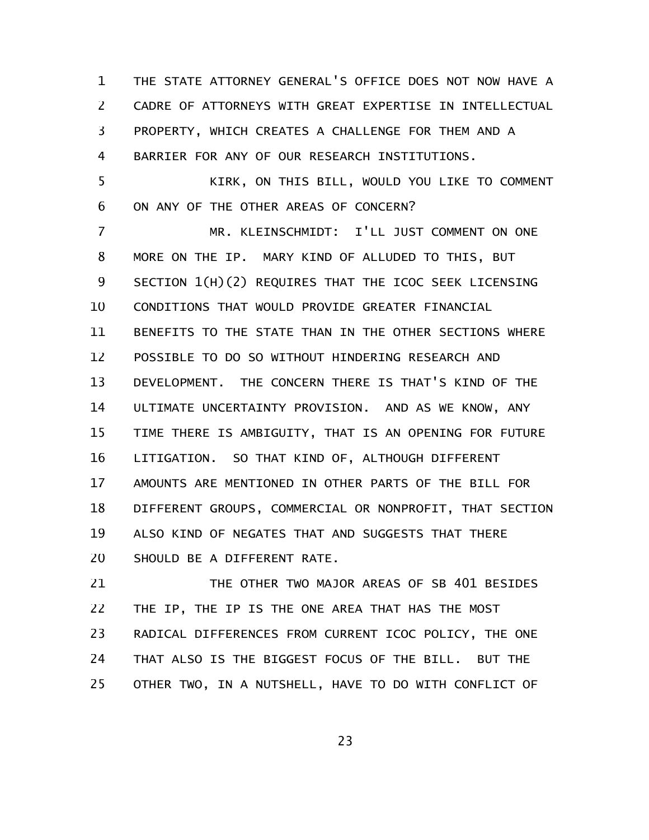THE STATE ATTORNEY GENERAL'S OFFICE DOES NOT NOW HAVE A CADRE OF ATTORNEYS WITH GREAT EXPERTISE IN INTELLECTUAL PROPERTY, WHICH CREATES A CHALLENGE FOR THEM AND A BARRIER FOR ANY OF OUR RESEARCH INSTITUTIONS. KIRK, ON THIS BILL, WOULD YOU LIKE TO COMMENT ON ANY OF THE OTHER AREAS OF CONCERN? MR. KLEINSCHMIDT: I'LL JUST COMMENT ON ONE MORE ON THE IP. MARY KIND OF ALLUDED TO THIS, BUT SECTION 1(H)(2) REQUIRES THAT THE ICOC SEEK LICENSING CONDITIONS THAT WOULD PROVIDE GREATER FINANCIAL BENEFITS TO THE STATE THAN IN THE OTHER SECTIONS WHERE POSSIBLE TO DO SO WITHOUT HINDERING RESEARCH AND DEVELOPMENT. THE CONCERN THERE IS THAT'S KIND OF THE ULTIMATE UNCERTAINTY PROVISION. AND AS WE KNOW, ANY TIME THERE IS AMBIGUITY, THAT IS AN OPENING FOR FUTURE LITIGATION. SO THAT KIND OF, ALTHOUGH DIFFERENT AMOUNTS ARE MENTIONED IN OTHER PARTS OF THE BILL FOR DIFFERENT GROUPS, COMMERCIAL OR NONPROFIT, THAT SECTION ALSO KIND OF NEGATES THAT AND SUGGESTS THAT THERE SHOULD BE A DIFFERENT RATE. 1 2 3 4 5 6 7 8 9 10 11 12 13 14 15 16 17 18 19 20

THE OTHER TWO MAJOR AREAS OF SB 401 BESIDES THE IP, THE IP IS THE ONE AREA THAT HAS THE MOST RADICAL DIFFERENCES FROM CURRENT ICOC POLICY, THE ONE THAT ALSO IS THE BIGGEST FOCUS OF THE BILL. BUT THE OTHER TWO, IN A NUTSHELL, HAVE TO DO WITH CONFLICT OF 21 22 23 24 25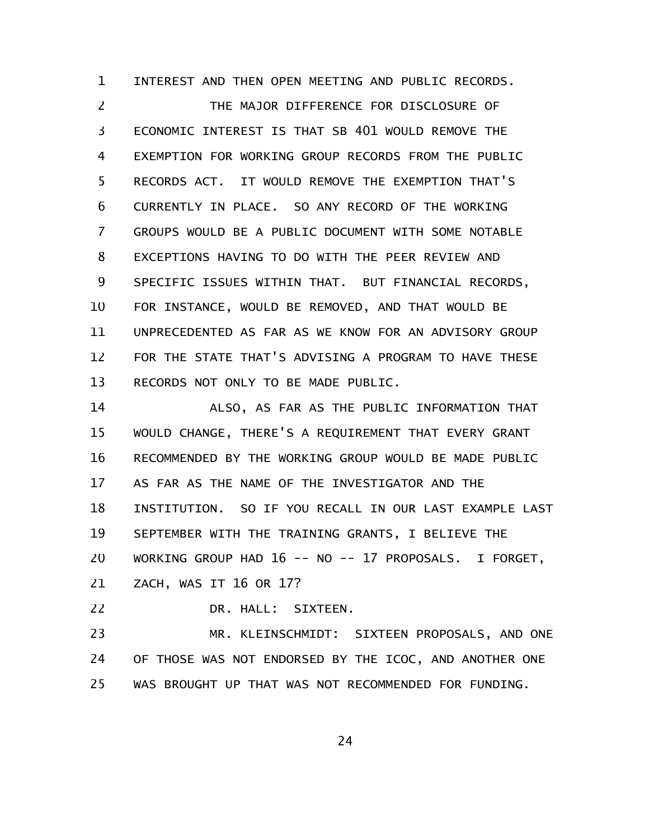INTEREST AND THEN OPEN MEETING AND PUBLIC RECORDS. 1

THE MAJOR DIFFERENCE FOR DISCLOSURE OF ECONOMIC INTEREST IS THAT SB 401 WOULD REMOVE THE EXEMPTION FOR WORKING GROUP RECORDS FROM THE PUBLIC RECORDS ACT. IT WOULD REMOVE THE EXEMPTION THAT'S CURRENTLY IN PLACE. SO ANY RECORD OF THE WORKING GROUPS WOULD BE A PUBLIC DOCUMENT WITH SOME NOTABLE EXCEPTIONS HAVING TO DO WITH THE PEER REVIEW AND SPECIFIC ISSUES WITHIN THAT. BUT FINANCIAL RECORDS, FOR INSTANCE, WOULD BE REMOVED, AND THAT WOULD BE UNPRECEDENTED AS FAR AS WE KNOW FOR AN ADVISORY GROUP FOR THE STATE THAT'S ADVISING A PROGRAM TO HAVE THESE RECORDS NOT ONLY TO BE MADE PUBLIC. 2 3 4 5 6 7 8 9 10 11 12 13

ALSO, AS FAR AS THE PUBLIC INFORMATION THAT WOULD CHANGE, THERE'S A REQUIREMENT THAT EVERY GRANT RECOMMENDED BY THE WORKING GROUP WOULD BE MADE PUBLIC AS FAR AS THE NAME OF THE INVESTIGATOR AND THE INSTITUTION. SO IF YOU RECALL IN OUR LAST EXAMPLE LAST SEPTEMBER WITH THE TRAINING GRANTS, I BELIEVE THE WORKING GROUP HAD 16 -- NO -- 17 PROPOSALS. I FORGET, ZACH, WAS IT 16 OR 17? 14 15 16 17 18 19 20 21

DR. HALL: SIXTEEN. 22

MR. KLEINSCHMIDT: SIXTEEN PROPOSALS, AND ONE OF THOSE WAS NOT ENDORSED BY THE ICOC, AND ANOTHER ONE WAS BROUGHT UP THAT WAS NOT RECOMMENDED FOR FUNDING. 23 24 25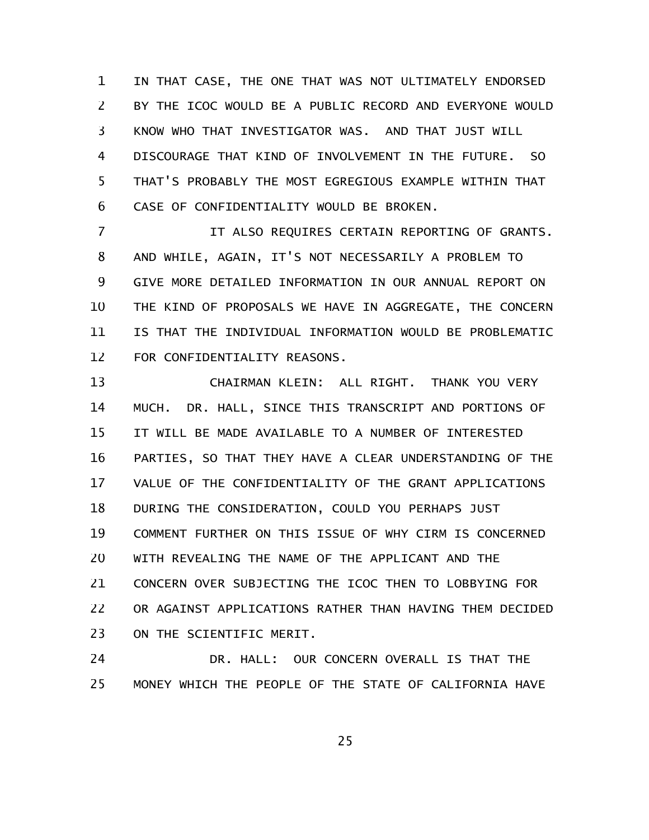IN THAT CASE, THE ONE THAT WAS NOT ULTIMATELY ENDORSED BY THE ICOC WOULD BE A PUBLIC RECORD AND EVERYONE WOULD KNOW WHO THAT INVESTIGATOR WAS. AND THAT JUST WILL DISCOURAGE THAT KIND OF INVOLVEMENT IN THE FUTURE. SO THAT'S PROBABLY THE MOST EGREGIOUS EXAMPLE WITHIN THAT CASE OF CONFIDENTIALITY WOULD BE BROKEN. 1 2 3 4 5 6

IT ALSO REQUIRES CERTAIN REPORTING OF GRANTS. AND WHILE, AGAIN, IT'S NOT NECESSARILY A PROBLEM TO GIVE MORE DETAILED INFORMATION IN OUR ANNUAL REPORT ON THE KIND OF PROPOSALS WE HAVE IN AGGREGATE, THE CONCERN IS THAT THE INDIVIDUAL INFORMATION WOULD BE PROBLEMATIC FOR CONFIDENTIALITY REASONS. 7 8 9 10 11 12

CHAIRMAN KLEIN: ALL RIGHT. THANK YOU VERY MUCH. DR. HALL, SINCE THIS TRANSCRIPT AND PORTIONS OF IT WILL BE MADE AVAILABLE TO A NUMBER OF INTERESTED PARTIES, SO THAT THEY HAVE A CLEAR UNDERSTANDING OF THE VALUE OF THE CONFIDENTIALITY OF THE GRANT APPLICATIONS DURING THE CONSIDERATION, COULD YOU PERHAPS JUST COMMENT FURTHER ON THIS ISSUE OF WHY CIRM IS CONCERNED WITH REVEALING THE NAME OF THE APPLICANT AND THE CONCERN OVER SUBJECTING THE ICOC THEN TO LOBBYING FOR OR AGAINST APPLICATIONS RATHER THAN HAVING THEM DECIDED ON THE SCIENTIFIC MERIT. 13 14 15 16 17 18 19 20 21 22 23

DR. HALL: OUR CONCERN OVERALL IS THAT THE MONEY WHICH THE PEOPLE OF THE STATE OF CALIFORNIA HAVE 24 25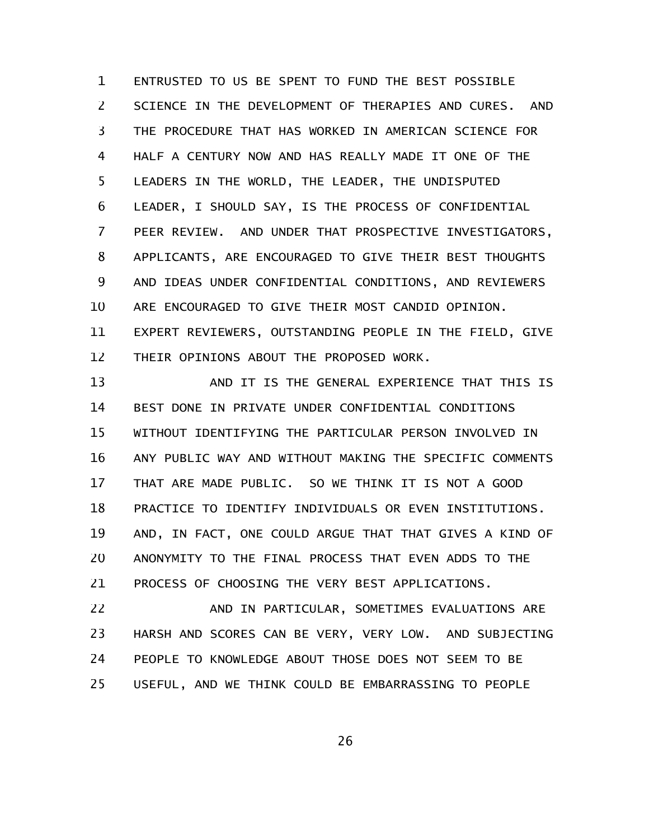ENTRUSTED TO US BE SPENT TO FUND THE BEST POSSIBLE SCIENCE IN THE DEVELOPMENT OF THERAPIES AND CURES. AND THE PROCEDURE THAT HAS WORKED IN AMERICAN SCIENCE FOR HALF A CENTURY NOW AND HAS REALLY MADE IT ONE OF THE LEADERS IN THE WORLD, THE LEADER, THE UNDISPUTED LEADER, I SHOULD SAY, IS THE PROCESS OF CONFIDENTIAL PEER REVIEW. AND UNDER THAT PROSPECTIVE INVESTIGATORS, APPLICANTS, ARE ENCOURAGED TO GIVE THEIR BEST THOUGHTS AND IDEAS UNDER CONFIDENTIAL CONDITIONS, AND REVIEWERS ARE ENCOURAGED TO GIVE THEIR MOST CANDID OPINION. EXPERT REVIEWERS, OUTSTANDING PEOPLE IN THE FIELD, GIVE THEIR OPINIONS ABOUT THE PROPOSED WORK. 1 2 3 4 5 6 7 8 9 10 11 12

AND IT IS THE GENERAL EXPERIENCE THAT THIS IS BEST DONE IN PRIVATE UNDER CONFIDENTIAL CONDITIONS WITHOUT IDENTIFYING THE PARTICULAR PERSON INVOLVED IN ANY PUBLIC WAY AND WITHOUT MAKING THE SPECIFIC COMMENTS THAT ARE MADE PUBLIC. SO WE THINK IT IS NOT A GOOD PRACTICE TO IDENTIFY INDIVIDUALS OR EVEN INSTITUTIONS. AND, IN FACT, ONE COULD ARGUE THAT THAT GIVES A KIND OF ANONYMITY TO THE FINAL PROCESS THAT EVEN ADDS TO THE PROCESS OF CHOOSING THE VERY BEST APPLICATIONS. 13 14 15 16 17 18 19 20 21

AND IN PARTICULAR, SOMETIMES EVALUATIONS ARE HARSH AND SCORES CAN BE VERY, VERY LOW. AND SUBJECTING PEOPLE TO KNOWLEDGE ABOUT THOSE DOES NOT SEEM TO BE USEFUL, AND WE THINK COULD BE EMBARRASSING TO PEOPLE 22 23 24 25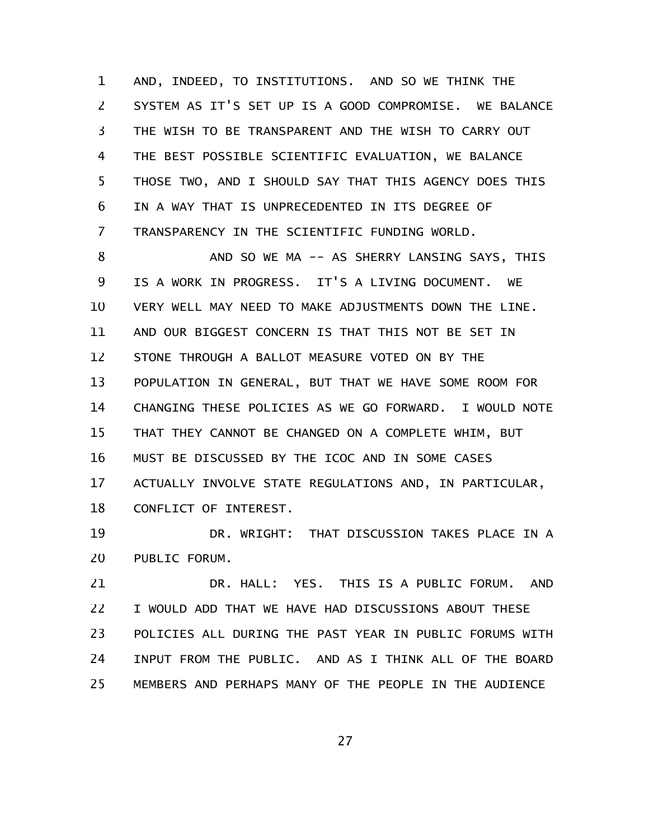AND, INDEED, TO INSTITUTIONS. AND SO WE THINK THE SYSTEM AS IT'S SET UP IS A GOOD COMPROMISE. WE BALANCE THE WISH TO BE TRANSPARENT AND THE WISH TO CARRY OUT THE BEST POSSIBLE SCIENTIFIC EVALUATION, WE BALANCE THOSE TWO, AND I SHOULD SAY THAT THIS AGENCY DOES THIS IN A WAY THAT IS UNPRECEDENTED IN ITS DEGREE OF TRANSPARENCY IN THE SCIENTIFIC FUNDING WORLD. 1 2 3 4 5 6 7

AND SO WE MA -- AS SHERRY LANSING SAYS, THIS IS A WORK IN PROGRESS. IT'S A LIVING DOCUMENT. WE VERY WELL MAY NEED TO MAKE ADJUSTMENTS DOWN THE LINE. AND OUR BIGGEST CONCERN IS THAT THIS NOT BE SET IN STONE THROUGH A BALLOT MEASURE VOTED ON BY THE POPULATION IN GENERAL, BUT THAT WE HAVE SOME ROOM FOR CHANGING THESE POLICIES AS WE GO FORWARD. I WOULD NOTE THAT THEY CANNOT BE CHANGED ON A COMPLETE WHIM, BUT MUST BE DISCUSSED BY THE ICOC AND IN SOME CASES ACTUALLY INVOLVE STATE REGULATIONS AND, IN PARTICULAR, CONFLICT OF INTEREST. 8 9 10 11 12 13 14 15 16 17 18

DR. WRIGHT: THAT DISCUSSION TAKES PLACE IN A PUBLIC FORUM. 19 20

DR. HALL: YES. THIS IS A PUBLIC FORUM. AND I WOULD ADD THAT WE HAVE HAD DISCUSSIONS ABOUT THESE POLICIES ALL DURING THE PAST YEAR IN PUBLIC FORUMS WITH INPUT FROM THE PUBLIC. AND AS I THINK ALL OF THE BOARD MEMBERS AND PERHAPS MANY OF THE PEOPLE IN THE AUDIENCE 21 22 23 24 25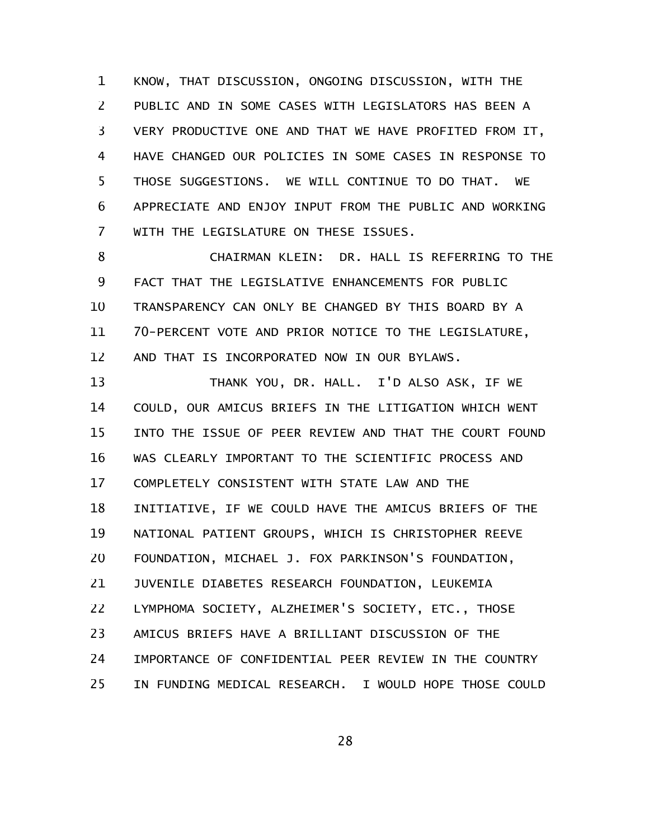KNOW, THAT DISCUSSION, ONGOING DISCUSSION, WITH THE PUBLIC AND IN SOME CASES WITH LEGISLATORS HAS BEEN A VERY PRODUCTIVE ONE AND THAT WE HAVE PROFITED FROM IT, HAVE CHANGED OUR POLICIES IN SOME CASES IN RESPONSE TO THOSE SUGGESTIONS. WE WILL CONTINUE TO DO THAT. WE APPRECIATE AND ENJOY INPUT FROM THE PUBLIC AND WORKING WITH THE LEGISLATURE ON THESE ISSUES. 1 2 3 4 5 6 7

CHAIRMAN KLEIN: DR. HALL IS REFERRING TO THE FACT THAT THE LEGISLATIVE ENHANCEMENTS FOR PUBLIC TRANSPARENCY CAN ONLY BE CHANGED BY THIS BOARD BY A 70-PERCENT VOTE AND PRIOR NOTICE TO THE LEGISLATURE, AND THAT IS INCORPORATED NOW IN OUR BYLAWS. 8 9 10 11 12

THANK YOU, DR. HALL. I'D ALSO ASK, IF WE COULD, OUR AMICUS BRIEFS IN THE LITIGATION WHICH WENT INTO THE ISSUE OF PEER REVIEW AND THAT THE COURT FOUND WAS CLEARLY IMPORTANT TO THE SCIENTIFIC PROCESS AND COMPLETELY CONSISTENT WITH STATE LAW AND THE INITIATIVE, IF WE COULD HAVE THE AMICUS BRIEFS OF THE NATIONAL PATIENT GROUPS, WHICH IS CHRISTOPHER REEVE FOUNDATION, MICHAEL J. FOX PARKINSON'S FOUNDATION, JUVENILE DIABETES RESEARCH FOUNDATION, LEUKEMIA LYMPHOMA SOCIETY, ALZHEIMER'S SOCIETY, ETC., THOSE AMICUS BRIEFS HAVE A BRILLIANT DISCUSSION OF THE IMPORTANCE OF CONFIDENTIAL PEER REVIEW IN THE COUNTRY IN FUNDING MEDICAL RESEARCH. I WOULD HOPE THOSE COULD 13 14 15 16 17 18 19 20 21 22 23 24 25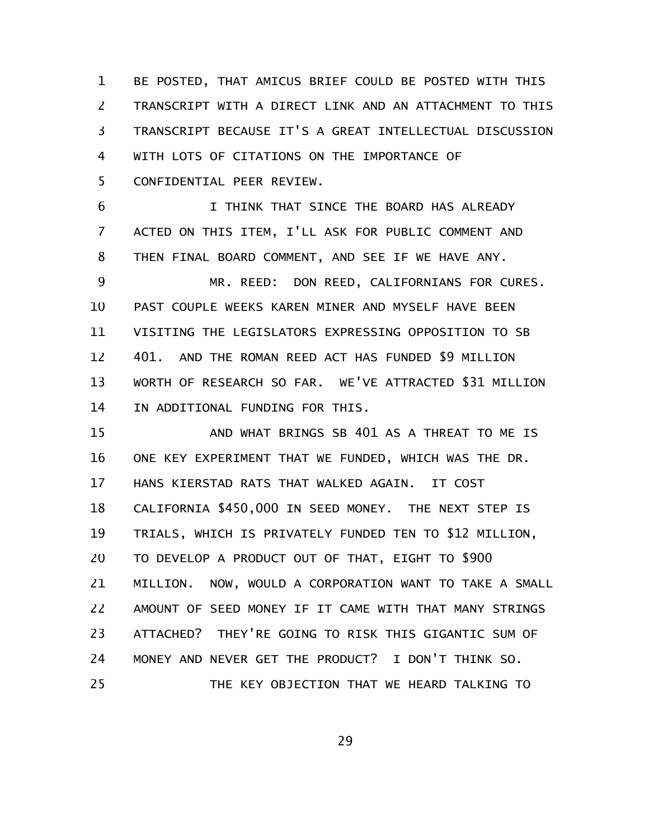BE POSTED, THAT AMICUS BRIEF COULD BE POSTED WITH THIS TRANSCRIPT WITH A DIRECT LINK AND AN ATTACHMENT TO THIS TRANSCRIPT BECAUSE IT'S A GREAT INTELLECTUAL DISCUSSION WITH LOTS OF CITATIONS ON THE IMPORTANCE OF CONFIDENTIAL PEER REVIEW. 1 2 3 4 5

I THINK THAT SINCE THE BOARD HAS ALREADY ACTED ON THIS ITEM, I'LL ASK FOR PUBLIC COMMENT AND THEN FINAL BOARD COMMENT, AND SEE IF WE HAVE ANY. 6 7 8

MR. REED: DON REED, CALIFORNIANS FOR CURES. PAST COUPLE WEEKS KAREN MINER AND MYSELF HAVE BEEN VISITING THE LEGISLATORS EXPRESSING OPPOSITION TO SB 401. AND THE ROMAN REED ACT HAS FUNDED \$9 MILLION WORTH OF RESEARCH SO FAR. WE'VE ATTRACTED \$31 MILLION IN ADDITIONAL FUNDING FOR THIS. 9 10 11 12 13 14

AND WHAT BRINGS SB 401 AS A THREAT TO ME IS ONE KEY EXPERIMENT THAT WE FUNDED, WHICH WAS THE DR. HANS KIERSTAD RATS THAT WALKED AGAIN. IT COST CALIFORNIA \$450,000 IN SEED MONEY. THE NEXT STEP IS TRIALS, WHICH IS PRIVATELY FUNDED TEN TO \$12 MILLION, TO DEVELOP A PRODUCT OUT OF THAT, EIGHT TO \$900 MILLION. NOW, WOULD A CORPORATION WANT TO TAKE A SMALL AMOUNT OF SEED MONEY IF IT CAME WITH THAT MANY STRINGS ATTACHED? THEY'RE GOING TO RISK THIS GIGANTIC SUM OF MONEY AND NEVER GET THE PRODUCT? I DON'T THINK SO. THE KEY OBJECTION THAT WE HEARD TALKING TO 15 16 17 18 19 20 21 22 23 24 25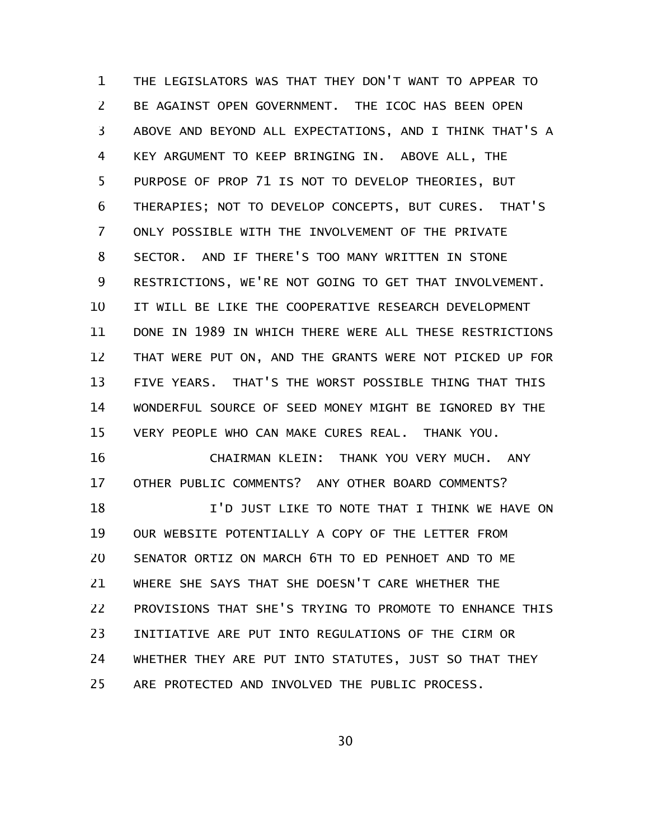THE LEGISLATORS WAS THAT THEY DON'T WANT TO APPEAR TO BE AGAINST OPEN GOVERNMENT. THE ICOC HAS BEEN OPEN ABOVE AND BEYOND ALL EXPECTATIONS, AND I THINK THAT'S A KEY ARGUMENT TO KEEP BRINGING IN. ABOVE ALL, THE PURPOSE OF PROP 71 IS NOT TO DEVELOP THEORIES, BUT THERAPIES; NOT TO DEVELOP CONCEPTS, BUT CURES. THAT'S ONLY POSSIBLE WITH THE INVOLVEMENT OF THE PRIVATE SECTOR. AND IF THERE'S TOO MANY WRITTEN IN STONE RESTRICTIONS, WE'RE NOT GOING TO GET THAT INVOLVEMENT. IT WILL BE LIKE THE COOPERATIVE RESEARCH DEVELOPMENT DONE IN 1989 IN WHICH THERE WERE ALL THESE RESTRICTIONS THAT WERE PUT ON, AND THE GRANTS WERE NOT PICKED UP FOR FIVE YEARS. THAT'S THE WORST POSSIBLE THING THAT THIS WONDERFUL SOURCE OF SEED MONEY MIGHT BE IGNORED BY THE VERY PEOPLE WHO CAN MAKE CURES REAL. THANK YOU. CHAIRMAN KLEIN: THANK YOU VERY MUCH. ANY OTHER PUBLIC COMMENTS? ANY OTHER BOARD COMMENTS? 1 2 3 4 5 6 7 8 9 10 11 12 13 14 15 16 17

I'D JUST LIKE TO NOTE THAT I THINK WE HAVE ON OUR WEBSITE POTENTIALLY A COPY OF THE LETTER FROM SENATOR ORTIZ ON MARCH 6TH TO ED PENHOET AND TO ME WHERE SHE SAYS THAT SHE DOESN'T CARE WHETHER THE PROVISIONS THAT SHE'S TRYING TO PROMOTE TO ENHANCE THIS INITIATIVE ARE PUT INTO REGULATIONS OF THE CIRM OR WHETHER THEY ARE PUT INTO STATUTES, JUST SO THAT THEY ARE PROTECTED AND INVOLVED THE PUBLIC PROCESS. 18 19 20 21 22 23 24 25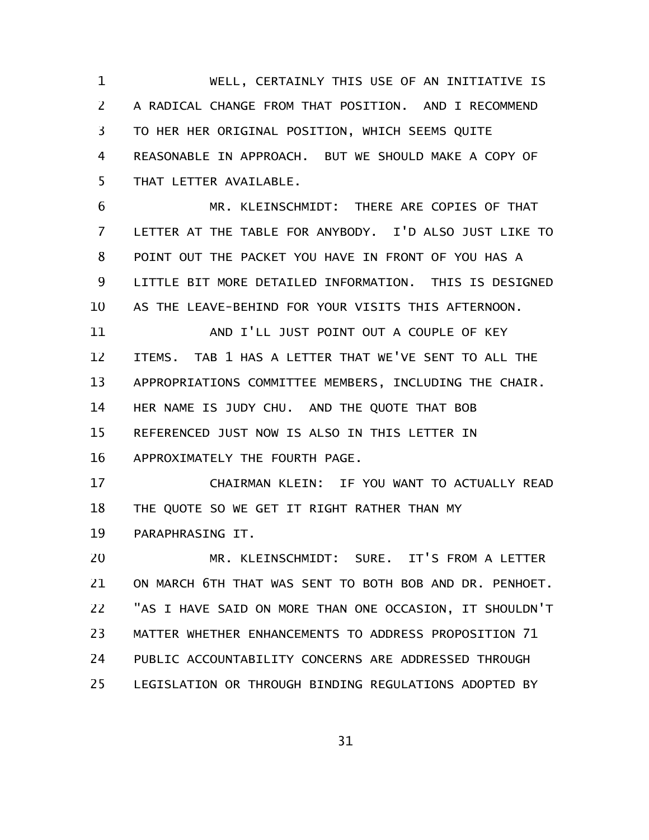WELL, CERTAINLY THIS USE OF AN INITIATIVE IS A RADICAL CHANGE FROM THAT POSITION. AND I RECOMMEND TO HER HER ORIGINAL POSITION, WHICH SEEMS QUITE REASONABLE IN APPROACH. BUT WE SHOULD MAKE A COPY OF THAT LETTER AVAILABLE. 1 2 3 4 5

MR. KLEINSCHMIDT: THERE ARE COPIES OF THAT LETTER AT THE TABLE FOR ANYBODY. I'D ALSO JUST LIKE TO POINT OUT THE PACKET YOU HAVE IN FRONT OF YOU HAS A LITTLE BIT MORE DETAILED INFORMATION. THIS IS DESIGNED AS THE LEAVE-BEHIND FOR YOUR VISITS THIS AFTERNOON. 6 7 8 9 10

AND I'LL JUST POINT OUT A COUPLE OF KEY ITEMS. TAB 1 HAS A LETTER THAT WE'VE SENT TO ALL THE APPROPRIATIONS COMMITTEE MEMBERS, INCLUDING THE CHAIR. HER NAME IS JUDY CHU. AND THE QUOTE THAT BOB REFERENCED JUST NOW IS ALSO IN THIS LETTER IN APPROXIMATELY THE FOURTH PAGE. 11 12 13 14 15 16

CHAIRMAN KLEIN: IF YOU WANT TO ACTUALLY READ THE QUOTE SO WE GET IT RIGHT RATHER THAN MY 17 18

PARAPHRASING IT. 19

MR. KLEINSCHMIDT: SURE. IT'S FROM A LETTER ON MARCH 6TH THAT WAS SENT TO BOTH BOB AND DR. PENHOET. "AS I HAVE SAID ON MORE THAN ONE OCCASION, IT SHOULDN'T MATTER WHETHER ENHANCEMENTS TO ADDRESS PROPOSITION 71 PUBLIC ACCOUNTABILITY CONCERNS ARE ADDRESSED THROUGH LEGISLATION OR THROUGH BINDING REGULATIONS ADOPTED BY 20 21 22 23 24 25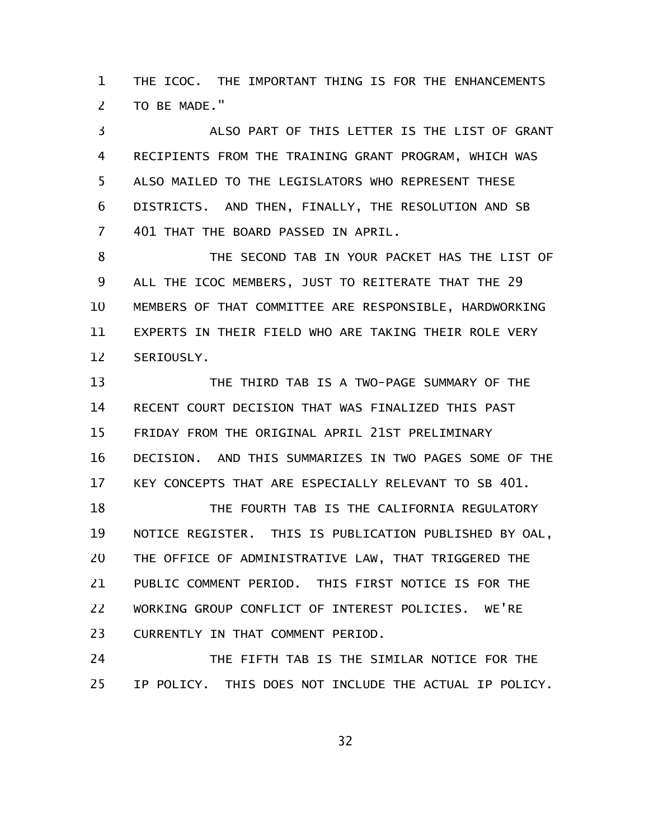THE ICOC. THE IMPORTANT THING IS FOR THE ENHANCEMENTS TO BE MADE." 1 2

ALSO PART OF THIS LETTER IS THE LIST OF GRANT RECIPIENTS FROM THE TRAINING GRANT PROGRAM, WHICH WAS ALSO MAILED TO THE LEGISLATORS WHO REPRESENT THESE DISTRICTS. AND THEN, FINALLY, THE RESOLUTION AND SB 401 THAT THE BOARD PASSED IN APRIL. 3 4 5 6 7

THE SECOND TAB IN YOUR PACKET HAS THE LIST OF ALL THE ICOC MEMBERS, JUST TO REITERATE THAT THE 29 MEMBERS OF THAT COMMITTEE ARE RESPONSIBLE, HARDWORKING EXPERTS IN THEIR FIELD WHO ARE TAKING THEIR ROLE VERY SERIOUSLY. 8 9 10 11 12

THE THIRD TAB IS A TWO-PAGE SUMMARY OF THE RECENT COURT DECISION THAT WAS FINALIZED THIS PAST FRIDAY FROM THE ORIGINAL APRIL 21ST PRELIMINARY DECISION. AND THIS SUMMARIZES IN TWO PAGES SOME OF THE KEY CONCEPTS THAT ARE ESPECIALLY RELEVANT TO SB 401. 13 14 15 16 17

THE FOURTH TAB IS THE CALIFORNIA REGULATORY NOTICE REGISTER. THIS IS PUBLICATION PUBLISHED BY OAL, THE OFFICE OF ADMINISTRATIVE LAW, THAT TRIGGERED THE PUBLIC COMMENT PERIOD. THIS FIRST NOTICE IS FOR THE WORKING GROUP CONFLICT OF INTEREST POLICIES. WE'RE CURRENTLY IN THAT COMMENT PERIOD. 18 19 20 21 22 23

THE FIFTH TAB IS THE SIMILAR NOTICE FOR THE IP POLICY. THIS DOES NOT INCLUDE THE ACTUAL IP POLICY. 24 25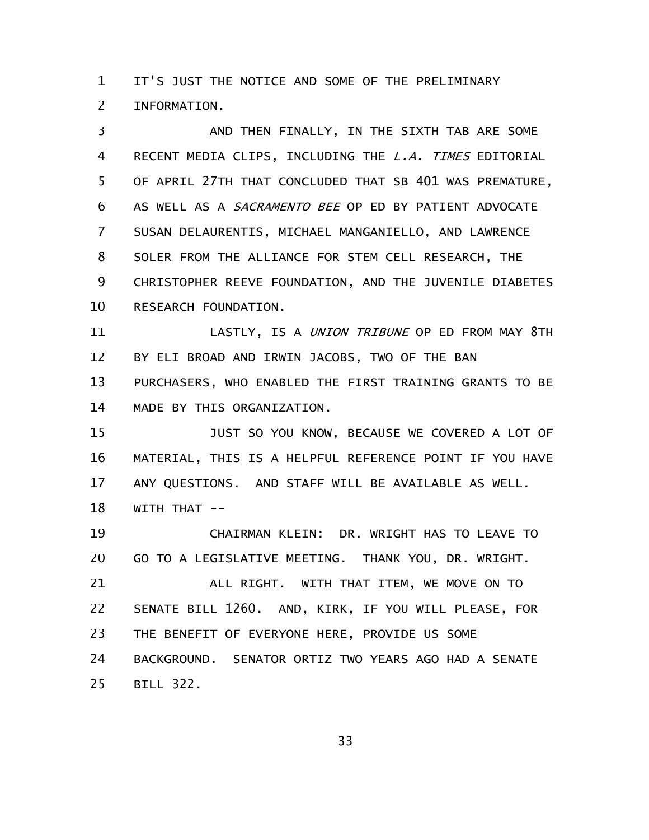IT'S JUST THE NOTICE AND SOME OF THE PRELIMINARY INFORMATION. 1 2

AND THEN FINALLY, IN THE SIXTH TAB ARE SOME RECENT MEDIA CLIPS, INCLUDING THE L.A. TIMES EDITORIAL OF APRIL 27TH THAT CONCLUDED THAT SB 401 WAS PREMATURE, AS WELL AS A SACRAMENTO BEE OP ED BY PATIENT ADVOCATE SUSAN DELAURENTIS, MICHAEL MANGANIELLO, AND LAWRENCE SOLER FROM THE ALLIANCE FOR STEM CELL RESEARCH, THE CHRISTOPHER REEVE FOUNDATION, AND THE JUVENILE DIABETES RESEARCH FOUNDATION. 3 4 5 6 7 8 9 10

LASTLY, IS A UNION TRIBUNE OP ED FROM MAY 8TH BY ELI BROAD AND IRWIN JACOBS, TWO OF THE BAN PURCHASERS, WHO ENABLED THE FIRST TRAINING GRANTS TO BE MADE BY THIS ORGANIZATION. 11 12 13 14

JUST SO YOU KNOW, BECAUSE WE COVERED A LOT OF MATERIAL, THIS IS A HELPFUL REFERENCE POINT IF YOU HAVE ANY QUESTIONS. AND STAFF WILL BE AVAILABLE AS WELL. WITH THAT --15 16 17 18

CHAIRMAN KLEIN: DR. WRIGHT HAS TO LEAVE TO GO TO A LEGISLATIVE MEETING. THANK YOU, DR. WRIGHT. ALL RIGHT. WITH THAT ITEM, WE MOVE ON TO 19 20 21

SENATE BILL 1260. AND, KIRK, IF YOU WILL PLEASE, FOR THE BENEFIT OF EVERYONE HERE, PROVIDE US SOME BACKGROUND. SENATOR ORTIZ TWO YEARS AGO HAD A SENATE BILL 322. 22 23 24 25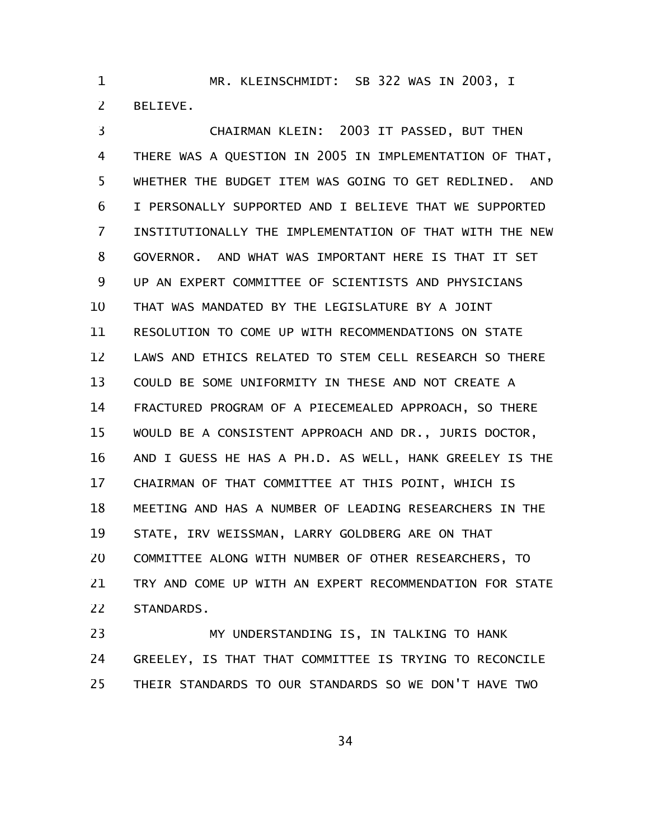MR. KLEINSCHMIDT: SB 322 WAS IN 2003, I BELIEVE. 1 2

CHAIRMAN KLEIN: 2003 IT PASSED, BUT THEN THERE WAS A QUESTION IN 2005 IN IMPLEMENTATION OF THAT, WHETHER THE BUDGET ITEM WAS GOING TO GET REDLINED. AND I PERSONALLY SUPPORTED AND I BELIEVE THAT WE SUPPORTED INSTITUTIONALLY THE IMPLEMENTATION OF THAT WITH THE NEW GOVERNOR. AND WHAT WAS IMPORTANT HERE IS THAT IT SET UP AN EXPERT COMMITTEE OF SCIENTISTS AND PHYSICIANS THAT WAS MANDATED BY THE LEGISLATURE BY A JOINT RESOLUTION TO COME UP WITH RECOMMENDATIONS ON STATE LAWS AND ETHICS RELATED TO STEM CELL RESEARCH SO THERE COULD BE SOME UNIFORMITY IN THESE AND NOT CREATE A FRACTURED PROGRAM OF A PIECEMEALED APPROACH, SO THERE WOULD BE A CONSISTENT APPROACH AND DR., JURIS DOCTOR, AND I GUESS HE HAS A PH.D. AS WELL, HANK GREELEY IS THE CHAIRMAN OF THAT COMMITTEE AT THIS POINT, WHICH IS MEETING AND HAS A NUMBER OF LEADING RESEARCHERS IN THE STATE, IRV WEISSMAN, LARRY GOLDBERG ARE ON THAT COMMITTEE ALONG WITH NUMBER OF OTHER RESEARCHERS, TO TRY AND COME UP WITH AN EXPERT RECOMMENDATION FOR STATE STANDARDS. 3 4 5 6 7 8 9 10 11 12 13 14 15 16 17 18 19 20 21 22

MY UNDERSTANDING IS, IN TALKING TO HANK GREELEY, IS THAT THAT COMMITTEE IS TRYING TO RECONCILE THEIR STANDARDS TO OUR STANDARDS SO WE DON'T HAVE TWO 23 24 25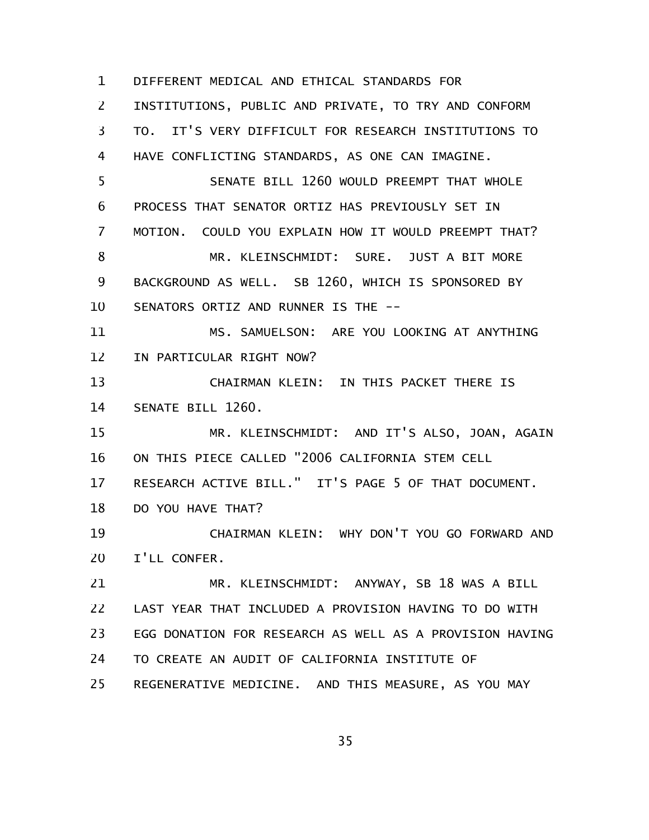DIFFERENT MEDICAL AND ETHICAL STANDARDS FOR INSTITUTIONS, PUBLIC AND PRIVATE, TO TRY AND CONFORM TO. IT'S VERY DIFFICULT FOR RESEARCH INSTITUTIONS TO HAVE CONFLICTING STANDARDS, AS ONE CAN IMAGINE. SENATE BILL 1260 WOULD PREEMPT THAT WHOLE PROCESS THAT SENATOR ORTIZ HAS PREVIOUSLY SET IN MOTION. COULD YOU EXPLAIN HOW IT WOULD PREEMPT THAT? MR. KLEINSCHMIDT: SURE. JUST A BIT MORE BACKGROUND AS WELL. SB 1260, WHICH IS SPONSORED BY SENATORS ORTIZ AND RUNNER IS THE -- MS. SAMUELSON: ARE YOU LOOKING AT ANYTHING IN PARTICULAR RIGHT NOW? CHAIRMAN KLEIN: IN THIS PACKET THERE IS SENATE BILL 1260. MR. KLEINSCHMIDT: AND IT'S ALSO, JOAN, AGAIN ON THIS PIECE CALLED "2006 CALIFORNIA STEM CELL RESEARCH ACTIVE BILL." IT'S PAGE 5 OF THAT DOCUMENT. DO YOU HAVE THAT? CHAIRMAN KLEIN: WHY DON'T YOU GO FORWARD AND I'LL CONFER. MR. KLEINSCHMIDT: ANYWAY, SB 18 WAS A BILL LAST YEAR THAT INCLUDED A PROVISION HAVING TO DO WITH EGG DONATION FOR RESEARCH AS WELL AS A PROVISION HAVING TO CREATE AN AUDIT OF CALIFORNIA INSTITUTE OF REGENERATIVE MEDICINE. AND THIS MEASURE, AS YOU MAY 1 2 3 4 5 6 7 8 9 10 11 12 13 14 15 16 17 18 19 20 21 22 23 24 25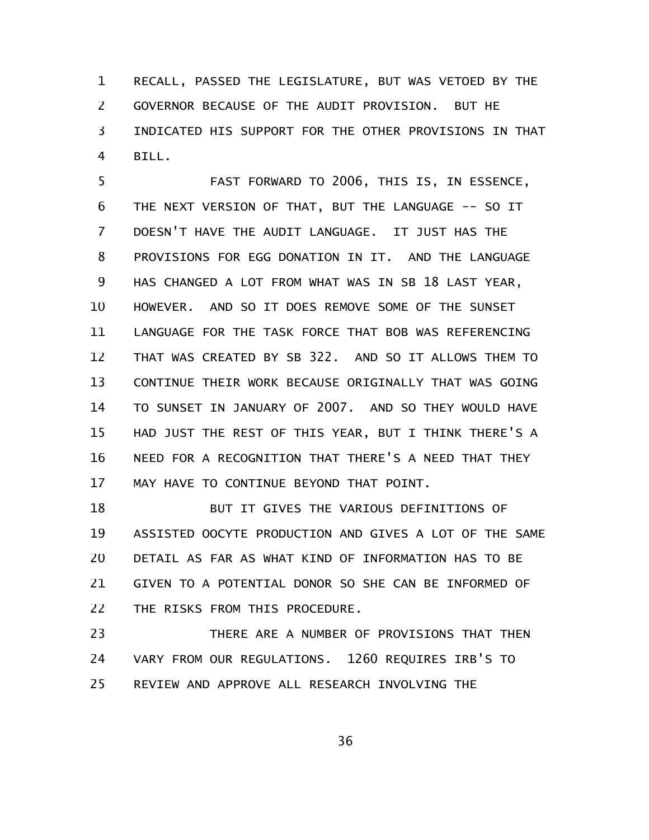RECALL, PASSED THE LEGISLATURE, BUT WAS VETOED BY THE GOVERNOR BECAUSE OF THE AUDIT PROVISION. BUT HE INDICATED HIS SUPPORT FOR THE OTHER PROVISIONS IN THAT BILL. 1 2 3 4

FAST FORWARD TO 2006, THIS IS, IN ESSENCE, THE NEXT VERSION OF THAT, BUT THE LANGUAGE -- SO IT DOESN'T HAVE THE AUDIT LANGUAGE. IT JUST HAS THE PROVISIONS FOR EGG DONATION IN IT. AND THE LANGUAGE HAS CHANGED A LOT FROM WHAT WAS IN SB 18 LAST YEAR, HOWEVER. AND SO IT DOES REMOVE SOME OF THE SUNSET LANGUAGE FOR THE TASK FORCE THAT BOB WAS REFERENCING THAT WAS CREATED BY SB 322. AND SO IT ALLOWS THEM TO CONTINUE THEIR WORK BECAUSE ORIGINALLY THAT WAS GOING TO SUNSET IN JANUARY OF 2007. AND SO THEY WOULD HAVE HAD JUST THE REST OF THIS YEAR, BUT I THINK THERE'S A NEED FOR A RECOGNITION THAT THERE'S A NEED THAT THEY MAY HAVE TO CONTINUE BEYOND THAT POINT. 5 6 7 8 9 10 11 12 13 14 15 16 17

BUT IT GIVES THE VARIOUS DEFINITIONS OF ASSISTED OOCYTE PRODUCTION AND GIVES A LOT OF THE SAME DETAIL AS FAR AS WHAT KIND OF INFORMATION HAS TO BE GIVEN TO A POTENTIAL DONOR SO SHE CAN BE INFORMED OF THE RISKS FROM THIS PROCEDURE. 18 19 20 21 22

THERE ARE A NUMBER OF PROVISIONS THAT THEN VARY FROM OUR REGULATIONS. 1260 REQUIRES IRB'S TO REVIEW AND APPROVE ALL RESEARCH INVOLVING THE 23 24 25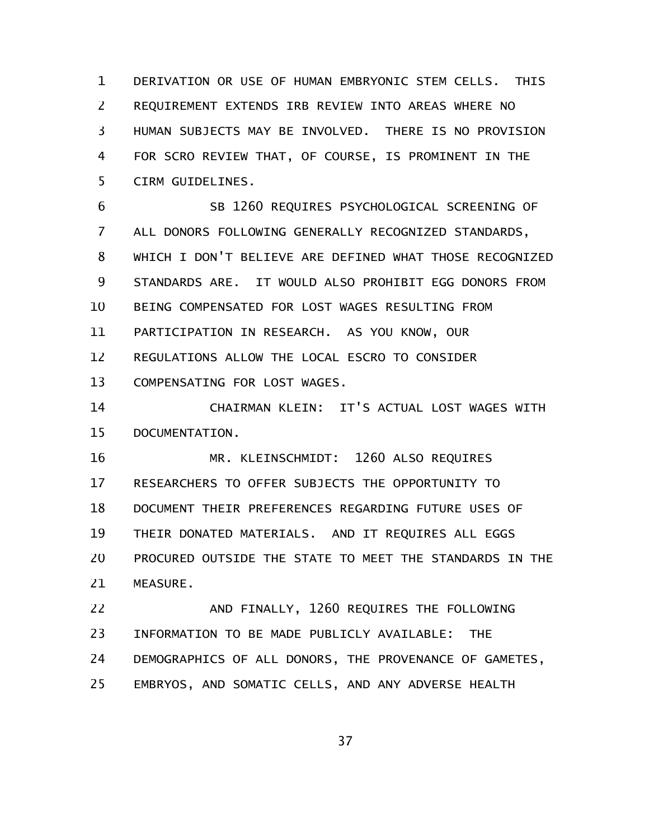DERIVATION OR USE OF HUMAN EMBRYONIC STEM CELLS. THIS REQUIREMENT EXTENDS IRB REVIEW INTO AREAS WHERE NO HUMAN SUBJECTS MAY BE INVOLVED. THERE IS NO PROVISION FOR SCRO REVIEW THAT, OF COURSE, IS PROMINENT IN THE CIRM GUIDELINES. 1 2 3 4 5

SB 1260 REQUIRES PSYCHOLOGICAL SCREENING OF ALL DONORS FOLLOWING GENERALLY RECOGNIZED STANDARDS, WHICH I DON'T BELIEVE ARE DEFINED WHAT THOSE RECOGNIZED STANDARDS ARE. IT WOULD ALSO PROHIBIT EGG DONORS FROM BEING COMPENSATED FOR LOST WAGES RESULTING FROM PARTICIPATION IN RESEARCH. AS YOU KNOW, OUR REGULATIONS ALLOW THE LOCAL ESCRO TO CONSIDER COMPENSATING FOR LOST WAGES. 6 7 8 9 10 11 12 13

CHAIRMAN KLEIN: IT'S ACTUAL LOST WAGES WITH DOCUMENTATION. 14 15

MR. KLEINSCHMIDT: 1260 ALSO REQUIRES RESEARCHERS TO OFFER SUBJECTS THE OPPORTUNITY TO DOCUMENT THEIR PREFERENCES REGARDING FUTURE USES OF THEIR DONATED MATERIALS. AND IT REQUIRES ALL EGGS PROCURED OUTSIDE THE STATE TO MEET THE STANDARDS IN THE MEASURE. 16 17 18 19 20 21

AND FINALLY, 1260 REQUIRES THE FOLLOWING INFORMATION TO BE MADE PUBLICLY AVAILABLE: THE DEMOGRAPHICS OF ALL DONORS, THE PROVENANCE OF GAMETES, EMBRYOS, AND SOMATIC CELLS, AND ANY ADVERSE HEALTH 22 23 24 25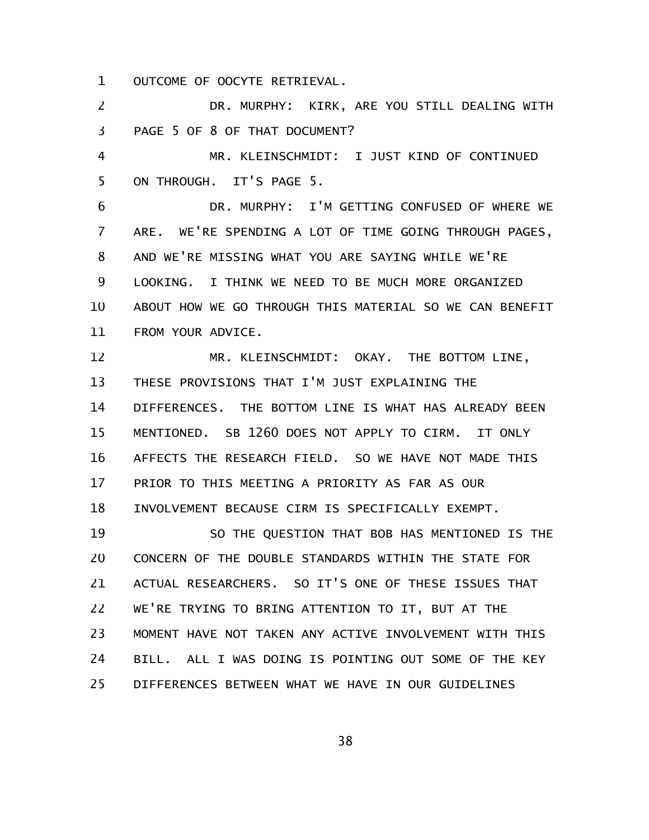OUTCOME OF OOCYTE RETRIEVAL. 1

DR. MURPHY: KIRK, ARE YOU STILL DEALING WITH PAGE 5 OF 8 OF THAT DOCUMENT? 2 3

MR. KLEINSCHMIDT: I JUST KIND OF CONTINUED ON THROUGH. IT'S PAGE 5. 4 5

DR. MURPHY: I'M GETTING CONFUSED OF WHERE WE ARE. WE'RE SPENDING A LOT OF TIME GOING THROUGH PAGES, AND WE'RE MISSING WHAT YOU ARE SAYING WHILE WE'RE LOOKING. I THINK WE NEED TO BE MUCH MORE ORGANIZED ABOUT HOW WE GO THROUGH THIS MATERIAL SO WE CAN BENEFIT FROM YOUR ADVICE. 6 7 8 9 10 11

MR. KLEINSCHMIDT: OKAY. THE BOTTOM LINE, THESE PROVISIONS THAT I'M JUST EXPLAINING THE DIFFERENCES. THE BOTTOM LINE IS WHAT HAS ALREADY BEEN MENTIONED. SB 1260 DOES NOT APPLY TO CIRM. IT ONLY AFFECTS THE RESEARCH FIELD. SO WE HAVE NOT MADE THIS PRIOR TO THIS MEETING A PRIORITY AS FAR AS OUR INVOLVEMENT BECAUSE CIRM IS SPECIFICALLY EXEMPT. 12 13 14 15 16 17 18

SO THE QUESTION THAT BOB HAS MENTIONED IS THE CONCERN OF THE DOUBLE STANDARDS WITHIN THE STATE FOR ACTUAL RESEARCHERS. SO IT'S ONE OF THESE ISSUES THAT WE'RE TRYING TO BRING ATTENTION TO IT, BUT AT THE MOMENT HAVE NOT TAKEN ANY ACTIVE INVOLVEMENT WITH THIS BILL. ALL I WAS DOING IS POINTING OUT SOME OF THE KEY DIFFERENCES BETWEEN WHAT WE HAVE IN OUR GUIDELINES 19 20 21 22 23 24 25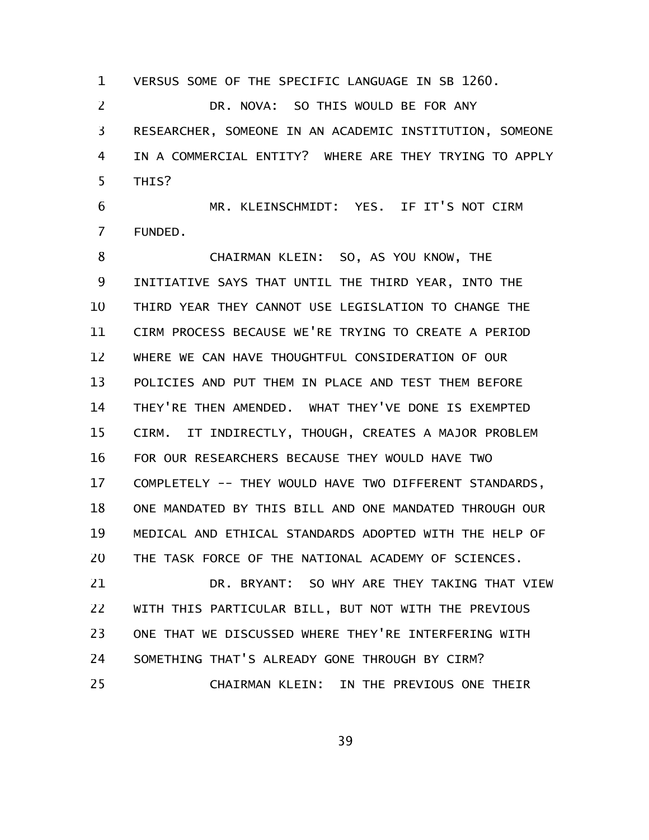VERSUS SOME OF THE SPECIFIC LANGUAGE IN SB 1260. DR. NOVA: SO THIS WOULD BE FOR ANY RESEARCHER, SOMEONE IN AN ACADEMIC INSTITUTION, SOMEONE IN A COMMERCIAL ENTITY? WHERE ARE THEY TRYING TO APPLY THIS? 1 2 3 4 5

MR. KLEINSCHMIDT: YES. IF IT'S NOT CIRM FUNDED. 6 7

CHAIRMAN KLEIN: SO, AS YOU KNOW, THE INITIATIVE SAYS THAT UNTIL THE THIRD YEAR, INTO THE THIRD YEAR THEY CANNOT USE LEGISLATION TO CHANGE THE CIRM PROCESS BECAUSE WE'RE TRYING TO CREATE A PERIOD WHERE WE CAN HAVE THOUGHTFUL CONSIDERATION OF OUR POLICIES AND PUT THEM IN PLACE AND TEST THEM BEFORE THEY'RE THEN AMENDED. WHAT THEY'VE DONE IS EXEMPTED CIRM. IT INDIRECTLY, THOUGH, CREATES A MAJOR PROBLEM FOR OUR RESEARCHERS BECAUSE THEY WOULD HAVE TWO COMPLETELY -- THEY WOULD HAVE TWO DIFFERENT STANDARDS, ONE MANDATED BY THIS BILL AND ONE MANDATED THROUGH OUR MEDICAL AND ETHICAL STANDARDS ADOPTED WITH THE HELP OF THE TASK FORCE OF THE NATIONAL ACADEMY OF SCIENCES. 8 9 10 11 12 13 14 15 16 17 18 19 20

DR. BRYANT: SO WHY ARE THEY TAKING THAT VIEW WITH THIS PARTICULAR BILL, BUT NOT WITH THE PREVIOUS ONE THAT WE DISCUSSED WHERE THEY'RE INTERFERING WITH SOMETHING THAT'S ALREADY GONE THROUGH BY CIRM? CHAIRMAN KLEIN: IN THE PREVIOUS ONE THEIR 21 22 23 24 25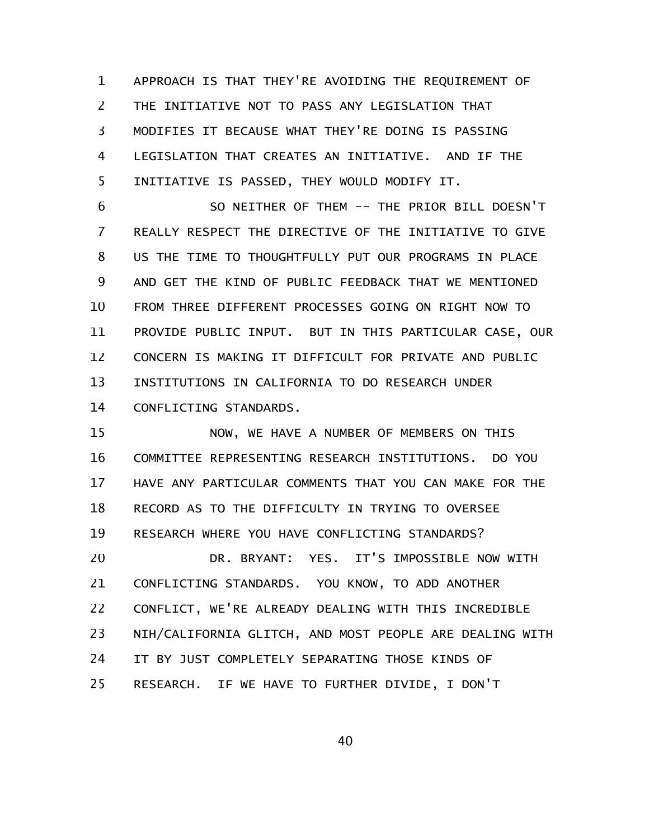APPROACH IS THAT THEY'RE AVOIDING THE REQUIREMENT OF THE INITIATIVE NOT TO PASS ANY LEGISLATION THAT MODIFIES IT BECAUSE WHAT THEY'RE DOING IS PASSING LEGISLATION THAT CREATES AN INITIATIVE. AND IF THE INITIATIVE IS PASSED, THEY WOULD MODIFY IT. 1 2 3 4 5

SO NEITHER OF THEM -- THE PRIOR BILL DOESN'T REALLY RESPECT THE DIRECTIVE OF THE INITIATIVE TO GIVE US THE TIME TO THOUGHTFULLY PUT OUR PROGRAMS IN PLACE AND GET THE KIND OF PUBLIC FEEDBACK THAT WE MENTIONED FROM THREE DIFFERENT PROCESSES GOING ON RIGHT NOW TO PROVIDE PUBLIC INPUT. BUT IN THIS PARTICULAR CASE, OUR CONCERN IS MAKING IT DIFFICULT FOR PRIVATE AND PUBLIC INSTITUTIONS IN CALIFORNIA TO DO RESEARCH UNDER CONFLICTING STANDARDS. 6 7 8 9 10 11 12 13 14

NOW, WE HAVE A NUMBER OF MEMBERS ON THIS COMMITTEE REPRESENTING RESEARCH INSTITUTIONS. DO YOU HAVE ANY PARTICULAR COMMENTS THAT YOU CAN MAKE FOR THE RECORD AS TO THE DIFFICULTY IN TRYING TO OVERSEE RESEARCH WHERE YOU HAVE CONFLICTING STANDARDS? DR. BRYANT: YES. IT'S IMPOSSIBLE NOW WITH CONFLICTING STANDARDS. YOU KNOW, TO ADD ANOTHER CONFLICT, WE'RE ALREADY DEALING WITH THIS INCREDIBLE NIH/CALIFORNIA GLITCH, AND MOST PEOPLE ARE DEALING WITH IT BY JUST COMPLETELY SEPARATING THOSE KINDS OF RESEARCH. IF WE HAVE TO FURTHER DIVIDE, I DON'T 15 16 17 18 19 20 21 22 23 24 25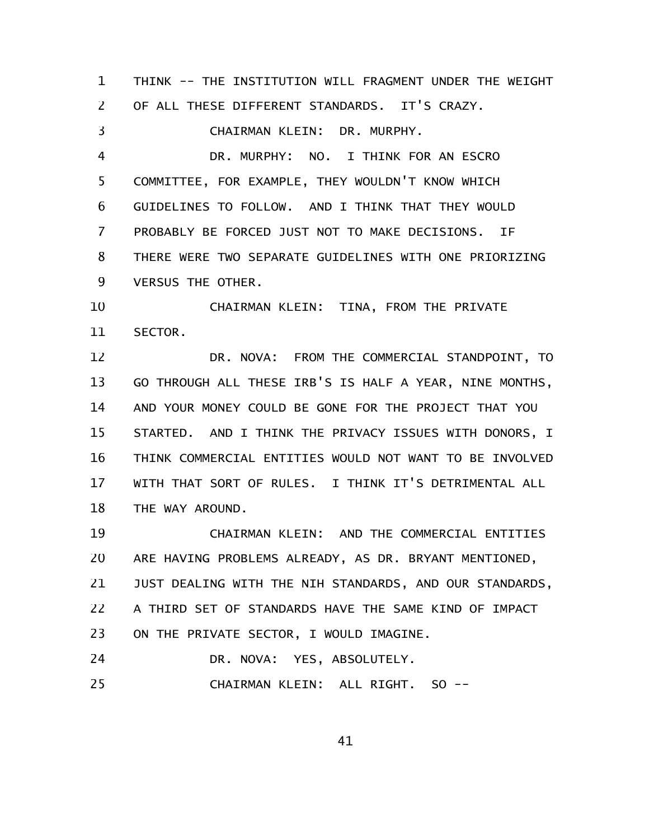THINK -- THE INSTITUTION WILL FRAGMENT UNDER THE WEIGHT OF ALL THESE DIFFERENT STANDARDS. IT'S CRAZY. CHAIRMAN KLEIN: DR. MURPHY. DR. MURPHY: NO. I THINK FOR AN ESCRO COMMITTEE, FOR EXAMPLE, THEY WOULDN'T KNOW WHICH GUIDELINES TO FOLLOW. AND I THINK THAT THEY WOULD PROBABLY BE FORCED JUST NOT TO MAKE DECISIONS. IF THERE WERE TWO SEPARATE GUIDELINES WITH ONE PRIORIZING VERSUS THE OTHER. CHAIRMAN KLEIN: TINA, FROM THE PRIVATE SECTOR. DR. NOVA: FROM THE COMMERCIAL STANDPOINT, TO GO THROUGH ALL THESE IRB'S IS HALF A YEAR, NINE MONTHS, AND YOUR MONEY COULD BE GONE FOR THE PROJECT THAT YOU STARTED. AND I THINK THE PRIVACY ISSUES WITH DONORS, I THINK COMMERCIAL ENTITIES WOULD NOT WANT TO BE INVOLVED WITH THAT SORT OF RULES. I THINK IT'S DETRIMENTAL ALL THE WAY AROUND. CHAIRMAN KLEIN: AND THE COMMERCIAL ENTITIES ARE HAVING PROBLEMS ALREADY, AS DR. BRYANT MENTIONED, JUST DEALING WITH THE NIH STANDARDS, AND OUR STANDARDS, A THIRD SET OF STANDARDS HAVE THE SAME KIND OF IMPACT ON THE PRIVATE SECTOR, I WOULD IMAGINE. DR. NOVA: YES, ABSOLUTELY. 1 2 3 4 5 6 7 8 9 10 11 12 13 14 15 16 17 18 19 20 21 22 23 24

CHAIRMAN KLEIN: ALL RIGHT. SO -- 25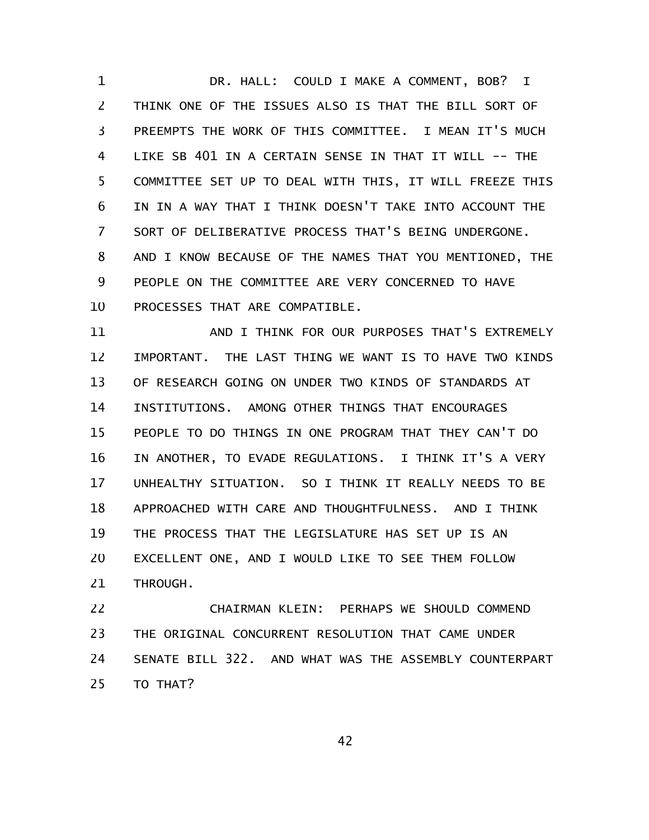DR. HALL: COULD I MAKE A COMMENT, BOB? I THINK ONE OF THE ISSUES ALSO IS THAT THE BILL SORT OF PREEMPTS THE WORK OF THIS COMMITTEE. I MEAN IT'S MUCH LIKE SB 401 IN A CERTAIN SENSE IN THAT IT WILL -- THE COMMITTEE SET UP TO DEAL WITH THIS, IT WILL FREEZE THIS IN IN A WAY THAT I THINK DOESN'T TAKE INTO ACCOUNT THE SORT OF DELIBERATIVE PROCESS THAT'S BEING UNDERGONE. AND I KNOW BECAUSE OF THE NAMES THAT YOU MENTIONED, THE PEOPLE ON THE COMMITTEE ARE VERY CONCERNED TO HAVE PROCESSES THAT ARE COMPATIBLE. 1 2 3 4 5 6 7 8 9 10

AND I THINK FOR OUR PURPOSES THAT'S EXTREMELY IMPORTANT. THE LAST THING WE WANT IS TO HAVE TWO KINDS OF RESEARCH GOING ON UNDER TWO KINDS OF STANDARDS AT INSTITUTIONS. AMONG OTHER THINGS THAT ENCOURAGES PEOPLE TO DO THINGS IN ONE PROGRAM THAT THEY CAN'T DO IN ANOTHER, TO EVADE REGULATIONS. I THINK IT'S A VERY UNHEALTHY SITUATION. SO I THINK IT REALLY NEEDS TO BE APPROACHED WITH CARE AND THOUGHTFULNESS. AND I THINK THE PROCESS THAT THE LEGISLATURE HAS SET UP IS AN EXCELLENT ONE, AND I WOULD LIKE TO SEE THEM FOLLOW THROUGH. 11 12 13 14 15 16 17 18 19 20 21

CHAIRMAN KLEIN: PERHAPS WE SHOULD COMMEND THE ORIGINAL CONCURRENT RESOLUTION THAT CAME UNDER SENATE BILL 322. AND WHAT WAS THE ASSEMBLY COUNTERPART TO THAT? 22 23 24 25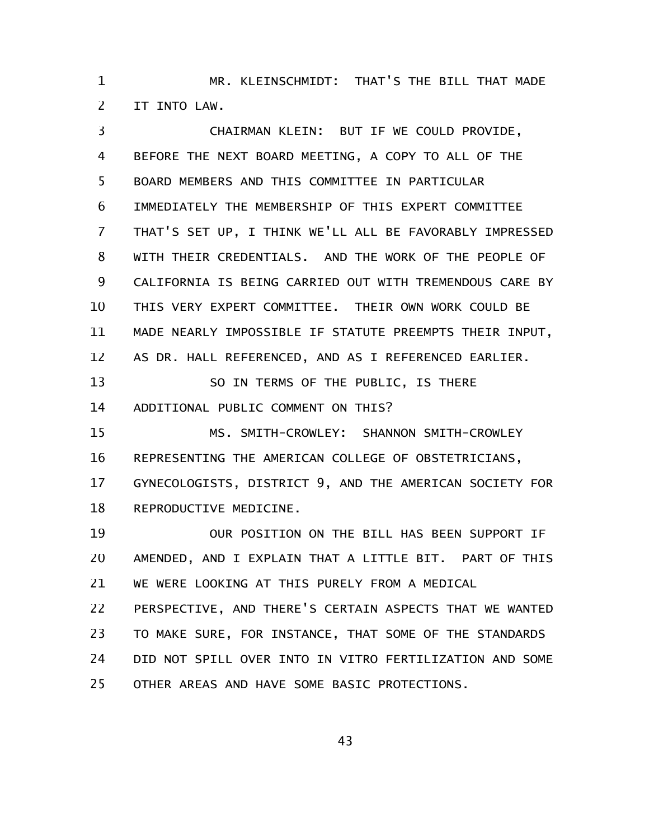MR. KLEINSCHMIDT: THAT'S THE BILL THAT MADE IT INTO LAW. 1 2

CHAIRMAN KLEIN: BUT IF WE COULD PROVIDE, BEFORE THE NEXT BOARD MEETING, A COPY TO ALL OF THE BOARD MEMBERS AND THIS COMMITTEE IN PARTICULAR IMMEDIATELY THE MEMBERSHIP OF THIS EXPERT COMMITTEE THAT'S SET UP, I THINK WE'LL ALL BE FAVORABLY IMPRESSED WITH THEIR CREDENTIALS. AND THE WORK OF THE PEOPLE OF CALIFORNIA IS BEING CARRIED OUT WITH TREMENDOUS CARE BY THIS VERY EXPERT COMMITTEE. THEIR OWN WORK COULD BE MADE NEARLY IMPOSSIBLE IF STATUTE PREEMPTS THEIR INPUT, AS DR. HALL REFERENCED, AND AS I REFERENCED EARLIER. SO IN TERMS OF THE PUBLIC, IS THERE ADDITIONAL PUBLIC COMMENT ON THIS? MS. SMITH-CROWLEY: SHANNON SMITH-CROWLEY REPRESENTING THE AMERICAN COLLEGE OF OBSTETRICIANS, GYNECOLOGISTS, DISTRICT 9, AND THE AMERICAN SOCIETY FOR REPRODUCTIVE MEDICINE. OUR POSITION ON THE BILL HAS BEEN SUPPORT IF AMENDED, AND I EXPLAIN THAT A LITTLE BIT. PART OF THIS WE WERE LOOKING AT THIS PURELY FROM A MEDICAL PERSPECTIVE, AND THERE'S CERTAIN ASPECTS THAT WE WANTED TO MAKE SURE, FOR INSTANCE, THAT SOME OF THE STANDARDS DID NOT SPILL OVER INTO IN VITRO FERTILIZATION AND SOME OTHER AREAS AND HAVE SOME BASIC PROTECTIONS. 3 4 5 6 7 8 9 10 11 12 13 14 15 16 17 18 19 20 21 22 23 24 25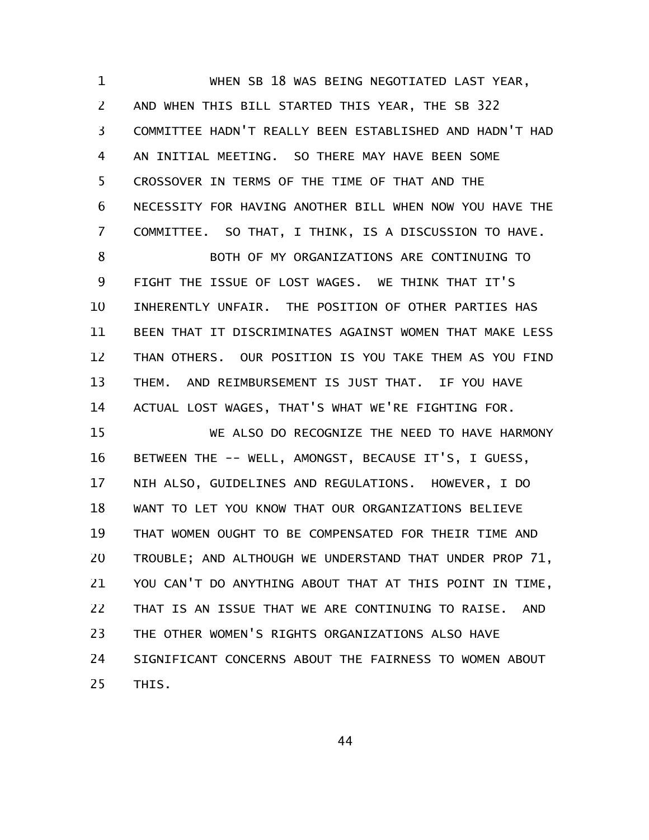WHEN SB 18 WAS BEING NEGOTIATED LAST YEAR, AND WHEN THIS BILL STARTED THIS YEAR, THE SB 322 COMMITTEE HADN'T REALLY BEEN ESTABLISHED AND HADN'T HAD AN INITIAL MEETING. SO THERE MAY HAVE BEEN SOME CROSSOVER IN TERMS OF THE TIME OF THAT AND THE NECESSITY FOR HAVING ANOTHER BILL WHEN NOW YOU HAVE THE COMMITTEE. SO THAT, I THINK, IS A DISCUSSION TO HAVE. BOTH OF MY ORGANIZATIONS ARE CONTINUING TO FIGHT THE ISSUE OF LOST WAGES. WE THINK THAT IT'S INHERENTLY UNFAIR. THE POSITION OF OTHER PARTIES HAS BEEN THAT IT DISCRIMINATES AGAINST WOMEN THAT MAKE LESS THAN OTHERS. OUR POSITION IS YOU TAKE THEM AS YOU FIND THEM. AND REIMBURSEMENT IS JUST THAT. IF YOU HAVE ACTUAL LOST WAGES, THAT'S WHAT WE'RE FIGHTING FOR. WE ALSO DO RECOGNIZE THE NEED TO HAVE HARMONY BETWEEN THE -- WELL, AMONGST, BECAUSE IT'S, I GUESS, NIH ALSO, GUIDELINES AND REGULATIONS. HOWEVER, I DO 1 2 3 4 5 6 7 8 9 10 11 12 13 14 15 16 17

WANT TO LET YOU KNOW THAT OUR ORGANIZATIONS BELIEVE THAT WOMEN OUGHT TO BE COMPENSATED FOR THEIR TIME AND TROUBLE; AND ALTHOUGH WE UNDERSTAND THAT UNDER PROP 71, YOU CAN'T DO ANYTHING ABOUT THAT AT THIS POINT IN TIME, THAT IS AN ISSUE THAT WE ARE CONTINUING TO RAISE. AND THE OTHER WOMEN'S RIGHTS ORGANIZATIONS ALSO HAVE SIGNIFICANT CONCERNS ABOUT THE FAIRNESS TO WOMEN ABOUT THIS. 18 19 20 21 22 23 24 25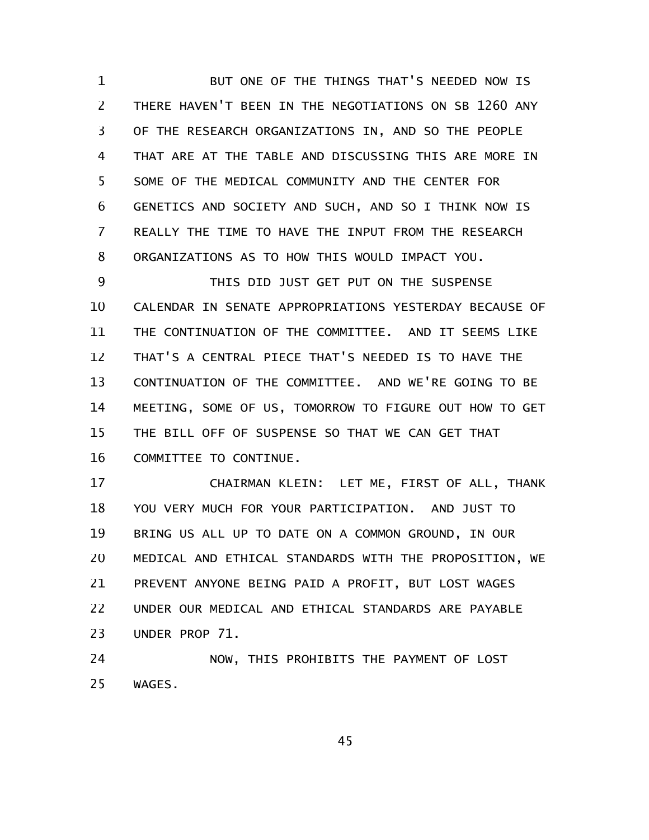BUT ONE OF THE THINGS THAT'S NEEDED NOW IS THERE HAVEN'T BEEN IN THE NEGOTIATIONS ON SB 1260 ANY OF THE RESEARCH ORGANIZATIONS IN, AND SO THE PEOPLE THAT ARE AT THE TABLE AND DISCUSSING THIS ARE MORE IN SOME OF THE MEDICAL COMMUNITY AND THE CENTER FOR GENETICS AND SOCIETY AND SUCH, AND SO I THINK NOW IS REALLY THE TIME TO HAVE THE INPUT FROM THE RESEARCH ORGANIZATIONS AS TO HOW THIS WOULD IMPACT YOU. 1 2 3 4 5 6 7 8

THIS DID JUST GET PUT ON THE SUSPENSE CALENDAR IN SENATE APPROPRIATIONS YESTERDAY BECAUSE OF THE CONTINUATION OF THE COMMITTEE. AND IT SEEMS LIKE THAT'S A CENTRAL PIECE THAT'S NEEDED IS TO HAVE THE CONTINUATION OF THE COMMITTEE. AND WE'RE GOING TO BE MEETING, SOME OF US, TOMORROW TO FIGURE OUT HOW TO GET THE BILL OFF OF SUSPENSE SO THAT WE CAN GET THAT COMMITTEE TO CONTINUE. 9 10 11 12 13 14 15 16

CHAIRMAN KLEIN: LET ME, FIRST OF ALL, THANK YOU VERY MUCH FOR YOUR PARTICIPATION. AND JUST TO BRING US ALL UP TO DATE ON A COMMON GROUND, IN OUR MEDICAL AND ETHICAL STANDARDS WITH THE PROPOSITION, WE PREVENT ANYONE BEING PAID A PROFIT, BUT LOST WAGES UNDER OUR MEDICAL AND ETHICAL STANDARDS ARE PAYABLE UNDER PROP 71. 17 18 19 20 21 22 23

NOW, THIS PROHIBITS THE PAYMENT OF LOST WAGES. 24 25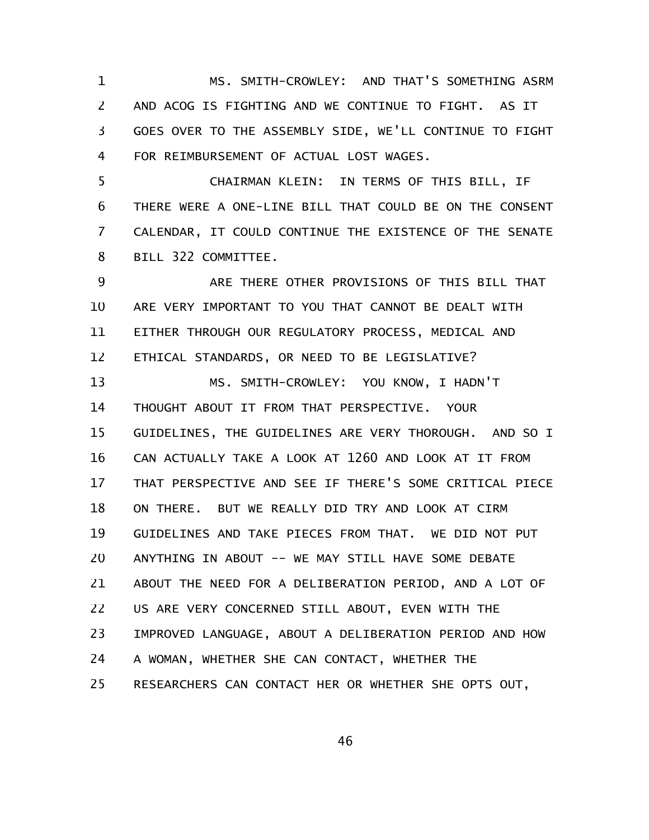MS. SMITH-CROWLEY: AND THAT'S SOMETHING ASRM AND ACOG IS FIGHTING AND WE CONTINUE TO FIGHT. AS IT GOES OVER TO THE ASSEMBLY SIDE, WE'LL CONTINUE TO FIGHT FOR REIMBURSEMENT OF ACTUAL LOST WAGES. 1 2 3 4

CHAIRMAN KLEIN: IN TERMS OF THIS BILL, IF THERE WERE A ONE-LINE BILL THAT COULD BE ON THE CONSENT CALENDAR, IT COULD CONTINUE THE EXISTENCE OF THE SENATE BILL 322 COMMITTEE. 5 6 7 8

ARE THERE OTHER PROVISIONS OF THIS BILL THAT ARE VERY IMPORTANT TO YOU THAT CANNOT BE DEALT WITH EITHER THROUGH OUR REGULATORY PROCESS, MEDICAL AND ETHICAL STANDARDS, OR NEED TO BE LEGISLATIVE? 9 10 11 12

MS. SMITH-CROWLEY: YOU KNOW, I HADN'T THOUGHT ABOUT IT FROM THAT PERSPECTIVE. YOUR GUIDELINES, THE GUIDELINES ARE VERY THOROUGH. AND SO I CAN ACTUALLY TAKE A LOOK AT 1260 AND LOOK AT IT FROM THAT PERSPECTIVE AND SEE IF THERE'S SOME CRITICAL PIECE ON THERE. BUT WE REALLY DID TRY AND LOOK AT CIRM GUIDELINES AND TAKE PIECES FROM THAT. WE DID NOT PUT ANYTHING IN ABOUT -- WE MAY STILL HAVE SOME DEBATE ABOUT THE NEED FOR A DELIBERATION PERIOD, AND A LOT OF US ARE VERY CONCERNED STILL ABOUT, EVEN WITH THE IMPROVED LANGUAGE, ABOUT A DELIBERATION PERIOD AND HOW A WOMAN, WHETHER SHE CAN CONTACT, WHETHER THE RESEARCHERS CAN CONTACT HER OR WHETHER SHE OPTS OUT, 13 14 15 16 17 18 19 20 21 22 23 24 25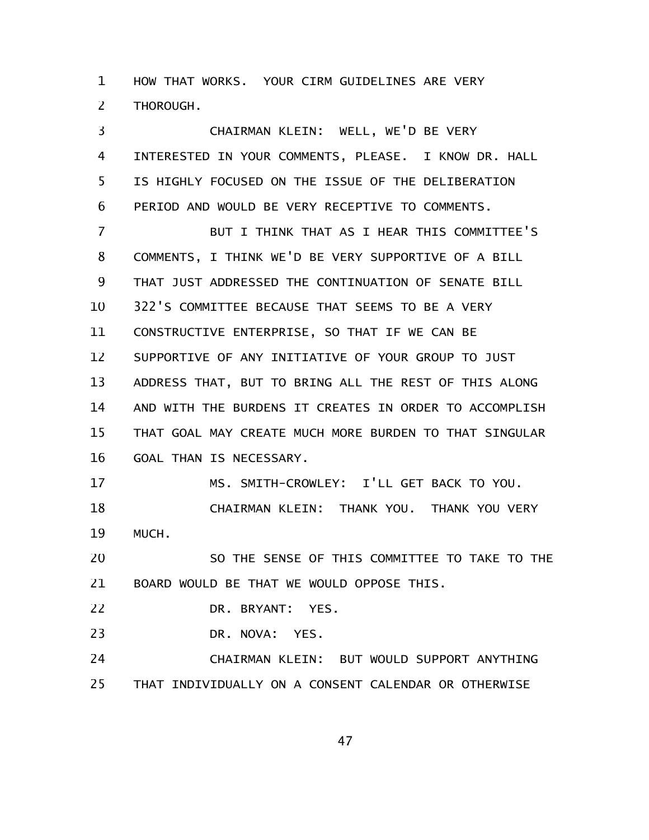HOW THAT WORKS. YOUR CIRM GUIDELINES ARE VERY THOROUGH. 1 2

CHAIRMAN KLEIN: WELL, WE'D BE VERY INTERESTED IN YOUR COMMENTS, PLEASE. I KNOW DR. HALL IS HIGHLY FOCUSED ON THE ISSUE OF THE DELIBERATION PERIOD AND WOULD BE VERY RECEPTIVE TO COMMENTS. BUT I THINK THAT AS I HEAR THIS COMMITTEE'S COMMENTS, I THINK WE'D BE VERY SUPPORTIVE OF A BILL THAT JUST ADDRESSED THE CONTINUATION OF SENATE BILL 322'S COMMITTEE BECAUSE THAT SEEMS TO BE A VERY CONSTRUCTIVE ENTERPRISE, SO THAT IF WE CAN BE SUPPORTIVE OF ANY INITIATIVE OF YOUR GROUP TO JUST ADDRESS THAT, BUT TO BRING ALL THE REST OF THIS ALONG AND WITH THE BURDENS IT CREATES IN ORDER TO ACCOMPLISH THAT GOAL MAY CREATE MUCH MORE BURDEN TO THAT SINGULAR GOAL THAN IS NECESSARY. MS. SMITH-CROWLEY: I'LL GET BACK TO YOU. CHAIRMAN KLEIN: THANK YOU. THANK YOU VERY 3 4 5 6 7 8 9 10 11 12 13 14 15 16 17 18

MUCH. 19

SO THE SENSE OF THIS COMMITTEE TO TAKE TO THE BOARD WOULD BE THAT WE WOULD OPPOSE THIS. 20 21

DR. BRYANT: YES. 22

DR. NOVA: YES. 23

CHAIRMAN KLEIN: BUT WOULD SUPPORT ANYTHING THAT INDIVIDUALLY ON A CONSENT CALENDAR OR OTHERWISE 24 25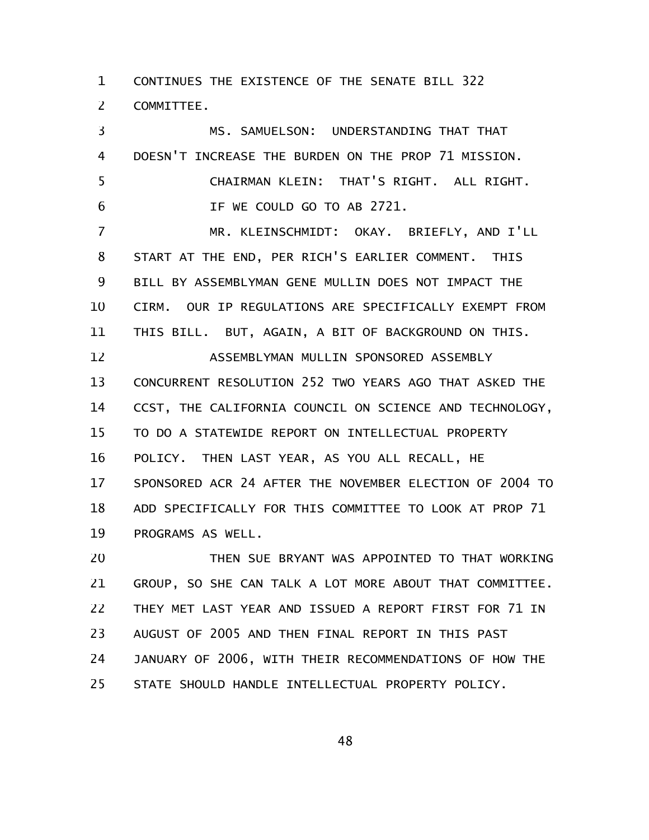CONTINUES THE EXISTENCE OF THE SENATE BILL 322 COMMITTEE. 1 2

MS. SAMUELSON: UNDERSTANDING THAT THAT DOESN'T INCREASE THE BURDEN ON THE PROP 71 MISSION. CHAIRMAN KLEIN: THAT'S RIGHT. ALL RIGHT. IF WE COULD GO TO AB 2721. MR. KLEINSCHMIDT: OKAY. BRIEFLY, AND I'LL START AT THE END, PER RICH'S EARLIER COMMENT. THIS BILL BY ASSEMBLYMAN GENE MULLIN DOES NOT IMPACT THE CIRM. OUR IP REGULATIONS ARE SPECIFICALLY EXEMPT FROM THIS BILL. BUT, AGAIN, A BIT OF BACKGROUND ON THIS. ASSEMBLYMAN MULLIN SPONSORED ASSEMBLY CONCURRENT RESOLUTION 252 TWO YEARS AGO THAT ASKED THE CCST, THE CALIFORNIA COUNCIL ON SCIENCE AND TECHNOLOGY, TO DO A STATEWIDE REPORT ON INTELLECTUAL PROPERTY POLICY. THEN LAST YEAR, AS YOU ALL RECALL, HE SPONSORED ACR 24 AFTER THE NOVEMBER ELECTION OF 2004 TO ADD SPECIFICALLY FOR THIS COMMITTEE TO LOOK AT PROP 71 PROGRAMS AS WELL. THEN SUE BRYANT WAS APPOINTED TO THAT WORKING 3 4 5 6 7 8 9 10 11 12 13 14 15 16 17 18 19 20

GROUP, SO SHE CAN TALK A LOT MORE ABOUT THAT COMMITTEE. THEY MET LAST YEAR AND ISSUED A REPORT FIRST FOR 71 IN AUGUST OF 2005 AND THEN FINAL REPORT IN THIS PAST JANUARY OF 2006, WITH THEIR RECOMMENDATIONS OF HOW THE STATE SHOULD HANDLE INTELLECTUAL PROPERTY POLICY. 21 22 23 24 25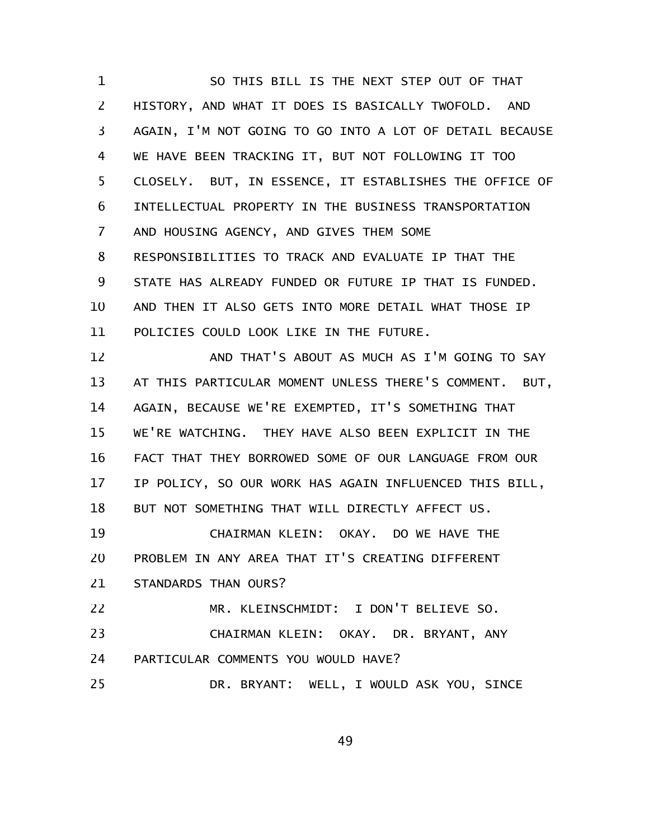SO THIS BILL IS THE NEXT STEP OUT OF THAT HISTORY, AND WHAT IT DOES IS BASICALLY TWOFOLD. AND AGAIN, I'M NOT GOING TO GO INTO A LOT OF DETAIL BECAUSE WE HAVE BEEN TRACKING IT, BUT NOT FOLLOWING IT TOO CLOSELY. BUT, IN ESSENCE, IT ESTABLISHES THE OFFICE OF INTELLECTUAL PROPERTY IN THE BUSINESS TRANSPORTATION AND HOUSING AGENCY, AND GIVES THEM SOME RESPONSIBILITIES TO TRACK AND EVALUATE IP THAT THE STATE HAS ALREADY FUNDED OR FUTURE IP THAT IS FUNDED. AND THEN IT ALSO GETS INTO MORE DETAIL WHAT THOSE IP POLICIES COULD LOOK LIKE IN THE FUTURE. 1 2 3 4 5 6 7 8 9 10 11

AND THAT'S ABOUT AS MUCH AS I'M GOING TO SAY AT THIS PARTICULAR MOMENT UNLESS THERE'S COMMENT. BUT, AGAIN, BECAUSE WE'RE EXEMPTED, IT'S SOMETHING THAT WE'RE WATCHING. THEY HAVE ALSO BEEN EXPLICIT IN THE FACT THAT THEY BORROWED SOME OF OUR LANGUAGE FROM OUR IP POLICY, SO OUR WORK HAS AGAIN INFLUENCED THIS BILL, BUT NOT SOMETHING THAT WILL DIRECTLY AFFECT US. 12 13 14 15 16 17 18

CHAIRMAN KLEIN: OKAY. DO WE HAVE THE PROBLEM IN ANY AREA THAT IT'S CREATING DIFFERENT STANDARDS THAN OURS? 19 20 21

MR. KLEINSCHMIDT: I DON'T BELIEVE SO. CHAIRMAN KLEIN: OKAY. DR. BRYANT, ANY PARTICULAR COMMENTS YOU WOULD HAVE? 22 23 24

DR. BRYANT: WELL, I WOULD ASK YOU, SINCE 25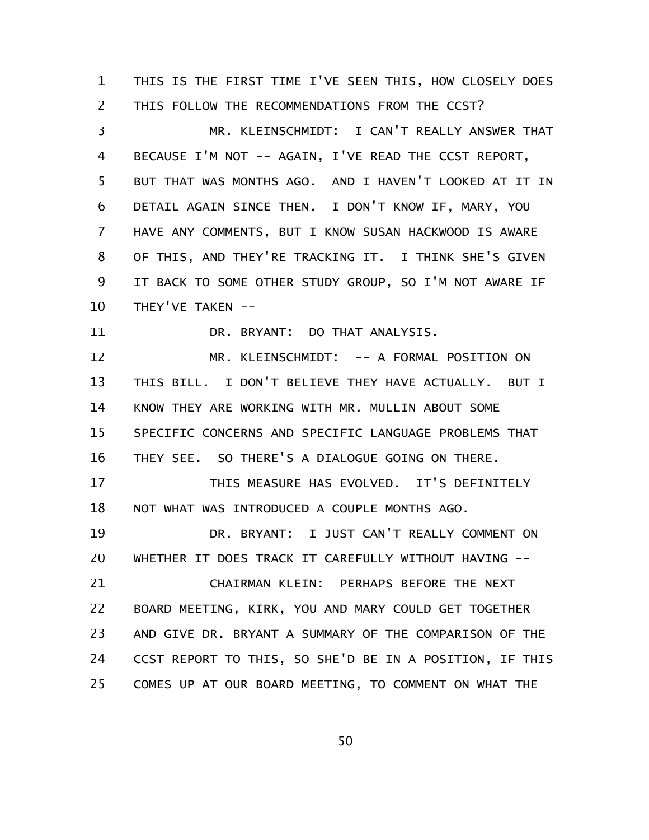THIS IS THE FIRST TIME I'VE SEEN THIS, HOW CLOSELY DOES THIS FOLLOW THE RECOMMENDATIONS FROM THE CCST? 1 2

MR. KLEINSCHMIDT: I CAN'T REALLY ANSWER THAT BECAUSE I'M NOT -- AGAIN, I'VE READ THE CCST REPORT, BUT THAT WAS MONTHS AGO. AND I HAVEN'T LOOKED AT IT IN DETAIL AGAIN SINCE THEN. I DON'T KNOW IF, MARY, YOU HAVE ANY COMMENTS, BUT I KNOW SUSAN HACKWOOD IS AWARE OF THIS, AND THEY'RE TRACKING IT. I THINK SHE'S GIVEN IT BACK TO SOME OTHER STUDY GROUP, SO I'M NOT AWARE IF THEY'VE TAKEN -- 3 4 5 6 7 8 9 10

DR. BRYANT: DO THAT ANALYSIS. 11

MR. KLEINSCHMIDT: -- A FORMAL POSITION ON THIS BILL. I DON'T BELIEVE THEY HAVE ACTUALLY. BUT I KNOW THEY ARE WORKING WITH MR. MULLIN ABOUT SOME SPECIFIC CONCERNS AND SPECIFIC LANGUAGE PROBLEMS THAT THEY SEE. SO THERE'S A DIALOGUE GOING ON THERE. 12 13 14 15 16

THIS MEASURE HAS EVOLVED. IT'S DEFINITELY NOT WHAT WAS INTRODUCED A COUPLE MONTHS AGO. 17 18

DR. BRYANT: I JUST CAN'T REALLY COMMENT ON WHETHER IT DOES TRACK IT CAREFULLY WITHOUT HAVING -- 19 20

CHAIRMAN KLEIN: PERHAPS BEFORE THE NEXT BOARD MEETING, KIRK, YOU AND MARY COULD GET TOGETHER AND GIVE DR. BRYANT A SUMMARY OF THE COMPARISON OF THE CCST REPORT TO THIS, SO SHE'D BE IN A POSITION, IF THIS COMES UP AT OUR BOARD MEETING, TO COMMENT ON WHAT THE 21 22 23 24 25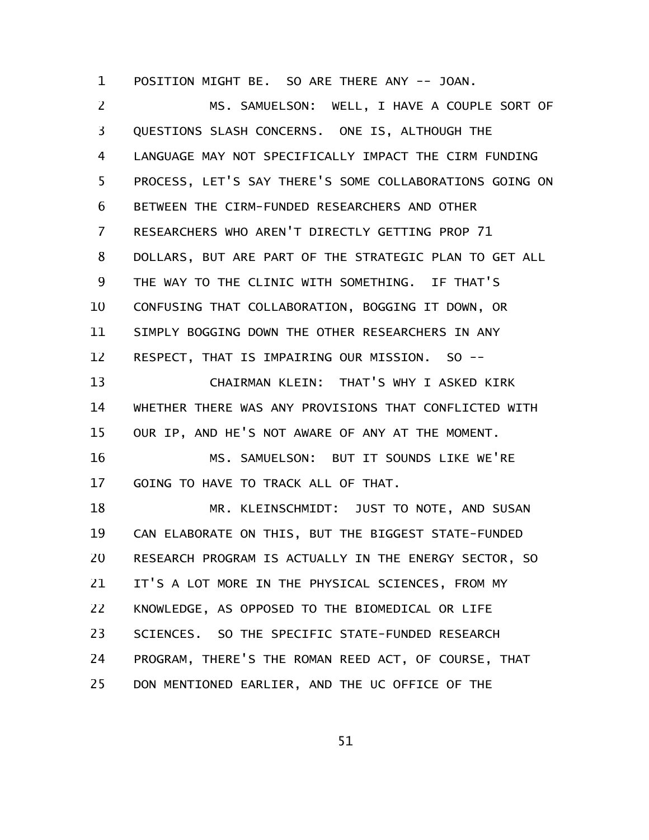POSITION MIGHT BE. SO ARE THERE ANY -- JOAN. 1

MS. SAMUELSON: WELL, I HAVE A COUPLE SORT OF QUESTIONS SLASH CONCERNS. ONE IS, ALTHOUGH THE LANGUAGE MAY NOT SPECIFICALLY IMPACT THE CIRM FUNDING PROCESS, LET'S SAY THERE'S SOME COLLABORATIONS GOING ON BETWEEN THE CIRM-FUNDED RESEARCHERS AND OTHER RESEARCHERS WHO AREN'T DIRECTLY GETTING PROP 71 DOLLARS, BUT ARE PART OF THE STRATEGIC PLAN TO GET ALL THE WAY TO THE CLINIC WITH SOMETHING. IF THAT'S CONFUSING THAT COLLABORATION, BOGGING IT DOWN, OR SIMPLY BOGGING DOWN THE OTHER RESEARCHERS IN ANY RESPECT, THAT IS IMPAIRING OUR MISSION. SO -- CHAIRMAN KLEIN: THAT'S WHY I ASKED KIRK WHETHER THERE WAS ANY PROVISIONS THAT CONFLICTED WITH OUR IP, AND HE'S NOT AWARE OF ANY AT THE MOMENT. MS. SAMUELSON: BUT IT SOUNDS LIKE WE'RE GOING TO HAVE TO TRACK ALL OF THAT. MR. KLEINSCHMIDT: JUST TO NOTE, AND SUSAN CAN ELABORATE ON THIS, BUT THE BIGGEST STATE-FUNDED RESEARCH PROGRAM IS ACTUALLY IN THE ENERGY SECTOR, SO IT'S A LOT MORE IN THE PHYSICAL SCIENCES, FROM MY KNOWLEDGE, AS OPPOSED TO THE BIOMEDICAL OR LIFE SCIENCES. SO THE SPECIFIC STATE-FUNDED RESEARCH PROGRAM, THERE'S THE ROMAN REED ACT, OF COURSE, THAT DON MENTIONED EARLIER, AND THE UC OFFICE OF THE 2 3 4 5 6 7 8 9 10 11 12 13 14 15 16 17 18 19 20 21 22 23 24 25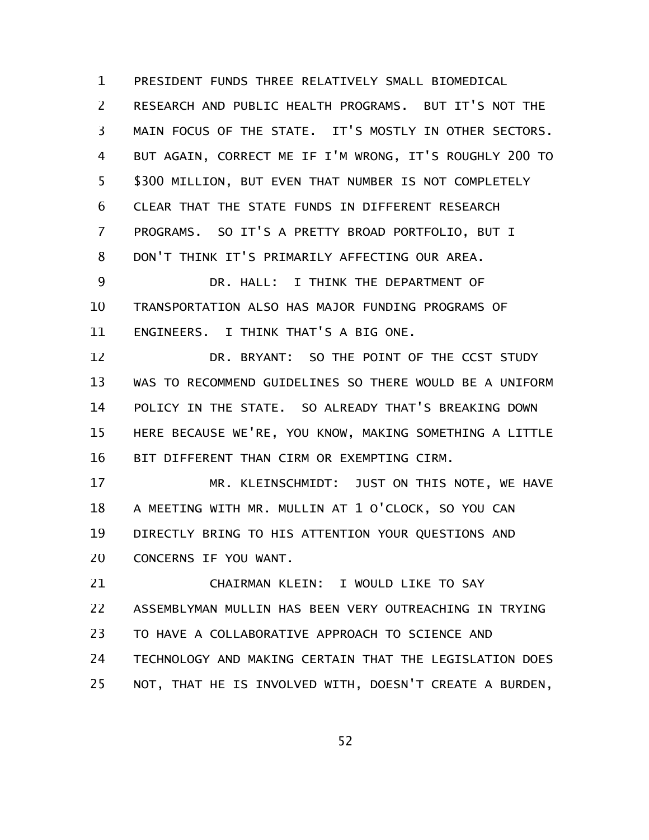PRESIDENT FUNDS THREE RELATIVELY SMALL BIOMEDICAL RESEARCH AND PUBLIC HEALTH PROGRAMS. BUT IT'S NOT THE MAIN FOCUS OF THE STATE. IT'S MOSTLY IN OTHER SECTORS. BUT AGAIN, CORRECT ME IF I'M WRONG, IT'S ROUGHLY 200 TO \$300 MILLION, BUT EVEN THAT NUMBER IS NOT COMPLETELY CLEAR THAT THE STATE FUNDS IN DIFFERENT RESEARCH PROGRAMS. SO IT'S A PRETTY BROAD PORTFOLIO, BUT I DON'T THINK IT'S PRIMARILY AFFECTING OUR AREA. 1 2 3 4 5 6 7 8 9

DR. HALL: I THINK THE DEPARTMENT OF TRANSPORTATION ALSO HAS MAJOR FUNDING PROGRAMS OF ENGINEERS. I THINK THAT'S A BIG ONE. 10 11

DR. BRYANT: SO THE POINT OF THE CCST STUDY WAS TO RECOMMEND GUIDELINES SO THERE WOULD BE A UNIFORM POLICY IN THE STATE. SO ALREADY THAT'S BREAKING DOWN HERE BECAUSE WE'RE, YOU KNOW, MAKING SOMETHING A LITTLE BIT DIFFERENT THAN CIRM OR EXEMPTING CIRM. 12 13 14 15 16

MR. KLEINSCHMIDT: JUST ON THIS NOTE, WE HAVE A MEETING WITH MR. MULLIN AT 1 O'CLOCK, SO YOU CAN DIRECTLY BRING TO HIS ATTENTION YOUR QUESTIONS AND CONCERNS IF YOU WANT. 17 18 19 20

CHAIRMAN KLEIN: I WOULD LIKE TO SAY ASSEMBLYMAN MULLIN HAS BEEN VERY OUTREACHING IN TRYING TO HAVE A COLLABORATIVE APPROACH TO SCIENCE AND TECHNOLOGY AND MAKING CERTAIN THAT THE LEGISLATION DOES NOT, THAT HE IS INVOLVED WITH, DOESN'T CREATE A BURDEN, 21 22 23 24 25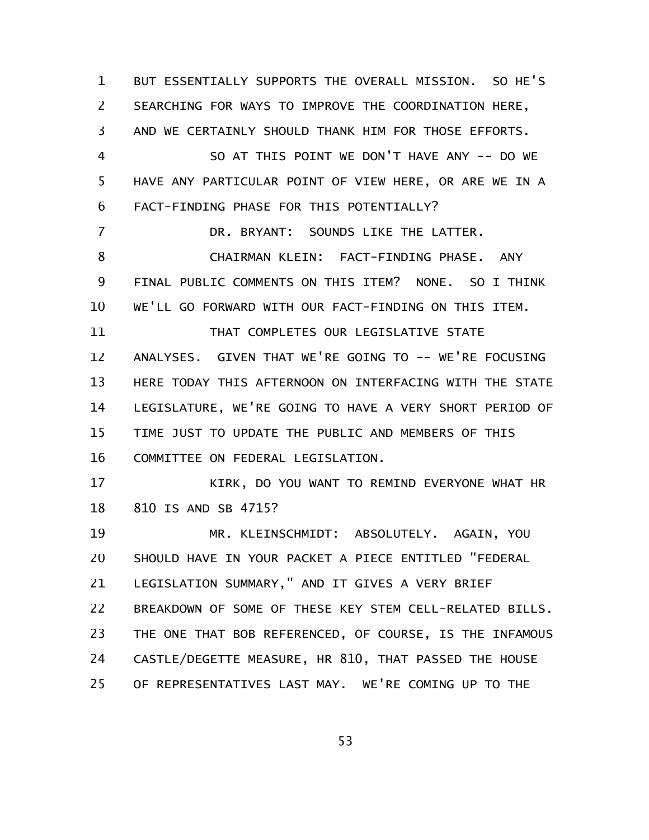BUT ESSENTIALLY SUPPORTS THE OVERALL MISSION. SO HE'S SEARCHING FOR WAYS TO IMPROVE THE COORDINATION HERE, AND WE CERTAINLY SHOULD THANK HIM FOR THOSE EFFORTS. SO AT THIS POINT WE DON'T HAVE ANY -- DO WE HAVE ANY PARTICULAR POINT OF VIEW HERE, OR ARE WE IN A FACT-FINDING PHASE FOR THIS POTENTIALLY? DR. BRYANT: SOUNDS LIKE THE LATTER. CHAIRMAN KLEIN: FACT-FINDING PHASE. ANY FINAL PUBLIC COMMENTS ON THIS ITEM? NONE. SO I THINK WE'LL GO FORWARD WITH OUR FACT-FINDING ON THIS ITEM. THAT COMPLETES OUR LEGISLATIVE STATE ANALYSES. GIVEN THAT WE'RE GOING TO -- WE'RE FOCUSING HERE TODAY THIS AFTERNOON ON INTERFACING WITH THE STATE LEGISLATURE, WE'RE GOING TO HAVE A VERY SHORT PERIOD OF TIME JUST TO UPDATE THE PUBLIC AND MEMBERS OF THIS COMMITTEE ON FEDERAL LEGISLATION. KIRK, DO YOU WANT TO REMIND EVERYONE WHAT HR 810 IS AND SB 4715? MR. KLEINSCHMIDT: ABSOLUTELY. AGAIN, YOU SHOULD HAVE IN YOUR PACKET A PIECE ENTITLED "FEDERAL LEGISLATION SUMMARY," AND IT GIVES A VERY BRIEF BREAKDOWN OF SOME OF THESE KEY STEM CELL-RELATED BILLS. THE ONE THAT BOB REFERENCED, OF COURSE, IS THE INFAMOUS CASTLE/DEGETTE MEASURE, HR 810, THAT PASSED THE HOUSE OF REPRESENTATIVES LAST MAY. WE'RE COMING UP TO THE 1 2 3 4 5 6 7 8 9 10 11 12 13 14 15 16 17 18 19 20 21 22 23 24 25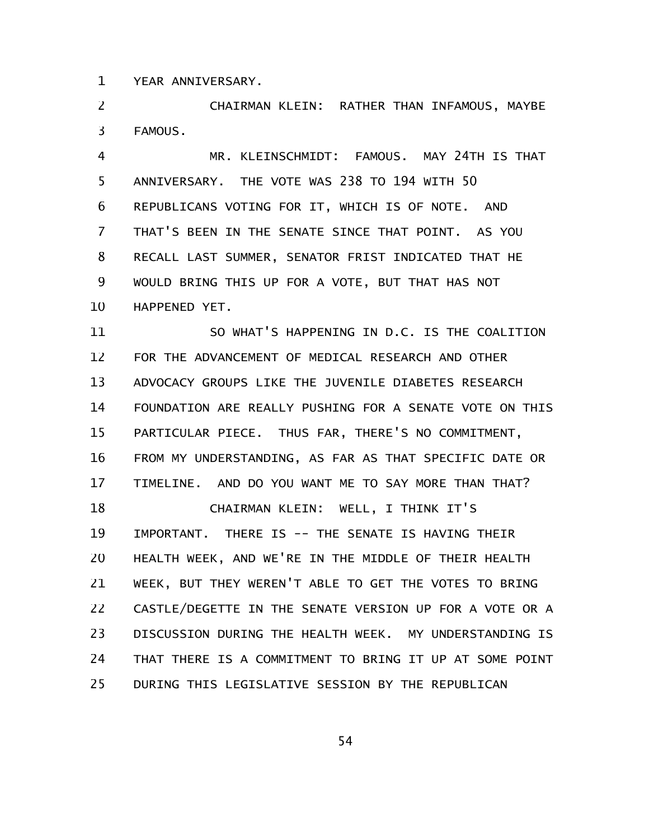YEAR ANNIVERSARY. 1

CHAIRMAN KLEIN: RATHER THAN INFAMOUS, MAYBE FAMOUS. 2 3

MR. KLEINSCHMIDT: FAMOUS. MAY 24TH IS THAT ANNIVERSARY. THE VOTE WAS 238 TO 194 WITH 50 REPUBLICANS VOTING FOR IT, WHICH IS OF NOTE. AND THAT'S BEEN IN THE SENATE SINCE THAT POINT. AS YOU RECALL LAST SUMMER, SENATOR FRIST INDICATED THAT HE WOULD BRING THIS UP FOR A VOTE, BUT THAT HAS NOT HAPPENED YET. 4 5 6 7 8 9 10

SO WHAT'S HAPPENING IN D.C. IS THE COALITION FOR THE ADVANCEMENT OF MEDICAL RESEARCH AND OTHER ADVOCACY GROUPS LIKE THE JUVENILE DIABETES RESEARCH FOUNDATION ARE REALLY PUSHING FOR A SENATE VOTE ON THIS PARTICULAR PIECE. THUS FAR, THERE'S NO COMMITMENT, FROM MY UNDERSTANDING, AS FAR AS THAT SPECIFIC DATE OR TIMELINE. AND DO YOU WANT ME TO SAY MORE THAN THAT? CHAIRMAN KLEIN: WELL, I THINK IT'S IMPORTANT. THERE IS -- THE SENATE IS HAVING THEIR HEALTH WEEK, AND WE'RE IN THE MIDDLE OF THEIR HEALTH WEEK, BUT THEY WEREN'T ABLE TO GET THE VOTES TO BRING CASTLE/DEGETTE IN THE SENATE VERSION UP FOR A VOTE OR A DISCUSSION DURING THE HEALTH WEEK. MY UNDERSTANDING IS THAT THERE IS A COMMITMENT TO BRING IT UP AT SOME POINT DURING THIS LEGISLATIVE SESSION BY THE REPUBLICAN 11 12 13 14 15 16 17 18 19 20 21 22 23 24 25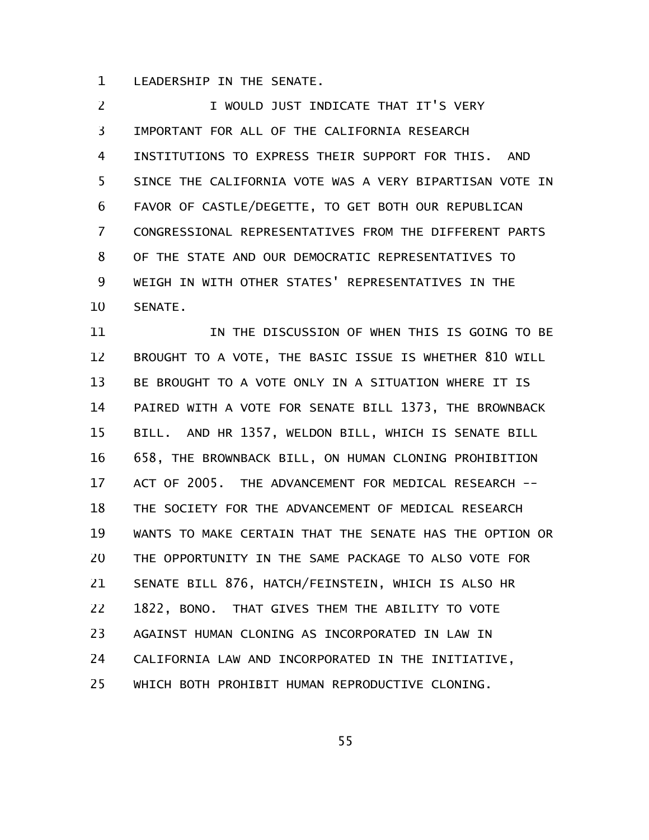LEADERSHIP IN THE SENATE. 1

I WOULD JUST INDICATE THAT IT'S VERY IMPORTANT FOR ALL OF THE CALIFORNIA RESEARCH INSTITUTIONS TO EXPRESS THEIR SUPPORT FOR THIS. AND SINCE THE CALIFORNIA VOTE WAS A VERY BIPARTISAN VOTE IN FAVOR OF CASTLE/DEGETTE, TO GET BOTH OUR REPUBLICAN CONGRESSIONAL REPRESENTATIVES FROM THE DIFFERENT PARTS OF THE STATE AND OUR DEMOCRATIC REPRESENTATIVES TO WEIGH IN WITH OTHER STATES' REPRESENTATIVES IN THE SENATE. 2 3 4 5 6 7 8 9 10

IN THE DISCUSSION OF WHEN THIS IS GOING TO BE BROUGHT TO A VOTE, THE BASIC ISSUE IS WHETHER 810 WILL BE BROUGHT TO A VOTE ONLY IN A SITUATION WHERE IT IS PAIRED WITH A VOTE FOR SENATE BILL 1373, THE BROWNBACK BILL. AND HR 1357, WELDON BILL, WHICH IS SENATE BILL 658, THE BROWNBACK BILL, ON HUMAN CLONING PROHIBITION ACT OF 2005. THE ADVANCEMENT FOR MEDICAL RESEARCH -- THE SOCIETY FOR THE ADVANCEMENT OF MEDICAL RESEARCH WANTS TO MAKE CERTAIN THAT THE SENATE HAS THE OPTION OR THE OPPORTUNITY IN THE SAME PACKAGE TO ALSO VOTE FOR SENATE BILL 876, HATCH/FEINSTEIN, WHICH IS ALSO HR 1822, BONO. THAT GIVES THEM THE ABILITY TO VOTE AGAINST HUMAN CLONING AS INCORPORATED IN LAW IN CALIFORNIA LAW AND INCORPORATED IN THE INITIATIVE, WHICH BOTH PROHIBIT HUMAN REPRODUCTIVE CLONING. 11 12 13 14 15 16 17 18 19 20 21 22 23 24 25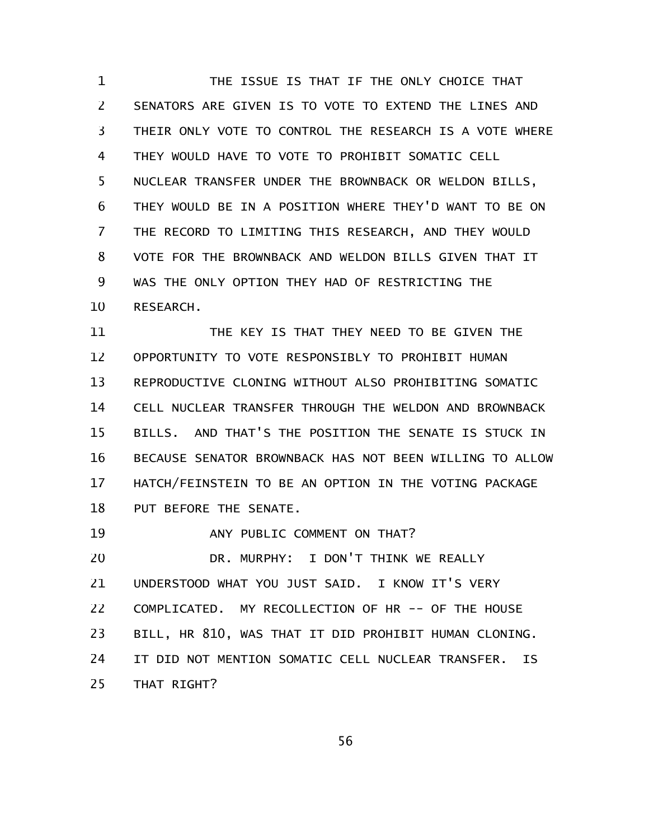THE ISSUE IS THAT IF THE ONLY CHOICE THAT SENATORS ARE GIVEN IS TO VOTE TO EXTEND THE LINES AND THEIR ONLY VOTE TO CONTROL THE RESEARCH IS A VOTE WHERE THEY WOULD HAVE TO VOTE TO PROHIBIT SOMATIC CELL NUCLEAR TRANSFER UNDER THE BROWNBACK OR WELDON BILLS, THEY WOULD BE IN A POSITION WHERE THEY'D WANT TO BE ON THE RECORD TO LIMITING THIS RESEARCH, AND THEY WOULD VOTE FOR THE BROWNBACK AND WELDON BILLS GIVEN THAT IT WAS THE ONLY OPTION THEY HAD OF RESTRICTING THE RESEARCH. 1 2 3 4 5 6 7 8 9 10

THE KEY IS THAT THEY NEED TO BE GIVEN THE OPPORTUNITY TO VOTE RESPONSIBLY TO PROHIBIT HUMAN REPRODUCTIVE CLONING WITHOUT ALSO PROHIBITING SOMATIC CELL NUCLEAR TRANSFER THROUGH THE WELDON AND BROWNBACK BILLS. AND THAT'S THE POSITION THE SENATE IS STUCK IN BECAUSE SENATOR BROWNBACK HAS NOT BEEN WILLING TO ALLOW HATCH/FEINSTEIN TO BE AN OPTION IN THE VOTING PACKAGE PUT BEFORE THE SENATE. 11 12 13 14 15 16 17 18

ANY PUBLIC COMMENT ON THAT? DR. MURPHY: I DON'T THINK WE REALLY UNDERSTOOD WHAT YOU JUST SAID. I KNOW IT'S VERY COMPLICATED. MY RECOLLECTION OF HR -- OF THE HOUSE BILL, HR 810, WAS THAT IT DID PROHIBIT HUMAN CLONING. IT DID NOT MENTION SOMATIC CELL NUCLEAR TRANSFER. IS THAT RIGHT? 19 20 21 22 23 24 25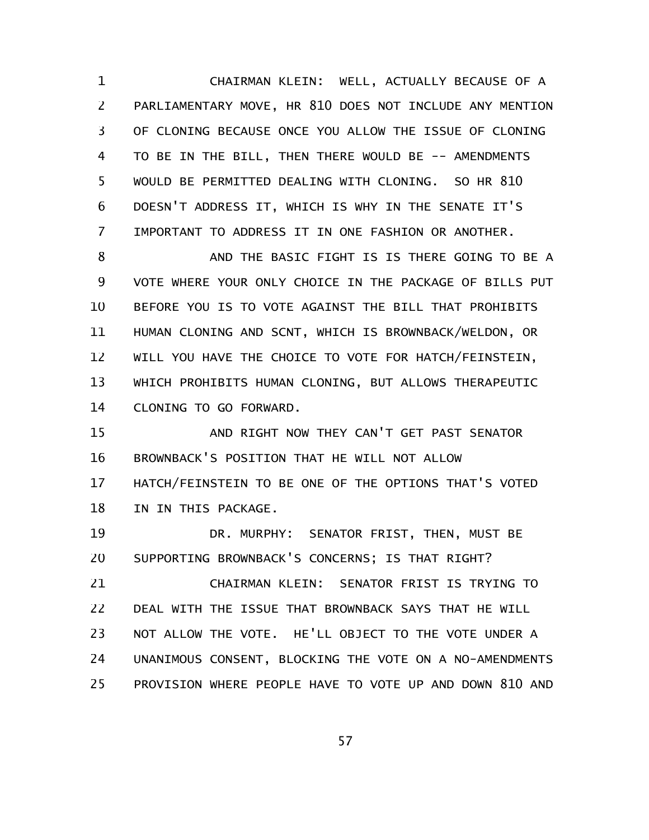CHAIRMAN KLEIN: WELL, ACTUALLY BECAUSE OF A PARLIAMENTARY MOVE, HR 810 DOES NOT INCLUDE ANY MENTION OF CLONING BECAUSE ONCE YOU ALLOW THE ISSUE OF CLONING TO BE IN THE BILL, THEN THERE WOULD BE -- AMENDMENTS WOULD BE PERMITTED DEALING WITH CLONING. SO HR 810 DOESN'T ADDRESS IT, WHICH IS WHY IN THE SENATE IT'S IMPORTANT TO ADDRESS IT IN ONE FASHION OR ANOTHER. 1 2 3 4 5 6 7

AND THE BASIC FIGHT IS IS THERE GOING TO BE A VOTE WHERE YOUR ONLY CHOICE IN THE PACKAGE OF BILLS PUT BEFORE YOU IS TO VOTE AGAINST THE BILL THAT PROHIBITS HUMAN CLONING AND SCNT, WHICH IS BROWNBACK/WELDON, OR WILL YOU HAVE THE CHOICE TO VOTE FOR HATCH/FEINSTEIN, WHICH PROHIBITS HUMAN CLONING, BUT ALLOWS THERAPEUTIC CLONING TO GO FORWARD. 8 9 10 11 12 13 14

AND RIGHT NOW THEY CAN'T GET PAST SENATOR BROWNBACK'S POSITION THAT HE WILL NOT ALLOW HATCH/FEINSTEIN TO BE ONE OF THE OPTIONS THAT'S VOTED IN IN THIS PACKAGE. 15 16 17 18

DR. MURPHY: SENATOR FRIST, THEN, MUST BE SUPPORTING BROWNBACK'S CONCERNS; IS THAT RIGHT? 19 20

CHAIRMAN KLEIN: SENATOR FRIST IS TRYING TO DEAL WITH THE ISSUE THAT BROWNBACK SAYS THAT HE WILL NOT ALLOW THE VOTE. HE'LL OBJECT TO THE VOTE UNDER A UNANIMOUS CONSENT, BLOCKING THE VOTE ON A NO-AMENDMENTS PROVISION WHERE PEOPLE HAVE TO VOTE UP AND DOWN 810 AND 21 22 23 24 25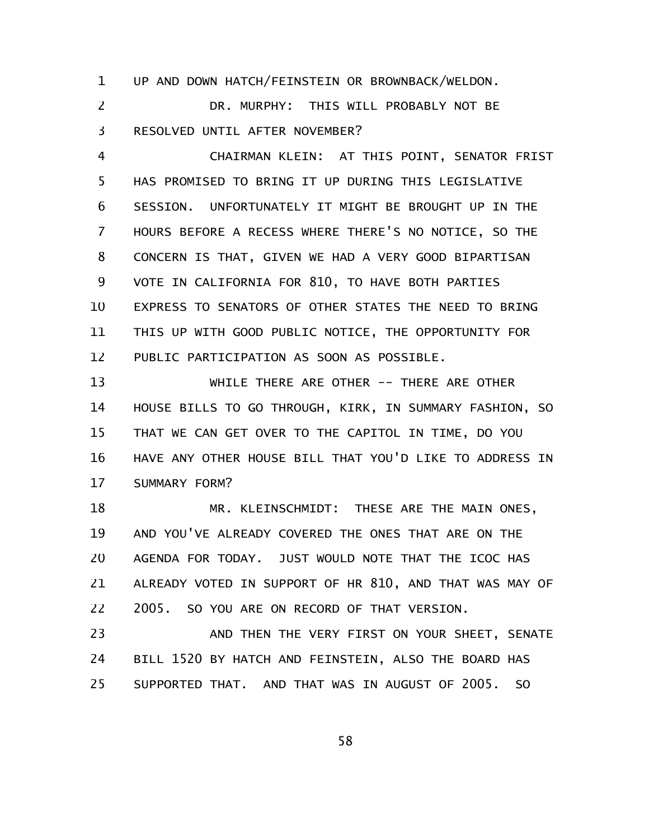UP AND DOWN HATCH/FEINSTEIN OR BROWNBACK/WELDON. 1

DR. MURPHY: THIS WILL PROBABLY NOT BE RESOLVED UNTIL AFTER NOVEMBER? 2 3

CHAIRMAN KLEIN: AT THIS POINT, SENATOR FRIST HAS PROMISED TO BRING IT UP DURING THIS LEGISLATIVE SESSION. UNFORTUNATELY IT MIGHT BE BROUGHT UP IN THE HOURS BEFORE A RECESS WHERE THERE'S NO NOTICE, SO THE CONCERN IS THAT, GIVEN WE HAD A VERY GOOD BIPARTISAN VOTE IN CALIFORNIA FOR 810, TO HAVE BOTH PARTIES EXPRESS TO SENATORS OF OTHER STATES THE NEED TO BRING THIS UP WITH GOOD PUBLIC NOTICE, THE OPPORTUNITY FOR PUBLIC PARTICIPATION AS SOON AS POSSIBLE. 4 5 6 7 8 9 10 11 12

WHILE THERE ARE OTHER -- THERE ARE OTHER HOUSE BILLS TO GO THROUGH, KIRK, IN SUMMARY FASHION, SO THAT WE CAN GET OVER TO THE CAPITOL IN TIME, DO YOU HAVE ANY OTHER HOUSE BILL THAT YOU'D LIKE TO ADDRESS IN SUMMARY FORM? 13 14 15 16 17

MR. KLEINSCHMIDT: THESE ARE THE MAIN ONES, AND YOU'VE ALREADY COVERED THE ONES THAT ARE ON THE AGENDA FOR TODAY. JUST WOULD NOTE THAT THE ICOC HAS ALREADY VOTED IN SUPPORT OF HR 810, AND THAT WAS MAY OF 2005. SO YOU ARE ON RECORD OF THAT VERSION. 18 19 20 21 22

AND THEN THE VERY FIRST ON YOUR SHEET, SENATE BILL 1520 BY HATCH AND FEINSTEIN, ALSO THE BOARD HAS SUPPORTED THAT. AND THAT WAS IN AUGUST OF 2005. SO 23 24 25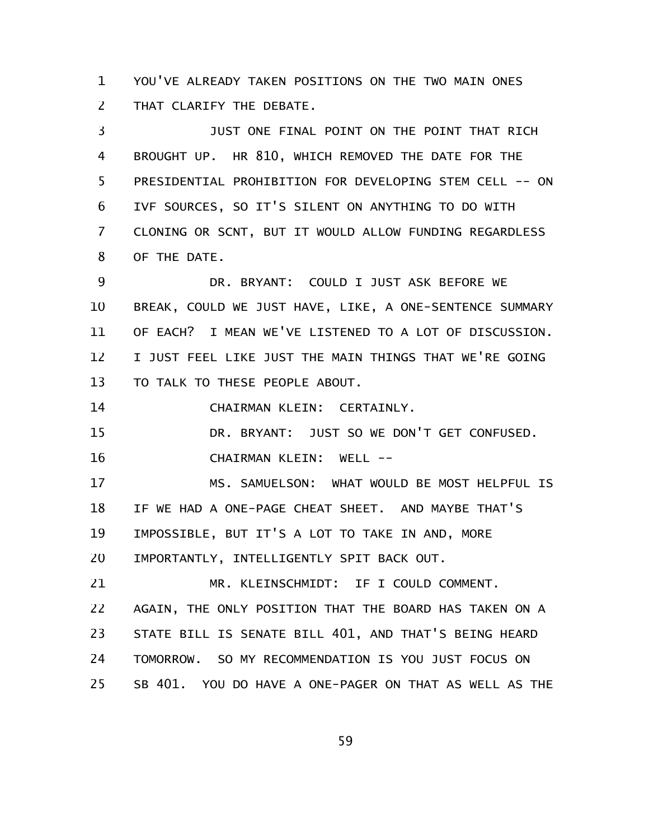YOU'VE ALREADY TAKEN POSITIONS ON THE TWO MAIN ONES THAT CLARIFY THE DEBATE. 1 2

JUST ONE FINAL POINT ON THE POINT THAT RICH BROUGHT UP. HR 810, WHICH REMOVED THE DATE FOR THE PRESIDENTIAL PROHIBITION FOR DEVELOPING STEM CELL -- ON IVF SOURCES, SO IT'S SILENT ON ANYTHING TO DO WITH CLONING OR SCNT, BUT IT WOULD ALLOW FUNDING REGARDLESS OF THE DATE. 3 4 5 6 7 8

DR. BRYANT: COULD I JUST ASK BEFORE WE BREAK, COULD WE JUST HAVE, LIKE, A ONE-SENTENCE SUMMARY OF EACH? I MEAN WE'VE LISTENED TO A LOT OF DISCUSSION. I JUST FEEL LIKE JUST THE MAIN THINGS THAT WE'RE GOING TO TALK TO THESE PEOPLE ABOUT. 9 10 11 12 13

CHAIRMAN KLEIN: CERTAINLY. 14

DR. BRYANT: JUST SO WE DON'T GET CONFUSED. CHAIRMAN KLEIN: WELL -- 15 16

MS. SAMUELSON: WHAT WOULD BE MOST HELPFUL IS IF WE HAD A ONE-PAGE CHEAT SHEET. AND MAYBE THAT'S IMPOSSIBLE, BUT IT'S A LOT TO TAKE IN AND, MORE IMPORTANTLY, INTELLIGENTLY SPIT BACK OUT. 17 18 19 20

MR. KLEINSCHMIDT: IF I COULD COMMENT. AGAIN, THE ONLY POSITION THAT THE BOARD HAS TAKEN ON A STATE BILL IS SENATE BILL 401, AND THAT'S BEING HEARD TOMORROW. SO MY RECOMMENDATION IS YOU JUST FOCUS ON SB 401. YOU DO HAVE A ONE-PAGER ON THAT AS WELL AS THE 21 22 23 24 25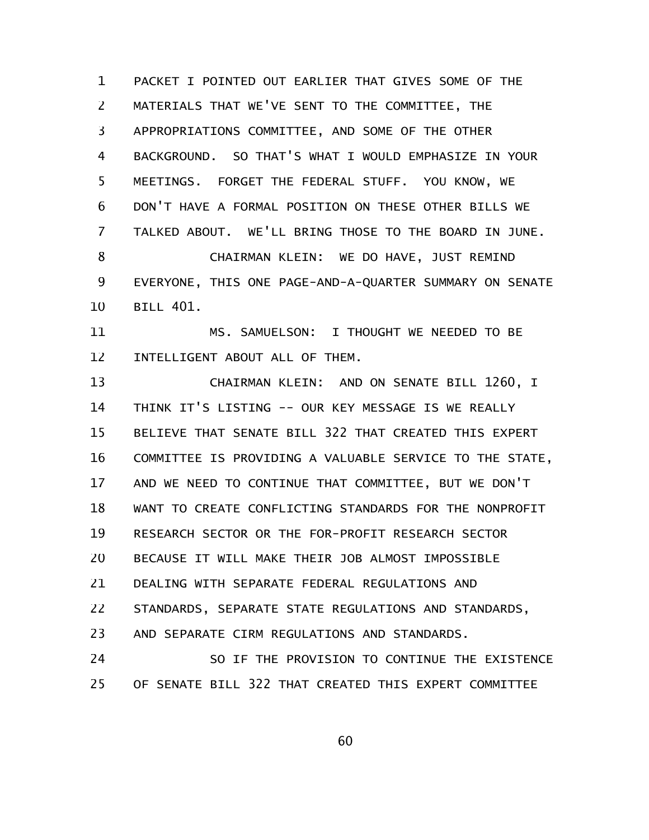PACKET I POINTED OUT EARLIER THAT GIVES SOME OF THE MATERIALS THAT WE'VE SENT TO THE COMMITTEE, THE APPROPRIATIONS COMMITTEE, AND SOME OF THE OTHER BACKGROUND. SO THAT'S WHAT I WOULD EMPHASIZE IN YOUR MEETINGS. FORGET THE FEDERAL STUFF. YOU KNOW, WE DON'T HAVE A FORMAL POSITION ON THESE OTHER BILLS WE TALKED ABOUT. WE'LL BRING THOSE TO THE BOARD IN JUNE. CHAIRMAN KLEIN: WE DO HAVE, JUST REMIND EVERYONE, THIS ONE PAGE-AND-A-QUARTER SUMMARY ON SENATE BILL 401. MS. SAMUELSON: I THOUGHT WE NEEDED TO BE INTELLIGENT ABOUT ALL OF THEM. CHAIRMAN KLEIN: AND ON SENATE BILL 1260, I THINK IT'S LISTING -- OUR KEY MESSAGE IS WE REALLY BELIEVE THAT SENATE BILL 322 THAT CREATED THIS EXPERT COMMITTEE IS PROVIDING A VALUABLE SERVICE TO THE STATE, AND WE NEED TO CONTINUE THAT COMMITTEE, BUT WE DON'T WANT TO CREATE CONFLICTING STANDARDS FOR THE NONPROFIT RESEARCH SECTOR OR THE FOR-PROFIT RESEARCH SECTOR BECAUSE IT WILL MAKE THEIR JOB ALMOST IMPOSSIBLE DEALING WITH SEPARATE FEDERAL REGULATIONS AND STANDARDS, SEPARATE STATE REGULATIONS AND STANDARDS, AND SEPARATE CIRM REGULATIONS AND STANDARDS. SO IF THE PROVISION TO CONTINUE THE EXISTENCE OF SENATE BILL 322 THAT CREATED THIS EXPERT COMMITTEE 1 2 3 4 5 6 7 8 9 10 11 12 13 14 15 16 17 18 19 20 21 22 23 24 25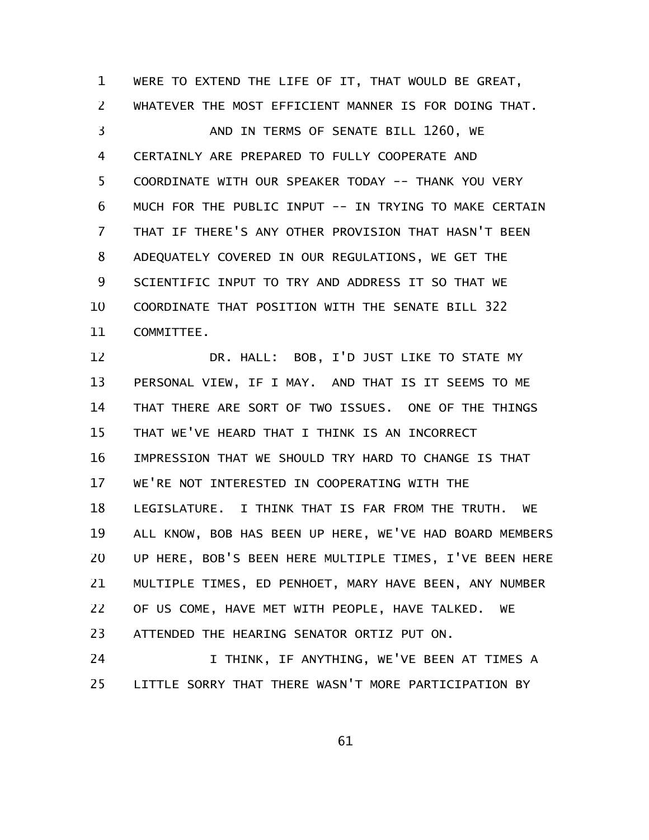WERE TO EXTEND THE LIFE OF IT, THAT WOULD BE GREAT, WHATEVER THE MOST EFFICIENT MANNER IS FOR DOING THAT. AND IN TERMS OF SENATE BILL 1260, WE CERTAINLY ARE PREPARED TO FULLY COOPERATE AND COORDINATE WITH OUR SPEAKER TODAY -- THANK YOU VERY MUCH FOR THE PUBLIC INPUT -- IN TRYING TO MAKE CERTAIN THAT IF THERE'S ANY OTHER PROVISION THAT HASN'T BEEN ADEQUATELY COVERED IN OUR REGULATIONS, WE GET THE SCIENTIFIC INPUT TO TRY AND ADDRESS IT SO THAT WE COORDINATE THAT POSITION WITH THE SENATE BILL 322 COMMITTEE. DR. HALL: BOB, I'D JUST LIKE TO STATE MY PERSONAL VIEW, IF I MAY. AND THAT IS IT SEEMS TO ME 1 2 3 4 5 6 7 8 9 10 11 12 13

THAT THERE ARE SORT OF TWO ISSUES. ONE OF THE THINGS THAT WE'VE HEARD THAT I THINK IS AN INCORRECT IMPRESSION THAT WE SHOULD TRY HARD TO CHANGE IS THAT WE'RE NOT INTERESTED IN COOPERATING WITH THE LEGISLATURE. I THINK THAT IS FAR FROM THE TRUTH. WE ALL KNOW, BOB HAS BEEN UP HERE, WE'VE HAD BOARD MEMBERS UP HERE, BOB'S BEEN HERE MULTIPLE TIMES, I'VE BEEN HERE MULTIPLE TIMES, ED PENHOET, MARY HAVE BEEN, ANY NUMBER OF US COME, HAVE MET WITH PEOPLE, HAVE TALKED. WE ATTENDED THE HEARING SENATOR ORTIZ PUT ON. 14 15 16 17 18 19 20 21 22 23

I THINK, IF ANYTHING, WE'VE BEEN AT TIMES A LITTLE SORRY THAT THERE WASN'T MORE PARTICIPATION BY 24 25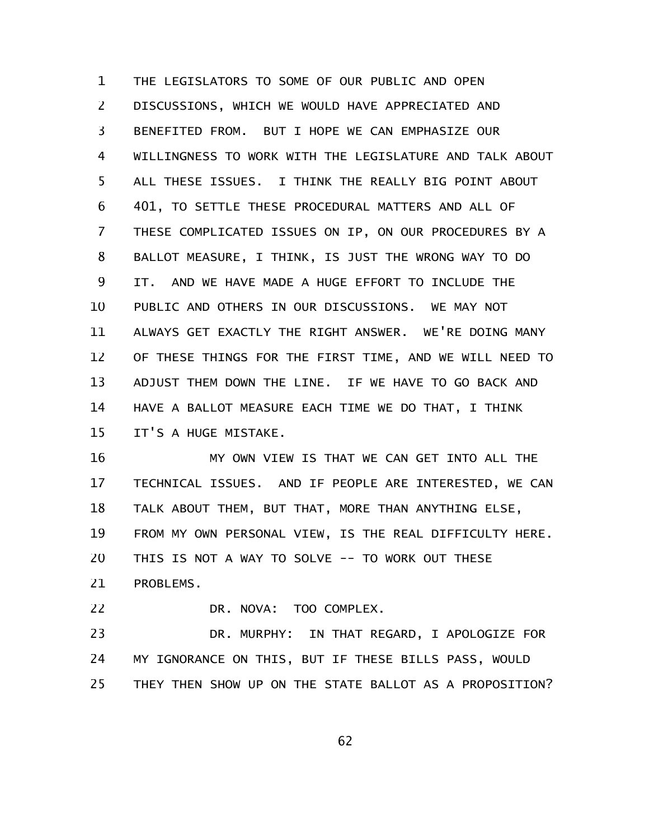THE LEGISLATORS TO SOME OF OUR PUBLIC AND OPEN DISCUSSIONS, WHICH WE WOULD HAVE APPRECIATED AND BENEFITED FROM. BUT I HOPE WE CAN EMPHASIZE OUR WILLINGNESS TO WORK WITH THE LEGISLATURE AND TALK ABOUT ALL THESE ISSUES. I THINK THE REALLY BIG POINT ABOUT 401, TO SETTLE THESE PROCEDURAL MATTERS AND ALL OF THESE COMPLICATED ISSUES ON IP, ON OUR PROCEDURES BY A BALLOT MEASURE, I THINK, IS JUST THE WRONG WAY TO DO IT. AND WE HAVE MADE A HUGE EFFORT TO INCLUDE THE PUBLIC AND OTHERS IN OUR DISCUSSIONS. WE MAY NOT ALWAYS GET EXACTLY THE RIGHT ANSWER. WE'RE DOING MANY OF THESE THINGS FOR THE FIRST TIME, AND WE WILL NEED TO ADJUST THEM DOWN THE LINE. IF WE HAVE TO GO BACK AND HAVE A BALLOT MEASURE EACH TIME WE DO THAT, I THINK IT'S A HUGE MISTAKE. 1 2 3 4 5 6 7 8 9 10 11 12 13 14 15

MY OWN VIEW IS THAT WE CAN GET INTO ALL THE TECHNICAL ISSUES. AND IF PEOPLE ARE INTERESTED, WE CAN TALK ABOUT THEM, BUT THAT, MORE THAN ANYTHING ELSE, FROM MY OWN PERSONAL VIEW, IS THE REAL DIFFICULTY HERE. THIS IS NOT A WAY TO SOLVE -- TO WORK OUT THESE PROBLEMS. 16 17 18 19 20 21

DR. NOVA: TOO COMPLEX. 22

DR. MURPHY: IN THAT REGARD, I APOLOGIZE FOR MY IGNORANCE ON THIS, BUT IF THESE BILLS PASS, WOULD THEY THEN SHOW UP ON THE STATE BALLOT AS A PROPOSITION? 23 24 25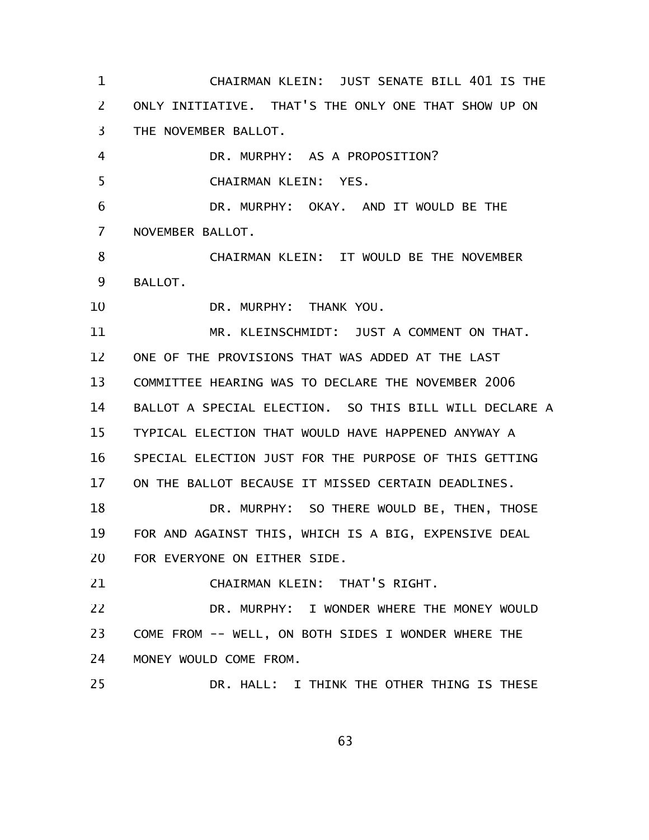CHAIRMAN KLEIN: JUST SENATE BILL 401 IS THE ONLY INITIATIVE. THAT'S THE ONLY ONE THAT SHOW UP ON THE NOVEMBER BALLOT. DR. MURPHY: AS A PROPOSITION? CHAIRMAN KLEIN: YES. DR. MURPHY: OKAY. AND IT WOULD BE THE NOVEMBER BALLOT. CHAIRMAN KLEIN: IT WOULD BE THE NOVEMBER BALLOT. DR. MURPHY: THANK YOU. MR. KLEINSCHMIDT: JUST A COMMENT ON THAT. ONE OF THE PROVISIONS THAT WAS ADDED AT THE LAST COMMITTEE HEARING WAS TO DECLARE THE NOVEMBER 2006 BALLOT A SPECIAL ELECTION. SO THIS BILL WILL DECLARE A TYPICAL ELECTION THAT WOULD HAVE HAPPENED ANYWAY A SPECIAL ELECTION JUST FOR THE PURPOSE OF THIS GETTING ON THE BALLOT BECAUSE IT MISSED CERTAIN DEADLINES. DR. MURPHY: SO THERE WOULD BE, THEN, THOSE FOR AND AGAINST THIS, WHICH IS A BIG, EXPENSIVE DEAL FOR EVERYONE ON EITHER SIDE. CHAIRMAN KLEIN: THAT'S RIGHT. DR. MURPHY: I WONDER WHERE THE MONEY WOULD COME FROM -- WELL, ON BOTH SIDES I WONDER WHERE THE MONEY WOULD COME FROM. DR. HALL: I THINK THE OTHER THING IS THESE 1 2 3 4 5 6 7 8 9 10 11 12 13 14 15 16 17 18 19 20 21 22 23 24 25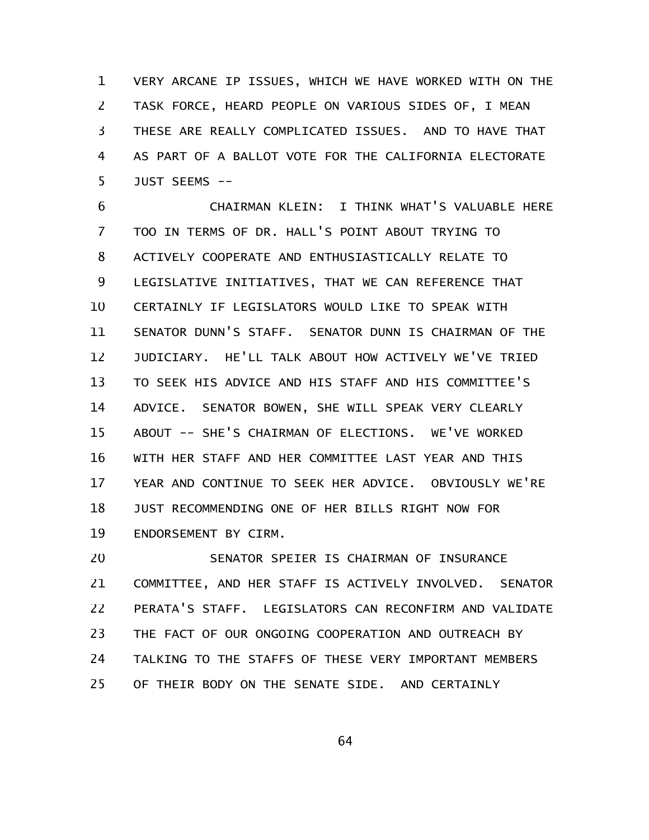VERY ARCANE IP ISSUES, WHICH WE HAVE WORKED WITH ON THE TASK FORCE, HEARD PEOPLE ON VARIOUS SIDES OF, I MEAN THESE ARE REALLY COMPLICATED ISSUES. AND TO HAVE THAT AS PART OF A BALLOT VOTE FOR THE CALIFORNIA ELECTORATE JUST SEEMS -- 1 2 3 4 5

CHAIRMAN KLEIN: I THINK WHAT'S VALUABLE HERE TOO IN TERMS OF DR. HALL'S POINT ABOUT TRYING TO ACTIVELY COOPERATE AND ENTHUSIASTICALLY RELATE TO LEGISLATIVE INITIATIVES, THAT WE CAN REFERENCE THAT CERTAINLY IF LEGISLATORS WOULD LIKE TO SPEAK WITH SENATOR DUNN'S STAFF. SENATOR DUNN IS CHAIRMAN OF THE JUDICIARY. HE'LL TALK ABOUT HOW ACTIVELY WE'VE TRIED TO SEEK HIS ADVICE AND HIS STAFF AND HIS COMMITTEE'S ADVICE. SENATOR BOWEN, SHE WILL SPEAK VERY CLEARLY ABOUT -- SHE'S CHAIRMAN OF ELECTIONS. WE'VE WORKED WITH HER STAFF AND HER COMMITTEE LAST YEAR AND THIS YEAR AND CONTINUE TO SEEK HER ADVICE. OBVIOUSLY WE'RE JUST RECOMMENDING ONE OF HER BILLS RIGHT NOW FOR ENDORSEMENT BY CIRM. 6 7 8 9 10 11 12 13 14 15 16 17 18 19

SENATOR SPEIER IS CHAIRMAN OF INSURANCE COMMITTEE, AND HER STAFF IS ACTIVELY INVOLVED. SENATOR PERATA'S STAFF. LEGISLATORS CAN RECONFIRM AND VALIDATE THE FACT OF OUR ONGOING COOPERATION AND OUTREACH BY TALKING TO THE STAFFS OF THESE VERY IMPORTANT MEMBERS OF THEIR BODY ON THE SENATE SIDE. AND CERTAINLY 20 21 22 23 24 25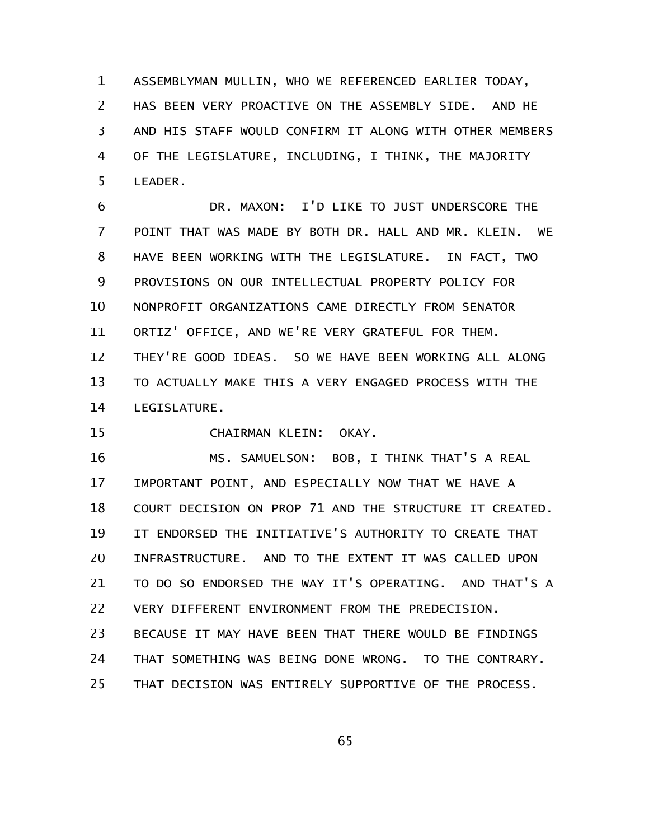ASSEMBLYMAN MULLIN, WHO WE REFERENCED EARLIER TODAY, HAS BEEN VERY PROACTIVE ON THE ASSEMBLY SIDE. AND HE AND HIS STAFF WOULD CONFIRM IT ALONG WITH OTHER MEMBERS OF THE LEGISLATURE, INCLUDING, I THINK, THE MAJORITY LEADER. 1 2 3 4 5

DR. MAXON: I'D LIKE TO JUST UNDERSCORE THE POINT THAT WAS MADE BY BOTH DR. HALL AND MR. KLEIN. WE HAVE BEEN WORKING WITH THE LEGISLATURE. IN FACT, TWO PROVISIONS ON OUR INTELLECTUAL PROPERTY POLICY FOR NONPROFIT ORGANIZATIONS CAME DIRECTLY FROM SENATOR ORTIZ' OFFICE, AND WE'RE VERY GRATEFUL FOR THEM. THEY'RE GOOD IDEAS. SO WE HAVE BEEN WORKING ALL ALONG TO ACTUALLY MAKE THIS A VERY ENGAGED PROCESS WITH THE LEGISLATURE. 6 7 8 9 10 11 12 13 14

CHAIRMAN KLEIN: OKAY. 15

MS. SAMUELSON: BOB, I THINK THAT'S A REAL IMPORTANT POINT, AND ESPECIALLY NOW THAT WE HAVE A COURT DECISION ON PROP 71 AND THE STRUCTURE IT CREATED. IT ENDORSED THE INITIATIVE'S AUTHORITY TO CREATE THAT INFRASTRUCTURE. AND TO THE EXTENT IT WAS CALLED UPON TO DO SO ENDORSED THE WAY IT'S OPERATING. AND THAT'S A VERY DIFFERENT ENVIRONMENT FROM THE PREDECISION. BECAUSE IT MAY HAVE BEEN THAT THERE WOULD BE FINDINGS THAT SOMETHING WAS BEING DONE WRONG. TO THE CONTRARY. THAT DECISION WAS ENTIRELY SUPPORTIVE OF THE PROCESS. 16 17 18 19 20 21 22 23 24 25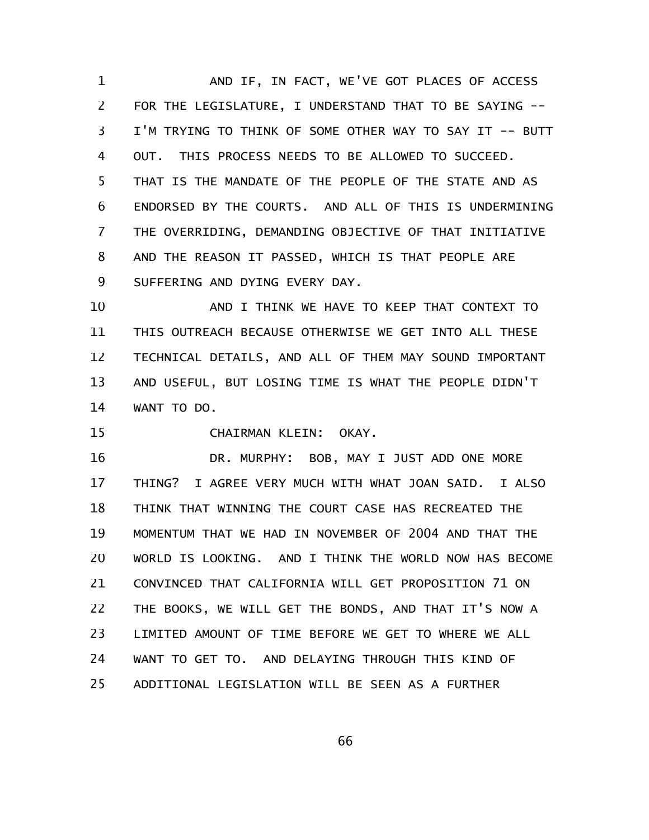AND IF, IN FACT, WE'VE GOT PLACES OF ACCESS FOR THE LEGISLATURE, I UNDERSTAND THAT TO BE SAYING -- I'M TRYING TO THINK OF SOME OTHER WAY TO SAY IT -- BUTT OUT. THIS PROCESS NEEDS TO BE ALLOWED TO SUCCEED. THAT IS THE MANDATE OF THE PEOPLE OF THE STATE AND AS ENDORSED BY THE COURTS. AND ALL OF THIS IS UNDERMINING THE OVERRIDING, DEMANDING OBJECTIVE OF THAT INITIATIVE AND THE REASON IT PASSED, WHICH IS THAT PEOPLE ARE SUFFERING AND DYING EVERY DAY. 1 2 3 4 5 6 7 8 9

AND I THINK WE HAVE TO KEEP THAT CONTEXT TO THIS OUTREACH BECAUSE OTHERWISE WE GET INTO ALL THESE TECHNICAL DETAILS, AND ALL OF THEM MAY SOUND IMPORTANT AND USEFUL, BUT LOSING TIME IS WHAT THE PEOPLE DIDN'T WANT TO DO. 10 11 12 13 14

CHAIRMAN KLEIN: OKAY. 15

DR. MURPHY: BOB, MAY I JUST ADD ONE MORE THING? I AGREE VERY MUCH WITH WHAT JOAN SAID. I ALSO THINK THAT WINNING THE COURT CASE HAS RECREATED THE MOMENTUM THAT WE HAD IN NOVEMBER OF 2004 AND THAT THE WORLD IS LOOKING. AND I THINK THE WORLD NOW HAS BECOME CONVINCED THAT CALIFORNIA WILL GET PROPOSITION 71 ON THE BOOKS, WE WILL GET THE BONDS, AND THAT IT'S NOW A LIMITED AMOUNT OF TIME BEFORE WE GET TO WHERE WE ALL WANT TO GET TO. AND DELAYING THROUGH THIS KIND OF ADDITIONAL LEGISLATION WILL BE SEEN AS A FURTHER 16 17 18 19 20 21 22 23 24 25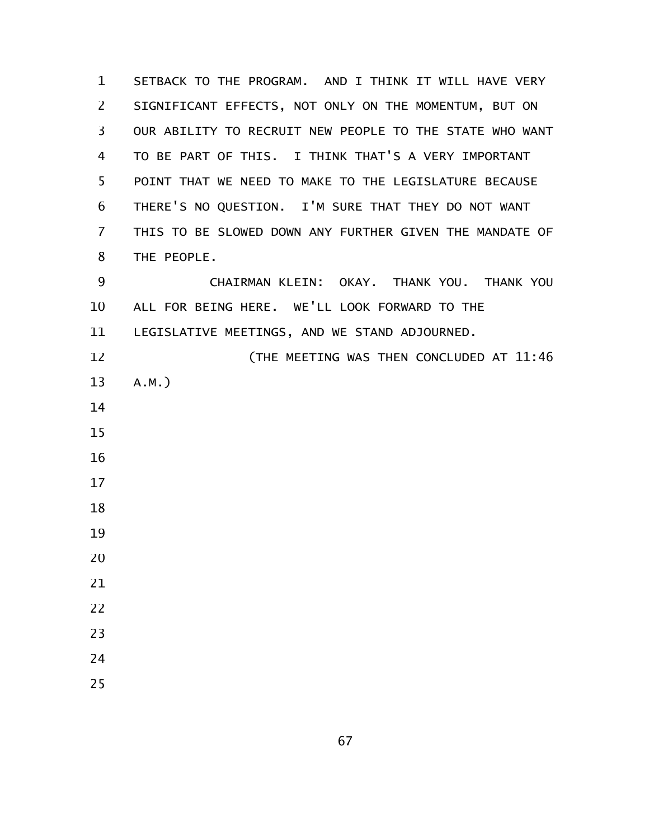SETBACK TO THE PROGRAM. AND I THINK IT WILL HAVE VERY SIGNIFICANT EFFECTS, NOT ONLY ON THE MOMENTUM, BUT ON OUR ABILITY TO RECRUIT NEW PEOPLE TO THE STATE WHO WANT TO BE PART OF THIS. I THINK THAT'S A VERY IMPORTANT POINT THAT WE NEED TO MAKE TO THE LEGISLATURE BECAUSE THERE'S NO QUESTION. I'M SURE THAT THEY DO NOT WANT THIS TO BE SLOWED DOWN ANY FURTHER GIVEN THE MANDATE OF THE PEOPLE. CHAIRMAN KLEIN: OKAY. THANK YOU. THANK YOU ALL FOR BEING HERE. WE'LL LOOK FORWARD TO THE LEGISLATIVE MEETINGS, AND WE STAND ADJOURNED. (THE MEETING WAS THEN CONCLUDED AT 11:46 A.M.)